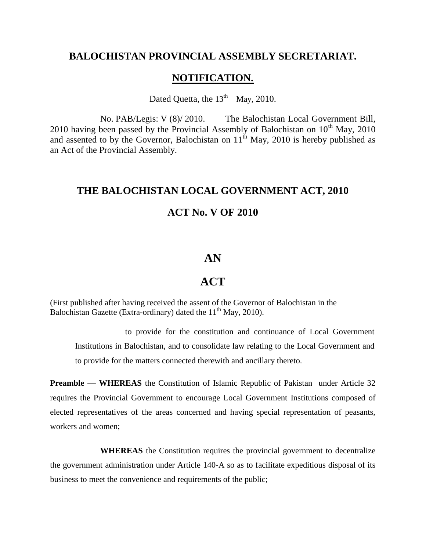# **BALOCHISTAN PROVINCIAL ASSEMBLY SECRETARIAT.**

## **NOTIFICATION.**

Dated Quetta, the  $13<sup>th</sup>$  May, 2010.

No. PAB/Legis: V (8)/ 2010. The Balochistan Local Government Bill, 2010 having been passed by the Provincial Assembly of Balochistan on  $10^{th}$  May, 2010 and assented to by the Governor, Balochistan on  $11^{th}$  May, 2010 is hereby published as an Act of the Provincial Assembly.

# **THE BALOCHISTAN LOCAL GOVERNMENT ACT, 2010**

## **ACT No. V OF 2010**

## **AN**

# **ACT**

(First published after having received the assent of the Governor of Balochistan in the Balochistan Gazette (Extra-ordinary) dated the  $11<sup>th</sup>$  May, 2010).

to provide for the constitution and continuance of Local Government Institutions in Balochistan, and to consolidate law relating to the Local Government and to provide for the matters connected therewith and ancillary thereto.

**Preamble — WHEREAS** the Constitution of Islamic Republic of Pakistan under Article 32 requires the Provincial Government to encourage Local Government Institutions composed of elected representatives of the areas concerned and having special representation of peasants, workers and women;

**WHEREAS** the Constitution requires the provincial government to decentralize the government administration under Article 140-A so as to facilitate expeditious disposal of its business to meet the convenience and requirements of the public;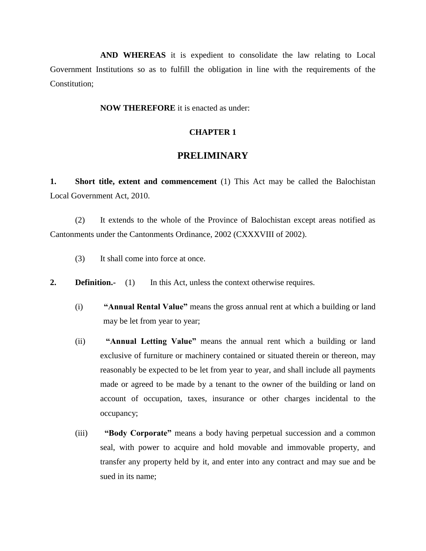**AND WHEREAS** it is expedient to consolidate the law relating to Local Government Institutions so as to fulfill the obligation in line with the requirements of the Constitution;

**NOW THEREFORE** it is enacted as under:

#### **CHAPTER 1**

### **PRELIMINARY**

**1. Short title, extent and commencement** (1) This Act may be called the Balochistan Local Government Act, 2010.

(2) It extends to the whole of the Province of Balochistan except areas notified as Cantonments under the Cantonments Ordinance, 2002 (CXXXVIII of 2002).

- (3) It shall come into force at once.
- **2. Definition.-** (1) In this Act, unless the context otherwise requires.
	- (i) **"Annual Rental Value"** means the gross annual rent at which a building or land may be let from year to year;
	- (ii) **"Annual Letting Value"** means the annual rent which a building or land exclusive of furniture or machinery contained or situated therein or thereon, may reasonably be expected to be let from year to year, and shall include all payments made or agreed to be made by a tenant to the owner of the building or land on account of occupation, taxes, insurance or other charges incidental to the occupancy;
	- (iii) **"Body Corporate"** means a body having perpetual succession and a common seal, with power to acquire and hold movable and immovable property, and transfer any property held by it, and enter into any contract and may sue and be sued in its name;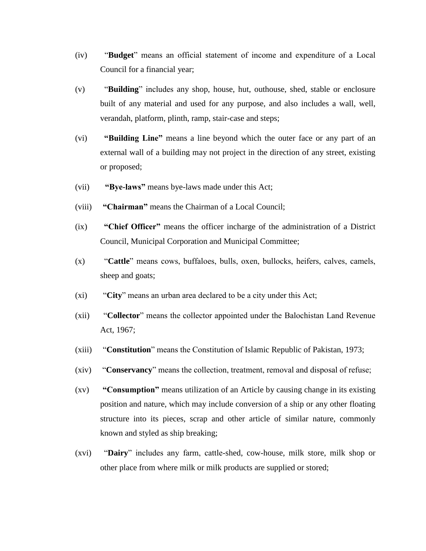- (iv) "**Budget**" means an official statement of income and expenditure of a Local Council for a financial year;
- (v) "**Building**" includes any shop, house, hut, outhouse, shed, stable or enclosure built of any material and used for any purpose, and also includes a wall, well, verandah, platform, plinth, ramp, stair-case and steps;
- (vi) **"Building Line"** means a line beyond which the outer face or any part of an external wall of a building may not project in the direction of any street, existing or proposed;
- (vii) **"Bye-laws"** means bye-laws made under this Act;
- (viii) **"Chairman"** means the Chairman of a Local Council;
- (ix) **"Chief Officer"** means the officer incharge of the administration of a District Council, Municipal Corporation and Municipal Committee;
- (x) "**Cattle**" means cows, buffaloes, bulls, oxen, bullocks, heifers, calves, camels, sheep and goats;
- (xi) "**City**" means an urban area declared to be a city under this Act;
- (xii) "**Collector**" means the collector appointed under the Balochistan Land Revenue Act, 1967;
- (xiii) "**Constitution**" means the Constitution of Islamic Republic of Pakistan, 1973;
- (xiv) "**Conservancy**" means the collection, treatment, removal and disposal of refuse;
- (xv) **"Consumption"** means utilization of an Article by causing change in its existing position and nature, which may include conversion of a ship or any other floating structure into its pieces, scrap and other article of similar nature, commonly known and styled as ship breaking;
- (xvi) "**Dairy**" includes any farm, cattle-shed, cow-house, milk store, milk shop or other place from where milk or milk products are supplied or stored;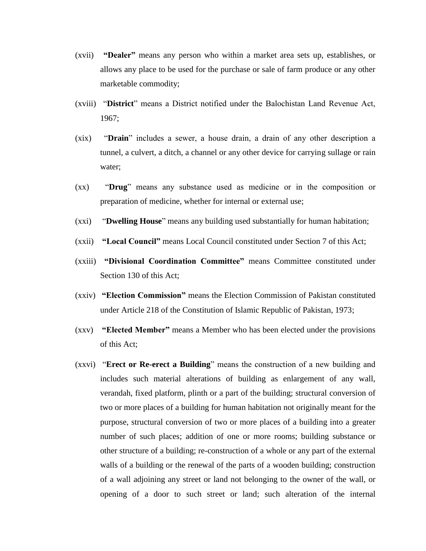- (xvii) **"Dealer"** means any person who within a market area sets up, establishes, or allows any place to be used for the purchase or sale of farm produce or any other marketable commodity;
- (xviii) "**District**" means a District notified under the Balochistan Land Revenue Act, 1967;
- (xix) "**Drain**" includes a sewer, a house drain, a drain of any other description a tunnel, a culvert, a ditch, a channel or any other device for carrying sullage or rain water;
- (xx) "**Drug**" means any substance used as medicine or in the composition or preparation of medicine, whether for internal or external use;
- (xxi) "**Dwelling House**" means any building used substantially for human habitation;
- (xxii) **"Local Council"** means Local Council constituted under Section 7 of this Act;
- (xxiii) **"Divisional Coordination Committee"** means Committee constituted under Section 130 of this Act;
- (xxiv) **"Election Commission"** means the Election Commission of Pakistan constituted under Article 218 of the Constitution of Islamic Republic of Pakistan, 1973;
- (xxv) **"Elected Member"** means a Member who has been elected under the provisions of this Act;
- (xxvi) "**Erect or Re-erect a Building**" means the construction of a new building and includes such material alterations of building as enlargement of any wall, verandah, fixed platform, plinth or a part of the building; structural conversion of two or more places of a building for human habitation not originally meant for the purpose, structural conversion of two or more places of a building into a greater number of such places; addition of one or more rooms; building substance or other structure of a building; re-construction of a whole or any part of the external walls of a building or the renewal of the parts of a wooden building; construction of a wall adjoining any street or land not belonging to the owner of the wall, or opening of a door to such street or land; such alteration of the internal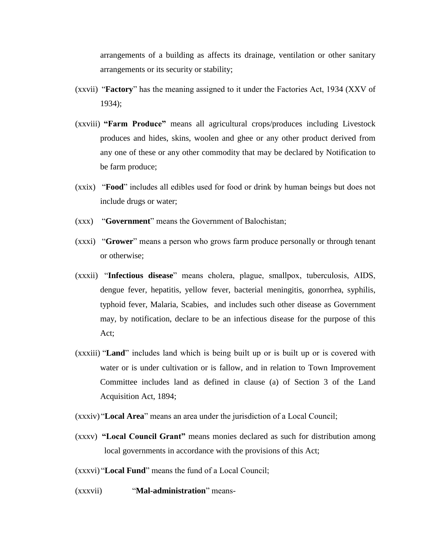arrangements of a building as affects its drainage, ventilation or other sanitary arrangements or its security or stability;

- (xxvii) "**Factory**" has the meaning assigned to it under the Factories Act, 1934 (XXV of 1934);
- (xxviii) **"Farm Produce"** means all agricultural crops/produces including Livestock produces and hides, skins, woolen and ghee or any other product derived from any one of these or any other commodity that may be declared by Notification to be farm produce;
- (xxix) "**Food**" includes all edibles used for food or drink by human beings but does not include drugs or water;
- (xxx) "**Government**" means the Government of Balochistan;
- (xxxi) "**Grower**" means a person who grows farm produce personally or through tenant or otherwise;
- (xxxii) "**Infectious disease**" means cholera, plague, smallpox, tuberculosis, AIDS, dengue fever, hepatitis, yellow fever, bacterial meningitis, gonorrhea, syphilis, typhoid fever, Malaria, Scabies, and includes such other disease as Government may, by notification, declare to be an infectious disease for the purpose of this Act;
- (xxxiii) "**Land**" includes land which is being built up or is built up or is covered with water or is under cultivation or is fallow, and in relation to Town Improvement Committee includes land as defined in clause (a) of Section 3 of the Land Acquisition Act, 1894;
- (xxxiv) "**Local Area**" means an area under the jurisdiction of a Local Council;
- (xxxv) **"Local Council Grant"** means monies declared as such for distribution among local governments in accordance with the provisions of this Act;
- (xxxvi) "**Local Fund**" means the fund of a Local Council;
- (xxxvii) "**Mal-administration**" means-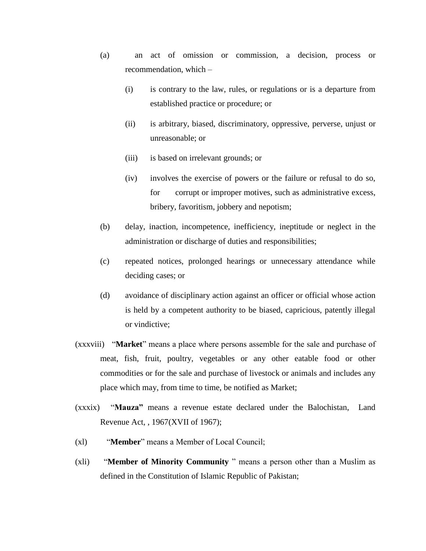- (a) an act of omission or commission, a decision, process or recommendation, which –
	- (i) is contrary to the law, rules, or regulations or is a departure from established practice or procedure; or
	- (ii) is arbitrary, biased, discriminatory, oppressive, perverse, unjust or unreasonable; or
	- (iii) is based on irrelevant grounds; or
	- (iv) involves the exercise of powers or the failure or refusal to do so, for corrupt or improper motives, such as administrative excess, bribery, favoritism, jobbery and nepotism;
- (b) delay, inaction, incompetence, inefficiency, ineptitude or neglect in the administration or discharge of duties and responsibilities;
- (c) repeated notices, prolonged hearings or unnecessary attendance while deciding cases; or
- (d) avoidance of disciplinary action against an officer or official whose action is held by a competent authority to be biased, capricious, patently illegal or vindictive;
- (xxxviii) "**Market**" means a place where persons assemble for the sale and purchase of meat, fish, fruit, poultry, vegetables or any other eatable food or other commodities or for the sale and purchase of livestock or animals and includes any place which may, from time to time, be notified as Market;
- (xxxix) "**Mauza"** means a revenue estate declared under the Balochistan, Land Revenue Act, , 1967(XVII of 1967);
- (xl) "**Member**" means a Member of Local Council;
- (xli) "**Member of Minority Community** " means a person other than a Muslim as defined in the Constitution of Islamic Republic of Pakistan;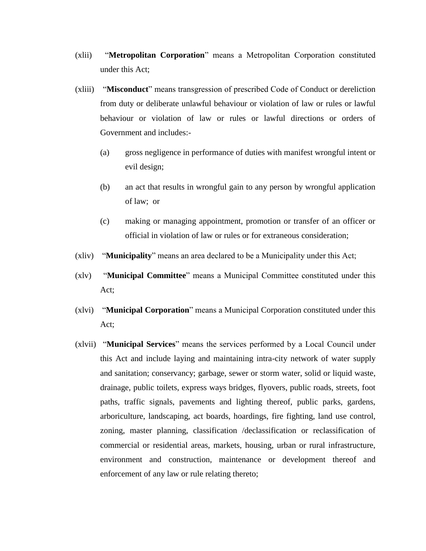- (xlii) "**Metropolitan Corporation**" means a Metropolitan Corporation constituted under this Act;
- (xliii) "**Misconduct**" means transgression of prescribed Code of Conduct or dereliction from duty or deliberate unlawful behaviour or violation of law or rules or lawful behaviour or violation of law or rules or lawful directions or orders of Government and includes:-
	- (a) gross negligence in performance of duties with manifest wrongful intent or evil design;
	- (b) an act that results in wrongful gain to any person by wrongful application of law; or
	- (c) making or managing appointment, promotion or transfer of an officer or official in violation of law or rules or for extraneous consideration;
- (xliv) "**Municipality**" means an area declared to be a Municipality under this Act;
- (xlv) "**Municipal Committee**" means a Municipal Committee constituted under this Act;
- (xlvi) "**Municipal Corporation**" means a Municipal Corporation constituted under this Act;
- (xlvii) "**Municipal Services**" means the services performed by a Local Council under this Act and include laying and maintaining intra-city network of water supply and sanitation; conservancy; garbage, sewer or storm water, solid or liquid waste, drainage, public toilets, express ways bridges, flyovers, public roads, streets, foot paths, traffic signals, pavements and lighting thereof, public parks, gardens, arboriculture, landscaping, act boards, hoardings, fire fighting, land use control, zoning, master planning, classification /declassification or reclassification of commercial or residential areas, markets, housing, urban or rural infrastructure, environment and construction, maintenance or development thereof and enforcement of any law or rule relating thereto;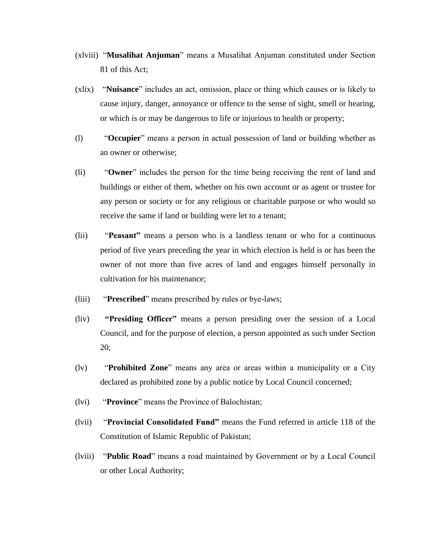- (xlviii) "**Musalihat Anjuman**" means a Musalihat Anjuman constituted under Section 81 of this Act;
- (xlix) "**Nuisance**" includes an act, omission, place or thing which causes or is likely to cause injury, danger, annoyance or offence to the sense of sight, smell or hearing, or which is or may be dangerous to life or injurious to health or property;
- (l) "**Occupier**" means a person in actual possession of land or building whether as an owner or otherwise;
- (li) "**Owner**" includes the person for the time being receiving the rent of land and buildings or either of them, whether on his own account or as agent or trustee for any person or society or for any religious or charitable purpose or who would so receive the same if land or building were let to a tenant;
- (lii) "**Peasant"** means a person who is a landless tenant or who for a continuous period of five years preceding the year in which election is held is or has been the owner of not more than five acres of land and engages himself personally in cultivation for his maintenance;
- (liii) "**Prescribed**" means prescribed by rules or bye-laws;
- (liv) **"Presiding Officer"** means a person presiding over the session of a Local Council, and for the purpose of election, a person appointed as such under Section 20;
- (lv) "**Prohibited Zone**" means any area or areas within a municipality or a City declared as prohibited zone by a public notice by Local Council concerned;
- (lvi) "**Province**" means the Province of Balochistan;
- (lvii) "**Provincial Consolidated Fund"** means the Fund referred in article 118 of the Constitution of Islamic Republic of Pakistan;
- (lviii) "**Public Road**" means a road maintained by Government or by a Local Council or other Local Authority;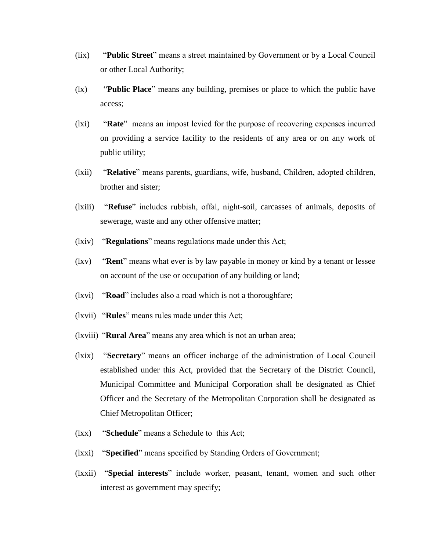- (lix) "**Public Street**" means a street maintained by Government or by a Local Council or other Local Authority;
- (lx) "**Public Place**" means any building, premises or place to which the public have access;
- (lxi) "**Rate**" means an impost levied for the purpose of recovering expenses incurred on providing a service facility to the residents of any area or on any work of public utility;
- (lxii) "**Relative**" means parents, guardians, wife, husband, Children, adopted children, brother and sister;
- (lxiii) "**Refuse**" includes rubbish, offal, night-soil, carcasses of animals, deposits of sewerage, waste and any other offensive matter;
- (lxiv) "**Regulations**" means regulations made under this Act;
- (lxv) "**Rent**" means what ever is by law payable in money or kind by a tenant or lessee on account of the use or occupation of any building or land;
- (lxvi) "**Road**" includes also a road which is not a thoroughfare;
- (lxvii) "**Rules**" means rules made under this Act;
- (lxviii) "**Rural Area**" means any area which is not an urban area;
- (lxix) "**Secretary**" means an officer incharge of the administration of Local Council established under this Act, provided that the Secretary of the District Council, Municipal Committee and Municipal Corporation shall be designated as Chief Officer and the Secretary of the Metropolitan Corporation shall be designated as Chief Metropolitan Officer;
- (lxx) "**Schedule**" means a Schedule to this Act;
- (lxxi) "**Specified**" means specified by Standing Orders of Government;
- (lxxii) "**Special interests**" include worker, peasant, tenant, women and such other interest as government may specify;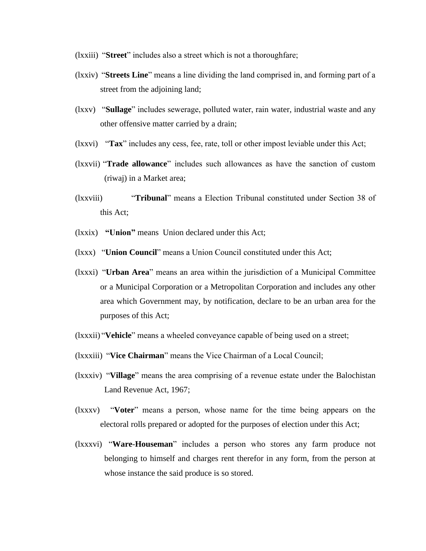(lxxiii) "**Street**" includes also a street which is not a thoroughfare;

- (lxxiv) "**Streets Line**" means a line dividing the land comprised in, and forming part of a street from the adjoining land;
- (lxxv) "**Sullage**" includes sewerage, polluted water, rain water, industrial waste and any other offensive matter carried by a drain;
- (lxxvi) "**Tax**" includes any cess, fee, rate, toll or other impost leviable under this Act;
- (lxxvii) "**Trade allowance**" includes such allowances as have the sanction of custom (riwaj) in a Market area;
- (lxxviii) "**Tribunal**" means a Election Tribunal constituted under Section 38 of this Act;
- (lxxix) **"Union"** means Union declared under this Act;
- (lxxx) "**Union Council**" means a Union Council constituted under this Act;
- (lxxxi) "**Urban Area**" means an area within the jurisdiction of a Municipal Committee or a Municipal Corporation or a Metropolitan Corporation and includes any other area which Government may, by notification, declare to be an urban area for the purposes of this Act;
- (lxxxii) "**Vehicle**" means a wheeled conveyance capable of being used on a street;
- (lxxxiii) "**Vice Chairman**" means the Vice Chairman of a Local Council;
- (lxxxiv) "**Village**" means the area comprising of a revenue estate under the Balochistan Land Revenue Act, 1967;
- (lxxxv) "**Voter**" means a person, whose name for the time being appears on the electoral rolls prepared or adopted for the purposes of election under this Act;
- (lxxxvi) "**Ware**-**Houseman**" includes a person who stores any farm produce not belonging to himself and charges rent therefor in any form, from the person at whose instance the said produce is so stored.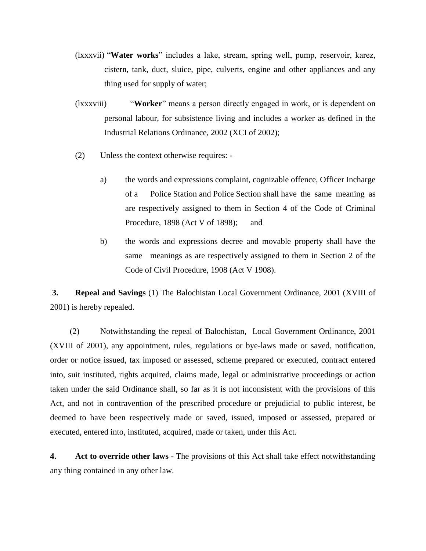- (lxxxvii) "**Water works**" includes a lake, stream, spring well, pump, reservoir, karez, cistern, tank, duct, sluice, pipe, culverts, engine and other appliances and any thing used for supply of water;
- (lxxxviii) "**Worker**" means a person directly engaged in work, or is dependent on personal labour, for subsistence living and includes a worker as defined in the Industrial Relations Ordinance, 2002 (XCI of 2002);
- (2) Unless the context otherwise requires:
	- a) the words and expressions complaint, cognizable offence, Officer Incharge of a Police Station and Police Section shall have the same meaning as are respectively assigned to them in Section 4 of the Code of Criminal Procedure, 1898 (Act V of 1898); and
	- b) the words and expressions decree and movable property shall have the same meanings as are respectively assigned to them in Section 2 of the Code of Civil Procedure, 1908 (Act V 1908).

**3. Repeal and Savings** (1) The Balochistan Local Government Ordinance, 2001 (XVIII of 2001) is hereby repealed.

(2) Notwithstanding the repeal of Balochistan, Local Government Ordinance, 2001 (XVIII of 2001), any appointment, rules, regulations or bye-laws made or saved, notification, order or notice issued, tax imposed or assessed, scheme prepared or executed, contract entered into, suit instituted, rights acquired, claims made, legal or administrative proceedings or action taken under the said Ordinance shall, so far as it is not inconsistent with the provisions of this Act, and not in contravention of the prescribed procedure or prejudicial to public interest, be deemed to have been respectively made or saved, issued, imposed or assessed, prepared or executed, entered into, instituted, acquired, made or taken, under this Act.

**4. Act to override other laws -** The provisions of this Act shall take effect notwithstanding any thing contained in any other law.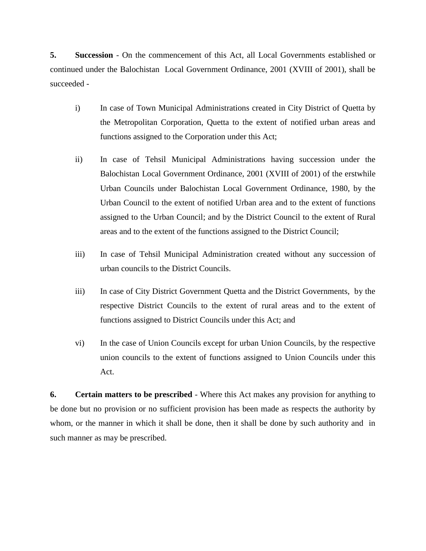**5. Succession** - On the commencement of this Act, all Local Governments established or continued under the Balochistan Local Government Ordinance, 2001 (XVIII of 2001), shall be succeeded -

- i) In case of Town Municipal Administrations created in City District of Quetta by the Metropolitan Corporation, Quetta to the extent of notified urban areas and functions assigned to the Corporation under this Act;
- ii) In case of Tehsil Municipal Administrations having succession under the Balochistan Local Government Ordinance, 2001 (XVIII of 2001) of the erstwhile Urban Councils under Balochistan Local Government Ordinance, 1980, by the Urban Council to the extent of notified Urban area and to the extent of functions assigned to the Urban Council; and by the District Council to the extent of Rural areas and to the extent of the functions assigned to the District Council;
- iii) In case of Tehsil Municipal Administration created without any succession of urban councils to the District Councils.
- iii) In case of City District Government Quetta and the District Governments, by the respective District Councils to the extent of rural areas and to the extent of functions assigned to District Councils under this Act; and
- vi) In the case of Union Councils except for urban Union Councils, by the respective union councils to the extent of functions assigned to Union Councils under this Act.

**6. Certain matters to be prescribed** - Where this Act makes any provision for anything to be done but no provision or no sufficient provision has been made as respects the authority by whom, or the manner in which it shall be done, then it shall be done by such authority and in such manner as may be prescribed.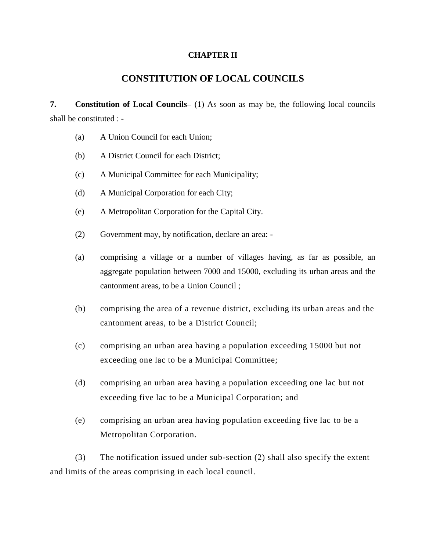## **CHAPTER II**

# **CONSTITUTION OF LOCAL COUNCILS**

**7. Constitution of Local Councils–** (1) As soon as may be, the following local councils shall be constituted : -

- (a) A Union Council for each Union;
- (b) A District Council for each District;
- (c) A Municipal Committee for each Municipality;
- (d) A Municipal Corporation for each City;
- (e) A Metropolitan Corporation for the Capital City.
- (2) Government may, by notification, declare an area: -
- (a) comprising a village or a number of villages having, as far as possible, an aggregate population between 7000 and 15000, excluding its urban areas and the cantonment areas, to be a Union Council ;
- (b) comprising the area of a revenue district, excluding its urban areas and the cantonment areas, to be a District Council;
- (c) comprising an urban area having a population exceeding 15000 but not exceeding one lac to be a Municipal Committee;
- (d) comprising an urban area having a population exceeding one lac but not exceeding five lac to be a Municipal Corporation; and
- (e) comprising an urban area having population exceeding five lac to be a Metropolitan Corporation.

(3) The notification issued under sub-section (2) shall also specify the extent and limits of the areas comprising in each local council.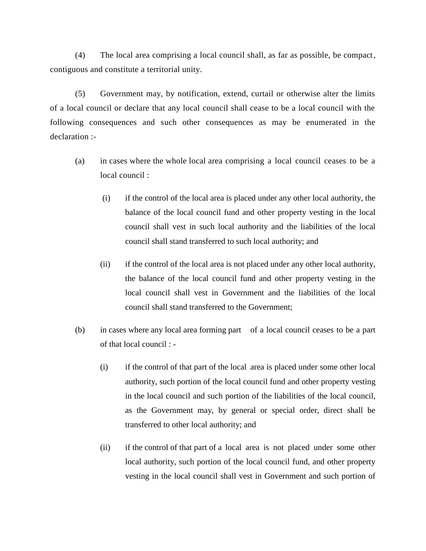(4) The local area comprising a local council shall, as far as possible, be compact, contiguous and constitute a territorial unity.

(5) Government may, by notification, extend, curtail or otherwise alter the limits of a local council or declare that any local council shall cease to be a local council with the following consequences and such other consequences as may be enumerated in the declaration :-

- (a) in cases where the whole local area comprising a local council ceases to be a local council :
	- (i) if the control of the local area is placed under any other local authority, the balance of the local council fund and other property vesting in the local council shall vest in such local authority and the liabilities of the local council shall stand transferred to such local authority; and
	- (ii) if the control of the local area is not placed under any other local authority, the balance of the local council fund and other property vesting in the local council shall vest in Government and the liabilities of the local council shall stand transferred to the Government;
- (b) in cases where any local area forming part of a local council ceases to be a part of that local council : -
	- (i) if the control of that part of the local area is placed under some other local authority, such portion of the local council fund and other property vesting in the local council and such portion of the liabilities of the local council, as the Government may, by general or special order, direct shall be transferred to other local authority; and
	- (ii) if the control of that part of a local area is not placed under some other local authority, such portion of the local council fund, and other property vesting in the local council shall vest in Government and such portion of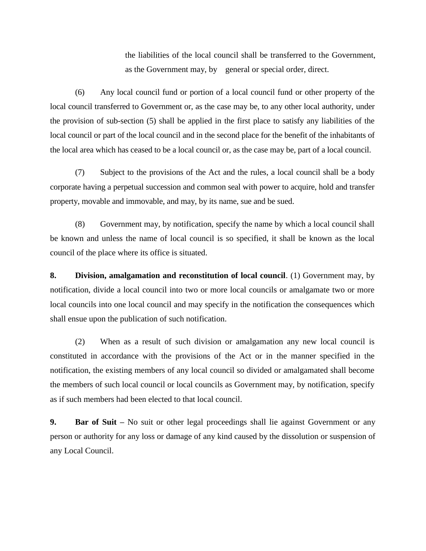the liabilities of the local council shall be transferred to the Government, as the Government may, by general or special order, direct.

(6) Any local council fund or portion of a local council fund or other property of the local council transferred to Government or, as the case may be, to any other local authority, under the provision of sub-section (5) shall be applied in the first place to satisfy any liabilities of the local council or part of the local council and in the second place for the benefit of the inhabitants of the local area which has ceased to be a local council or, as the case may be, part of a local council.

(7) Subject to the provisions of the Act and the rules, a local council shall be a body corporate having a perpetual succession and common seal with power to acquire, hold and transfer property, movable and immovable, and may, by its name, sue and be sued.

(8) Government may, by notification, specify the name by which a local council shall be known and unless the name of local council is so specified, it shall be known as the local council of the place where its office is situated.

**8. Division, amalgamation and reconstitution of local council**. (1) Government may, by notification, divide a local council into two or more local councils or amalgamate two or more local councils into one local council and may specify in the notification the consequences which shall ensue upon the publication of such notification.

(2) When as a result of such division or amalgamation any new local council is constituted in accordance with the provisions of the Act or in the manner specified in the notification, the existing members of any local council so divided or amalgamated shall become the members of such local council or local councils as Government may, by notification, specify as if such members had been elected to that local council.

**9. Bar of Suit –** No suit or other legal proceedings shall lie against Government or any person or authority for any loss or damage of any kind caused by the dissolution or suspension of any Local Council.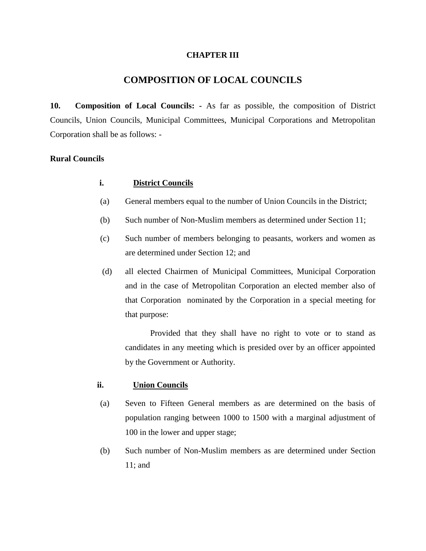#### **CHAPTER III**

### **COMPOSITION OF LOCAL COUNCILS**

**10. Composition of Local Councils: -** As far as possible, the composition of District Councils, Union Councils, Municipal Committees, Municipal Corporations and Metropolitan Corporation shall be as follows: -

### **Rural Councils**

#### **i. District Councils**

- (a) General members equal to the number of Union Councils in the District;
- (b) Such number of Non-Muslim members as determined under Section 11;
- (c) Such number of members belonging to peasants, workers and women as are determined under Section 12; and
- (d) all elected Chairmen of Municipal Committees, Municipal Corporation and in the case of Metropolitan Corporation an elected member also of that Corporation nominated by the Corporation in a special meeting for that purpose:

 Provided that they shall have no right to vote or to stand as candidates in any meeting which is presided over by an officer appointed by the Government or Authority.

#### **ii. Union Councils**

- (a) Seven to Fifteen General members as are determined on the basis of population ranging between 1000 to 1500 with a marginal adjustment of 100 in the lower and upper stage;
- (b) Such number of Non-Muslim members as are determined under Section 11; and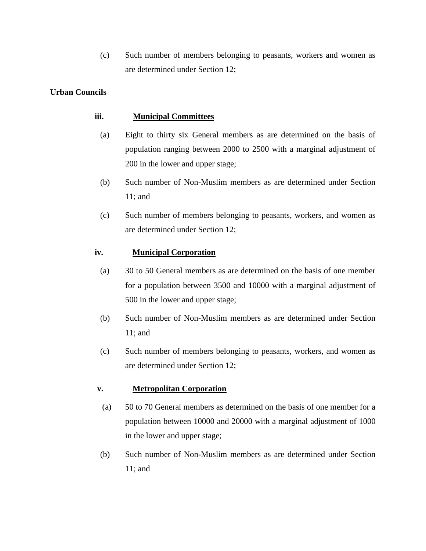(c) Such number of members belonging to peasants, workers and women as are determined under Section 12;

## **Urban Councils**

### **iii. Municipal Committees**

- (a) Eight to thirty six General members as are determined on the basis of population ranging between 2000 to 2500 with a marginal adjustment of 200 in the lower and upper stage;
- (b) Such number of Non-Muslim members as are determined under Section 11; and
- (c) Such number of members belonging to peasants, workers, and women as are determined under Section 12;

### **iv. Municipal Corporation**

- (a) 30 to 50 General members as are determined on the basis of one member for a population between 3500 and 10000 with a marginal adjustment of 500 in the lower and upper stage;
- (b) Such number of Non-Muslim members as are determined under Section 11; and
- (c) Such number of members belonging to peasants, workers, and women as are determined under Section 12;

### **v. Metropolitan Corporation**

- (a) 50 to 70 General members as determined on the basis of one member for a population between 10000 and 20000 with a marginal adjustment of 1000 in the lower and upper stage;
- (b) Such number of Non-Muslim members as are determined under Section 11; and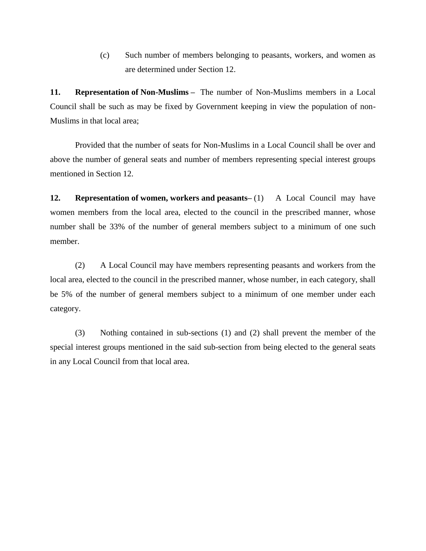(c) Such number of members belonging to peasants, workers, and women as are determined under Section 12.

**11. Representation of Non-Muslims –** The number of Non-Muslims members in a Local Council shall be such as may be fixed by Government keeping in view the population of non-Muslims in that local area;

Provided that the number of seats for Non-Muslims in a Local Council shall be over and above the number of general seats and number of members representing special interest groups mentioned in Section 12.

**12. Representation of women, workers and peasants–** (1) A Local Council may have women members from the local area, elected to the council in the prescribed manner, whose number shall be 33% of the number of general members subject to a minimum of one such member.

(2) A Local Council may have members representing peasants and workers from the local area, elected to the council in the prescribed manner, whose number, in each category, shall be 5% of the number of general members subject to a minimum of one member under each category.

(3) Nothing contained in sub-sections (1) and (2) shall prevent the member of the special interest groups mentioned in the said sub-section from being elected to the general seats in any Local Council from that local area.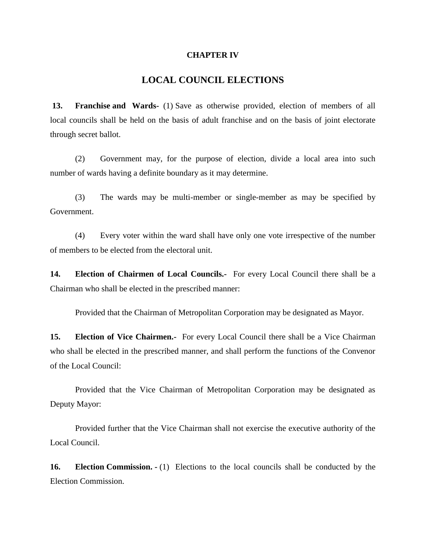#### **CHAPTER IV**

## **LOCAL COUNCIL ELECTIONS**

**13. Franchise and Wards-** (1) Save as otherwise provided, election of members of all local councils shall be held on the basis of adult franchise and on the basis of joint electorate through secret ballot.

(2) Government may, for the purpose of election, divide a local area into such number of wards having a definite boundary as it may determine.

(3) The wards may be multi-member or single-member as may be specified by Government.

(4) Every voter within the ward shall have only one vote irrespective of the number of members to be elected from the electoral unit.

**14. Election of Chairmen of Local Councils.-** For every Local Council there shall be a Chairman who shall be elected in the prescribed manner:

Provided that the Chairman of Metropolitan Corporation may be designated as Mayor.

**15. Election of Vice Chairmen.-** For every Local Council there shall be a Vice Chairman who shall be elected in the prescribed manner, and shall perform the functions of the Convenor of the Local Council:

Provided that the Vice Chairman of Metropolitan Corporation may be designated as Deputy Mayor:

Provided further that the Vice Chairman shall not exercise the executive authority of the Local Council.

**16. Election Commission. -** (1) Elections to the local councils shall be conducted by the Election Commission.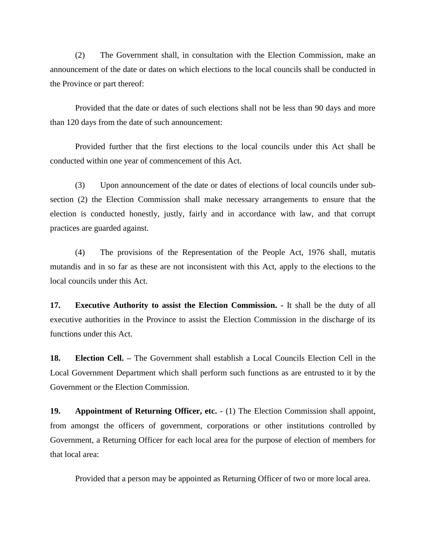(2) The Government shall, in consultation with the Election Commission, make an announcement of the date or dates on which elections to the local councils shall be conducted in the Province or part thereof:

Provided that the date or dates of such elections shall not be less than 90 days and more than 120 days from the date of such announcement:

Provided further that the first elections to the local councils under this Act shall be conducted within one year of commencement of this Act.

(3) Upon announcement of the date or dates of elections of local councils under subsection (2) the Election Commission shall make necessary arrangements to ensure that the election is conducted honestly, justly, fairly and in accordance with law, and that corrupt practices are guarded against.

(4) The provisions of the Representation of the People Act, 1976 shall, mutatis mutandis and in so far as these are not inconsistent with this Act, apply to the elections to the local councils under this Act.

**17. Executive Authority to assist the Election Commission. -** It shall be the duty of all executive authorities in the Province to assist the Election Commission in the discharge of its functions under this Act.

**18. Election Cell. –** The Government shall establish a Local Councils Election Cell in the Local Government Department which shall perform such functions as are entrusted to it by the Government or the Election Commission.

**19. Appointment of Returning Officer, etc.** - (1) The Election Commission shall appoint, from amongst the officers of government, corporations or other institutions controlled by Government, a Returning Officer for each local area for the purpose of election of members for that local area:

Provided that a person may be appointed as Returning Officer of two or more local area.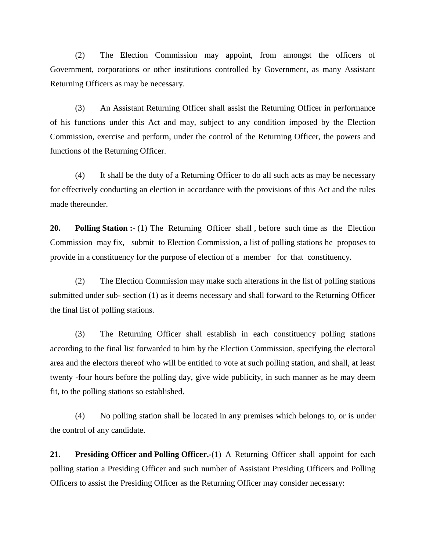(2) The Election Commission may appoint, from amongst the officers of Government, corporations or other institutions controlled by Government, as many Assistant Returning Officers as may be necessary.

(3) An Assistant Returning Officer shall assist the Returning Officer in performance of his functions under this Act and may, subject to any condition imposed by the Election Commission, exercise and perform, under the control of the Returning Officer, the powers and functions of the Returning Officer.

(4) It shall be the duty of a Returning Officer to do all such acts as may be necessary for effectively conducting an election in accordance with the provisions of this Act and the rules made thereunder.

**20. Polling Station :-** (1) The Returning Officer shall , before such time as the Election Commission may fix, submit to Election Commission, a list of polling stations he proposes to provide in a constituency for the purpose of election of a member for that constituency.

(2) The Election Commission may make such alterations in the list of polling stations submitted under sub- section (1) as it deems necessary and shall forward to the Returning Officer the final list of polling stations.

(3) The Returning Officer shall establish in each constituency polling stations according to the final list forwarded to him by the Election Commission, specifying the electoral area and the electors thereof who will be entitled to vote at such polling station, and shall, at least twenty -four hours before the polling day, give wide publicity, in such manner as he may deem fit, to the polling stations so established.

(4) No polling station shall be located in any premises which belongs to, or is under the control of any candidate.

**21. Presiding Officer and Polling Officer.-**(1) A Returning Officer shall appoint for each polling station a Presiding Officer and such number of Assistant Presiding Officers and Polling Officers to assist the Presiding Officer as the Returning Officer may consider necessary: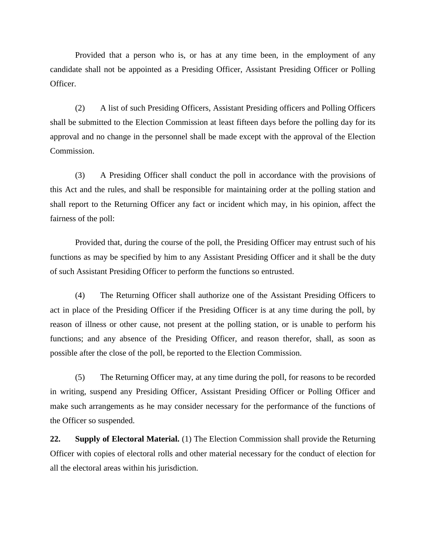Provided that a person who is, or has at any time been, in the employment of any candidate shall not be appointed as a Presiding Officer, Assistant Presiding Officer or Polling Officer.

(2) A list of such Presiding Officers, Assistant Presiding officers and Polling Officers shall be submitted to the Election Commission at least fifteen days before the polling day for its approval and no change in the personnel shall be made except with the approval of the Election Commission.

(3) A Presiding Officer shall conduct the poll in accordance with the provisions of this Act and the rules, and shall be responsible for maintaining order at the polling station and shall report to the Returning Officer any fact or incident which may, in his opinion, affect the fairness of the poll:

Provided that, during the course of the poll, the Presiding Officer may entrust such of his functions as may be specified by him to any Assistant Presiding Officer and it shall be the duty of such Assistant Presiding Officer to perform the functions so entrusted.

(4) The Returning Officer shall authorize one of the Assistant Presiding Officers to act in place of the Presiding Officer if the Presiding Officer is at any time during the poll, by reason of illness or other cause, not present at the polling station, or is unable to perform his functions; and any absence of the Presiding Officer, and reason therefor, shall, as soon as possible after the close of the poll, be reported to the Election Commission.

(5) The Returning Officer may, at any time during the poll, for reasons to be recorded in writing, suspend any Presiding Officer, Assistant Presiding Officer or Polling Officer and make such arrangements as he may consider necessary for the performance of the functions of the Officer so suspended.

**22. Supply of Electoral Material.** (1) The Election Commission shall provide the Returning Officer with copies of electoral rolls and other material necessary for the conduct of election for all the electoral areas within his jurisdiction.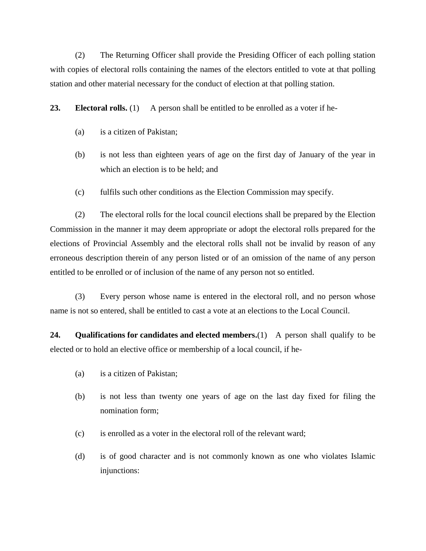(2) The Returning Officer shall provide the Presiding Officer of each polling station with copies of electoral rolls containing the names of the electors entitled to vote at that polling station and other material necessary for the conduct of election at that polling station.

23. **Electoral rolls.** (1) A person shall be entitled to be enrolled as a voter if he-

- (a) is a citizen of Pakistan;
- (b) is not less than eighteen years of age on the first day of January of the year in which an election is to be held; and
- (c) fulfils such other conditions as the Election Commission may specify.

(2) The electoral rolls for the local council elections shall be prepared by the Election Commission in the manner it may deem appropriate or adopt the electoral rolls prepared for the elections of Provincial Assembly and the electoral rolls shall not be invalid by reason of any erroneous description therein of any person listed or of an omission of the name of any person entitled to be enrolled or of inclusion of the name of any person not so entitled.

(3) Every person whose name is entered in the electoral roll, and no person whose name is not so entered, shall be entitled to cast a vote at an elections to the Local Council.

**24. Qualifications for candidates and elected members.**(1) A person shall qualify to be elected or to hold an elective office or membership of a local council, if he-

- (a) is a citizen of Pakistan;
- (b) is not less than twenty one years of age on the last day fixed for filing the nomination form;
- (c) is enrolled as a voter in the electoral roll of the relevant ward;
- (d) is of good character and is not commonly known as one who violates Islamic injunctions: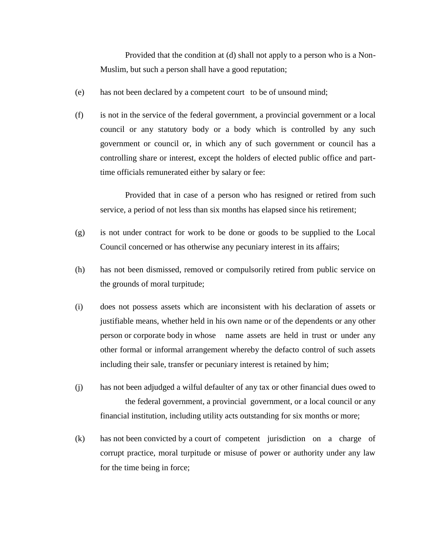Provided that the condition at (d) shall not apply to a person who is a Non-Muslim, but such a person shall have a good reputation;

- (e) has not been declared by a competent court to be of unsound mind;
- (f) is not in the service of the federal government, a provincial government or a local council or any statutory body or a body which is controlled by any such government or council or, in which any of such government or council has a controlling share or interest, except the holders of elected public office and parttime officials remunerated either by salary or fee:

Provided that in case of a person who has resigned or retired from such service, a period of not less than six months has elapsed since his retirement;

- (g) is not under contract for work to be done or goods to be supplied to the Local Council concerned or has otherwise any pecuniary interest in its affairs;
- (h) has not been dismissed, removed or compulsorily retired from public service on the grounds of moral turpitude;
- (i) does not possess assets which are inconsistent with his declaration of assets or justifiable means, whether held in his own name or of the dependents or any other person or corporate body in whose name assets are held in trust or under any other formal or informal arrangement whereby the defacto control of such assets including their sale, transfer or pecuniary interest is retained by him;
- (j) has not been adjudged a wilful defaulter of any tax or other financial dues owed to the federal government, a provincial government, or a local council or any financial institution, including utility acts outstanding for six months or more;
- (k) has not been convicted by a court of competent jurisdiction on a charge of corrupt practice, moral turpitude or misuse of power or authority under any law for the time being in force;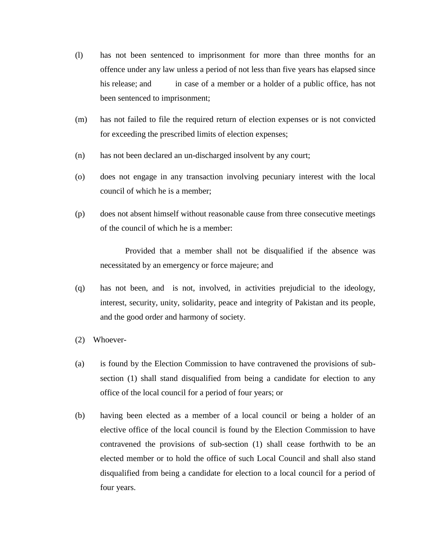- (l) has not been sentenced to imprisonment for more than three months for an offence under any law unless a period of not less than five years has elapsed since his release; and in case of a member or a holder of a public office, has not been sentenced to imprisonment;
- (m) has not failed to file the required return of election expenses or is not convicted for exceeding the prescribed limits of election expenses;
- (n) has not been declared an un-discharged insolvent by any court;
- (o) does not engage in any transaction involving pecuniary interest with the local council of which he is a member;
- (p) does not absent himself without reasonable cause from three consecutive meetings of the council of which he is a member:

Provided that a member shall not be disqualified if the absence was necessitated by an emergency or force majeure; and

- (q) has not been, and is not, involved, in activities prejudicial to the ideology, interest, security, unity, solidarity, peace and integrity of Pakistan and its people, and the good order and harmony of society.
- (2) Whoever-
- (a) is found by the Election Commission to have contravened the provisions of subsection (1) shall stand disqualified from being a candidate for election to any office of the local council for a period of four years; or
- (b) having been elected as a member of a local council or being a holder of an elective office of the local council is found by the Election Commission to have contravened the provisions of sub-section (1) shall cease forthwith to be an elected member or to hold the office of such Local Council and shall also stand disqualified from being a candidate for election to a local council for a period of four years.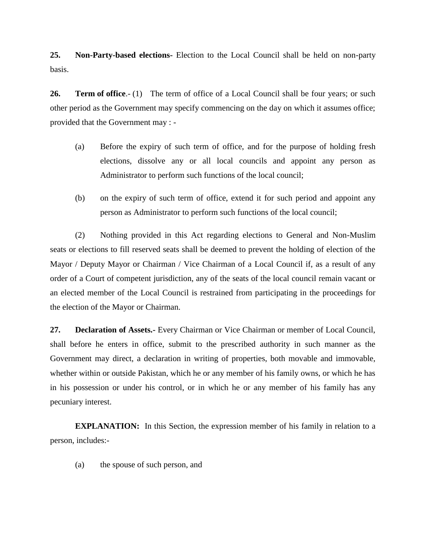**25. Non-Party-based elections-** Election to the Local Council shall be held on non-party basis.

**26. Term of office.**- (1) The term of office of a Local Council shall be four years; or such other period as the Government may specify commencing on the day on which it assumes office; provided that the Government may : -

- (a) Before the expiry of such term of office, and for the purpose of holding fresh elections, dissolve any or all local councils and appoint any person as Administrator to perform such functions of the local council;
- (b) on the expiry of such term of office, extend it for such period and appoint any person as Administrator to perform such functions of the local council;

(2) Nothing provided in this Act regarding elections to General and Non-Muslim seats or elections to fill reserved seats shall be deemed to prevent the holding of election of the Mayor / Deputy Mayor or Chairman / Vice Chairman of a Local Council if, as a result of any order of a Court of competent jurisdiction, any of the seats of the local council remain vacant or an elected member of the Local Council is restrained from participating in the proceedings for the election of the Mayor or Chairman.

**27. Declaration of Assets.-** Every Chairman or Vice Chairman or member of Local Council, shall before he enters in office, submit to the prescribed authority in such manner as the Government may direct, a declaration in writing of properties, both movable and immovable, whether within or outside Pakistan, which he or any member of his family owns, or which he has in his possession or under his control, or in which he or any member of his family has any pecuniary interest.

**EXPLANATION:** In this Section, the expression member of his family in relation to a person, includes:-

(a) the spouse of such person, and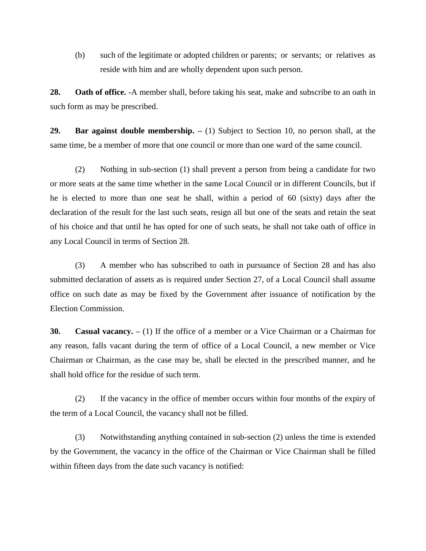(b) such of the legitimate or adopted children or parents; or servants; or relatives as reside with him and are wholly dependent upon such person.

**28. Oath of office. -**A member shall, before taking his seat, make and subscribe to an oath in such form as may be prescribed.

**29. Bar against double membership. –** (1) Subject to Section 10, no person shall, at the same time, be a member of more that one council or more than one ward of the same council.

(2) Nothing in sub-section (1) shall prevent a person from being a candidate for two or more seats at the same time whether in the same Local Council or in different Councils, but if he is elected to more than one seat he shall, within a period of 60 (sixty) days after the declaration of the result for the last such seats, resign all but one of the seats and retain the seat of his choice and that until he has opted for one of such seats, he shall not take oath of office in any Local Council in terms of Section 28.

(3) A member who has subscribed to oath in pursuance of Section 28 and has also submitted declaration of assets as is required under Section 27, of a Local Council shall assume office on such date as may be fixed by the Government after issuance of notification by the Election Commission.

**30. Casual vacancy. –** (1) If the office of a member or a Vice Chairman or a Chairman for any reason, falls vacant during the term of office of a Local Council, a new member or Vice Chairman or Chairman, as the case may be, shall be elected in the prescribed manner, and he shall hold office for the residue of such term.

(2) If the vacancy in the office of member occurs within four months of the expiry of the term of a Local Council, the vacancy shall not be filled.

(3) Notwithstanding anything contained in sub-section (2) unless the time is extended by the Government, the vacancy in the office of the Chairman or Vice Chairman shall be filled within fifteen days from the date such vacancy is notified: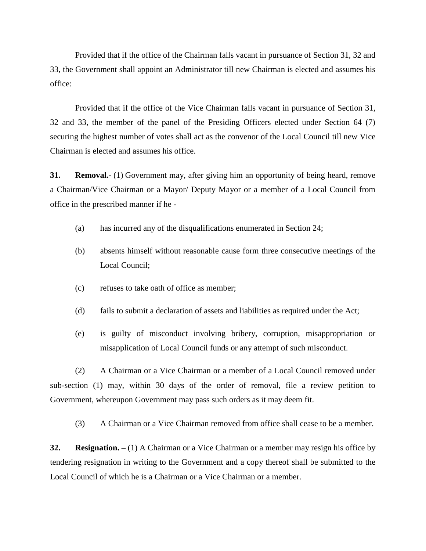Provided that if the office of the Chairman falls vacant in pursuance of Section 31, 32 and 33, the Government shall appoint an Administrator till new Chairman is elected and assumes his office:

Provided that if the office of the Vice Chairman falls vacant in pursuance of Section 31, 32 and 33, the member of the panel of the Presiding Officers elected under Section 64 (7) securing the highest number of votes shall act as the convenor of the Local Council till new Vice Chairman is elected and assumes his office.

**31. Removal.-** (1) Government may, after giving him an opportunity of being heard, remove a Chairman/Vice Chairman or a Mayor/ Deputy Mayor or a member of a Local Council from office in the prescribed manner if he -

- (a) has incurred any of the disqualifications enumerated in Section 24;
- (b) absents himself without reasonable cause form three consecutive meetings of the Local Council;
- (c) refuses to take oath of office as member;
- (d) fails to submit a declaration of assets and liabilities as required under the Act;
- (e) is guilty of misconduct involving bribery, corruption, misappropriation or misapplication of Local Council funds or any attempt of such misconduct.

(2) A Chairman or a Vice Chairman or a member of a Local Council removed under sub-section (1) may, within 30 days of the order of removal, file a review petition to Government, whereupon Government may pass such orders as it may deem fit.

(3) A Chairman or a Vice Chairman removed from office shall cease to be a member.

**32. Resignation. –** (1) A Chairman or a Vice Chairman or a member may resign his office by tendering resignation in writing to the Government and a copy thereof shall be submitted to the Local Council of which he is a Chairman or a Vice Chairman or a member.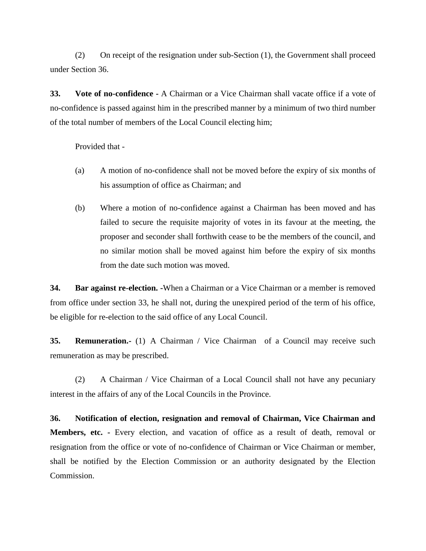(2) On receipt of the resignation under sub-Section (1), the Government shall proceed under Section 36.

**33. Vote of no-confidence -** A Chairman or a Vice Chairman shall vacate office if a vote of no-confidence is passed against him in the prescribed manner by a minimum of two third number of the total number of members of the Local Council electing him;

Provided that -

- (a) A motion of no-confidence shall not be moved before the expiry of six months of his assumption of office as Chairman; and
- (b) Where a motion of no-confidence against a Chairman has been moved and has failed to secure the requisite majority of votes in its favour at the meeting, the proposer and seconder shall forthwith cease to be the members of the council, and no similar motion shall be moved against him before the expiry of six months from the date such motion was moved.

**34. Bar against re-election. -**When a Chairman or a Vice Chairman or a member is removed from office under section 33, he shall not, during the unexpired period of the term of his office, be eligible for re-election to the said office of any Local Council.

**35. Remuneration.-** (1) A Chairman / Vice Chairman of a Council may receive such remuneration as may be prescribed.

(2) A Chairman / Vice Chairman of a Local Council shall not have any pecuniary interest in the affairs of any of the Local Councils in the Province.

**36. Notification of election, resignation and removal of Chairman, Vice Chairman and Members, etc. -** Every election, and vacation of office as a result of death, removal or resignation from the office or vote of no-confidence of Chairman or Vice Chairman or member, shall be notified by the Election Commission or an authority designated by the Election Commission.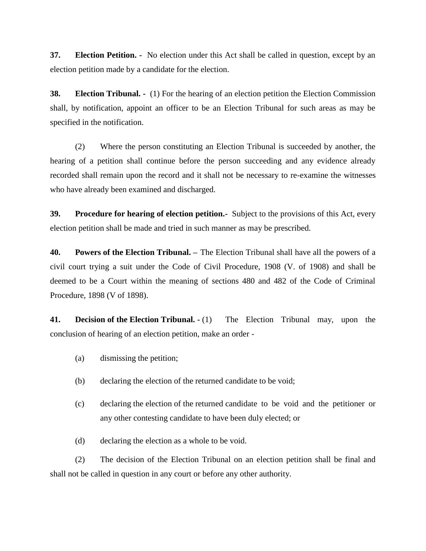**37. Election Petition. -** No election under this Act shall be called in question, except by an election petition made by a candidate for the election.

**38. Election Tribunal.** - (1) For the hearing of an election petition the Election Commission shall, by notification, appoint an officer to be an Election Tribunal for such areas as may be specified in the notification.

(2) Where the person constituting an Election Tribunal is succeeded by another, the hearing of a petition shall continue before the person succeeding and any evidence already recorded shall remain upon the record and it shall not be necessary to re-examine the witnesses who have already been examined and discharged.

**39. Procedure for hearing of election petition.-** Subject to the provisions of this Act, every election petition shall be made and tried in such manner as may be prescribed.

**40. Powers of the Election Tribunal. –** The Election Tribunal shall have all the powers of a civil court trying a suit under the Code of Civil Procedure, 1908 (V. of 1908) and shall be deemed to be a Court within the meaning of sections 480 and 482 of the Code of Criminal Procedure, 1898 (V of 1898).

**41. Decision of the Election Tribunal. -** (1) The Election Tribunal may, upon the conclusion of hearing of an election petition, make an order -

- (a) dismissing the petition;
- (b) declaring the election of the returned candidate to be void;
- (c) declaring the election of the returned candidate to be void and the petitioner or any other contesting candidate to have been duly elected; or
- (d) declaring the election as a whole to be void.

(2) The decision of the Election Tribunal on an election petition shall be final and shall not be called in question in any court or before any other authority.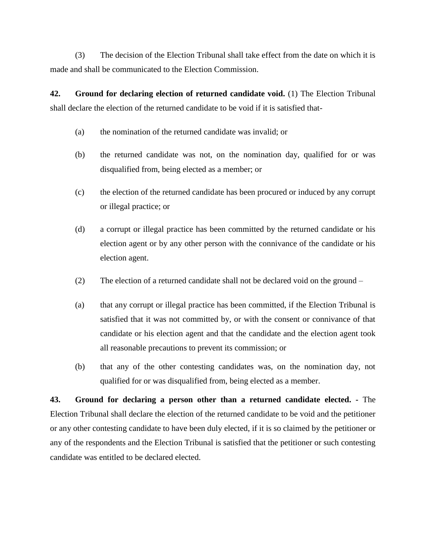(3) The decision of the Election Tribunal shall take effect from the date on which it is made and shall be communicated to the Election Commission.

**42. Ground for declaring election of returned candidate void.** (1) The Election Tribunal shall declare the election of the returned candidate to be void if it is satisfied that-

- (a) the nomination of the returned candidate was invalid; or
- (b) the returned candidate was not, on the nomination day, qualified for or was disqualified from, being elected as a member; or
- (c) the election of the returned candidate has been procured or induced by any corrupt or illegal practice; or
- (d) a corrupt or illegal practice has been committed by the returned candidate or his election agent or by any other person with the connivance of the candidate or his election agent.
- (2) The election of a returned candidate shall not be declared void on the ground –
- (a) that any corrupt or illegal practice has been committed, if the Election Tribunal is satisfied that it was not committed by, or with the consent or connivance of that candidate or his election agent and that the candidate and the election agent took all reasonable precautions to prevent its commission; or
- (b) that any of the other contesting candidates was, on the nomination day, not qualified for or was disqualified from, being elected as a member.

**43. Ground for declaring a person other than a returned candidate elected. -** The Election Tribunal shall declare the election of the returned candidate to be void and the petitioner or any other contesting candidate to have been duly elected, if it is so claimed by the petitioner or any of the respondents and the Election Tribunal is satisfied that the petitioner or such contesting candidate was entitled to be declared elected.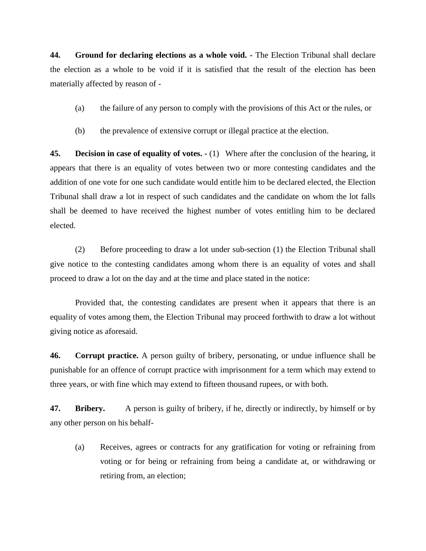**44. Ground for declaring elections as a whole void. -** The Election Tribunal shall declare the election as a whole to be void if it is satisfied that the result of the election has been materially affected by reason of -

- (a) the failure of any person to comply with the provisions of this Act or the rules, or
- (b) the prevalence of extensive corrupt or illegal practice at the election.

**45. Decision in case of equality of votes. -** (1) Where after the conclusion of the hearing, it appears that there is an equality of votes between two or more contesting candidates and the addition of one vote for one such candidate would entitle him to be declared elected, the Election Tribunal shall draw a lot in respect of such candidates and the candidate on whom the lot falls shall be deemed to have received the highest number of votes entitling him to be declared elected.

(2) Before proceeding to draw a lot under sub-section (1) the Election Tribunal shall give notice to the contesting candidates among whom there is an equality of votes and shall proceed to draw a lot on the day and at the time and place stated in the notice:

Provided that, the contesting candidates are present when it appears that there is an equality of votes among them, the Election Tribunal may proceed forthwith to draw a lot without giving notice as aforesaid.

**46. Corrupt practice.** A person guilty of bribery, personating, or undue influence shall be punishable for an offence of corrupt practice with imprisonment for a term which may extend to three years, or with fine which may extend to fifteen thousand rupees, or with both.

**47. Bribery.** A person is guilty of bribery, if he, directly or indirectly, by himself or by any other person on his behalf-

(a) Receives, agrees or contracts for any gratification for voting or refraining from voting or for being or refraining from being a candidate at, or withdrawing or retiring from, an election;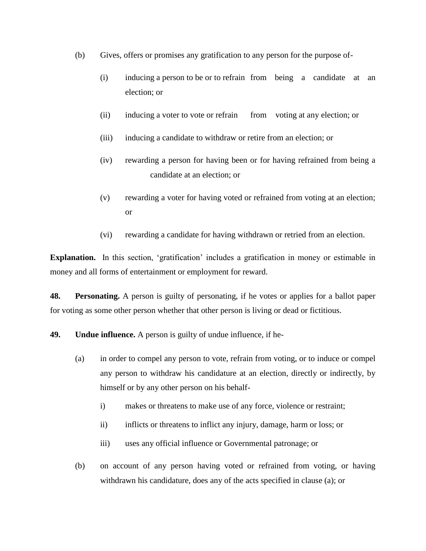- (b) Gives, offers or promises any gratification to any person for the purpose of-
	- (i) inducing a person to be or to refrain from being a candidate at an election; or
	- (ii) inducing a voter to vote or refrain from voting at any election; or
	- (iii) inducing a candidate to withdraw or retire from an election; or
	- (iv) rewarding a person for having been or for having refrained from being a candidate at an election; or
	- (v) rewarding a voter for having voted or refrained from voting at an election; or
	- (vi) rewarding a candidate for having withdrawn or retried from an election.

**Explanation.** In this section, 'gratification' includes a gratification in money or estimable in money and all forms of entertainment or employment for reward.

**48. Personating.** A person is guilty of personating, if he votes or applies for a ballot paper for voting as some other person whether that other person is living or dead or fictitious.

- **49. Undue influence.** A person is guilty of undue influence, if he-
	- (a) in order to compel any person to vote, refrain from voting, or to induce or compel any person to withdraw his candidature at an election, directly or indirectly, by himself or by any other person on his behalf
		- i) makes or threatens to make use of any force, violence or restraint;
		- ii) inflicts or threatens to inflict any injury, damage, harm or loss; or
		- iii) uses any official influence or Governmental patronage; or
	- (b) on account of any person having voted or refrained from voting, or having withdrawn his candidature, does any of the acts specified in clause (a); or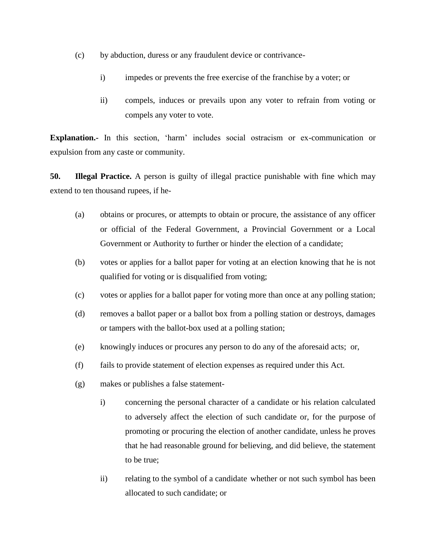- (c) by abduction, duress or any fraudulent device or contrivance
	- i) impedes or prevents the free exercise of the franchise by a voter; or
	- ii) compels, induces or prevails upon any voter to refrain from voting or compels any voter to vote.

**Explanation.-** In this section, 'harm' includes social ostracism or ex-communication or expulsion from any caste or community.

**50. Illegal Practice.** A person is guilty of illegal practice punishable with fine which may extend to ten thousand rupees, if he-

- (a) obtains or procures, or attempts to obtain or procure, the assistance of any officer or official of the Federal Government, a Provincial Government or a Local Government or Authority to further or hinder the election of a candidate;
- (b) votes or applies for a ballot paper for voting at an election knowing that he is not qualified for voting or is disqualified from voting;
- (c) votes or applies for a ballot paper for voting more than once at any polling station;
- (d) removes a ballot paper or a ballot box from a polling station or destroys, damages or tampers with the ballot-box used at a polling station;
- (e) knowingly induces or procures any person to do any of the aforesaid acts; or,
- (f) fails to provide statement of election expenses as required under this Act.
- (g) makes or publishes a false statement
	- i) concerning the personal character of a candidate or his relation calculated to adversely affect the election of such candidate or, for the purpose of promoting or procuring the election of another candidate, unless he proves that he had reasonable ground for believing, and did believe, the statement to be true;
	- ii) relating to the symbol of a candidate whether or not such symbol has been allocated to such candidate; or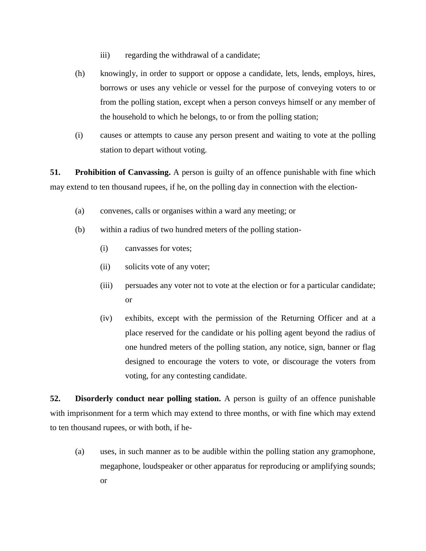- iii) regarding the withdrawal of a candidate;
- (h) knowingly, in order to support or oppose a candidate, lets, lends, employs, hires, borrows or uses any vehicle or vessel for the purpose of conveying voters to or from the polling station, except when a person conveys himself or any member of the household to which he belongs, to or from the polling station;
- (i) causes or attempts to cause any person present and waiting to vote at the polling station to depart without voting.

**51. Prohibition of Canvassing.** A person is guilty of an offence punishable with fine which may extend to ten thousand rupees, if he, on the polling day in connection with the election-

- (a) convenes, calls or organises within a ward any meeting; or
- (b) within a radius of two hundred meters of the polling station-
	- (i) canvasses for votes;
	- (ii) solicits vote of any voter;
	- (iii) persuades any voter not to vote at the election or for a particular candidate; or
	- (iv) exhibits, except with the permission of the Returning Officer and at a place reserved for the candidate or his polling agent beyond the radius of one hundred meters of the polling station, any notice, sign, banner or flag designed to encourage the voters to vote, or discourage the voters from voting, for any contesting candidate.

**52. Disorderly conduct near polling station.** A person is guilty of an offence punishable with imprisonment for a term which may extend to three months, or with fine which may extend to ten thousand rupees, or with both, if he-

(a) uses, in such manner as to be audible within the polling station any gramophone, megaphone, loudspeaker or other apparatus for reproducing or amplifying sounds; or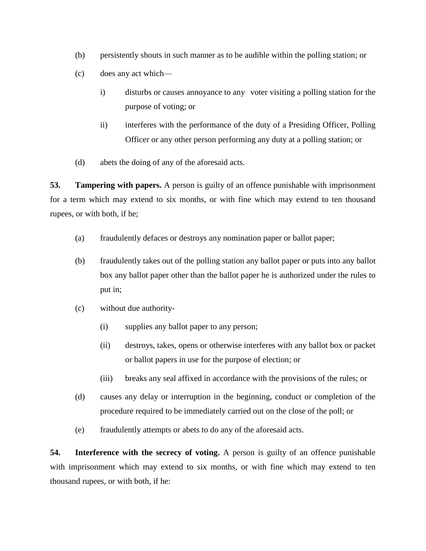- (b) persistently shouts in such manner as to be audible within the polling station; or
- (c) does any act which
	- i) disturbs or causes annoyance to any voter visiting a polling station for the purpose of voting; or
	- ii) interferes with the performance of the duty of a Presiding Officer, Polling Officer or any other person performing any duty at a polling station; or
- (d) abets the doing of any of the aforesaid acts.

**53. Tampering with papers.** A person is guilty of an offence punishable with imprisonment for a term which may extend to six months, or with fine which may extend to ten thousand rupees, or with both, if he;

- (a) fraudulently defaces or destroys any nomination paper or ballot paper;
- (b) fraudulently takes out of the polling station any ballot paper or puts into any ballot box any ballot paper other than the ballot paper he is authorized under the rules to put in;
- (c) without due authority-
	- (i) supplies any ballot paper to any person;
	- (ii) destroys, takes, opens or otherwise interferes with any ballot box or packet or ballot papers in use for the purpose of election; or
	- (iii) breaks any seal affixed in accordance with the provisions of the rules; or
- (d) causes any delay or interruption in the beginning, conduct or completion of the procedure required to be immediately carried out on the close of the poll; or
- (e) fraudulently attempts or abets to do any of the aforesaid acts.

**54. Interference with the secrecy of voting.** A person is guilty of an offence punishable with imprisonment which may extend to six months, or with fine which may extend to ten thousand rupees, or with both, if he: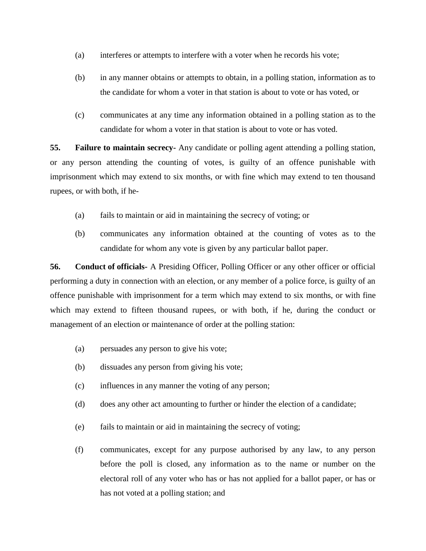- (a) interferes or attempts to interfere with a voter when he records his vote;
- (b) in any manner obtains or attempts to obtain, in a polling station, information as to the candidate for whom a voter in that station is about to vote or has voted, or
- (c) communicates at any time any information obtained in a polling station as to the candidate for whom a voter in that station is about to vote or has voted.

**55. Failure to maintain secrecy-** Any candidate or polling agent attending a polling station, or any person attending the counting of votes, is guilty of an offence punishable with imprisonment which may extend to six months, or with fine which may extend to ten thousand rupees, or with both, if he-

- (a) fails to maintain or aid in maintaining the secrecy of voting; or
- (b) communicates any information obtained at the counting of votes as to the candidate for whom any vote is given by any particular ballot paper.

**56. Conduct of officials-** A Presiding Officer, Polling Officer or any other officer or official performing a duty in connection with an election, or any member of a police force, is guilty of an offence punishable with imprisonment for a term which may extend to six months, or with fine which may extend to fifteen thousand rupees, or with both, if he, during the conduct or management of an election or maintenance of order at the polling station:

- (a) persuades any person to give his vote;
- (b) dissuades any person from giving his vote;
- (c) influences in any manner the voting of any person;
- (d) does any other act amounting to further or hinder the election of a candidate;
- (e) fails to maintain or aid in maintaining the secrecy of voting;
- (f) communicates, except for any purpose authorised by any law, to any person before the poll is closed, any information as to the name or number on the electoral roll of any voter who has or has not applied for a ballot paper, or has or has not voted at a polling station; and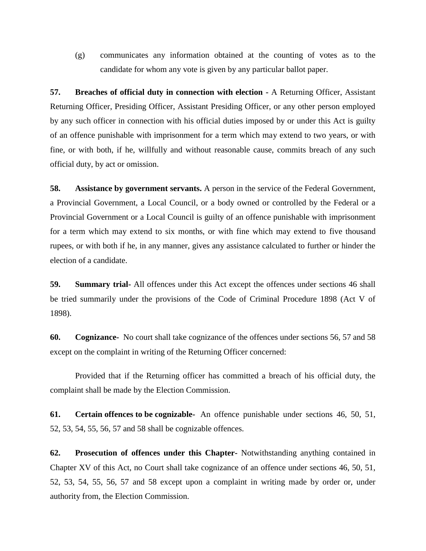(g) communicates any information obtained at the counting of votes as to the candidate for whom any vote is given by any particular ballot paper.

**57. Breaches of official duty in connection with election -** A Returning Officer, Assistant Returning Officer, Presiding Officer, Assistant Presiding Officer, or any other person employed by any such officer in connection with his official duties imposed by or under this Act is guilty of an offence punishable with imprisonment for a term which may extend to two years, or with fine, or with both, if he, willfully and without reasonable cause, commits breach of any such official duty, by act or omission.

**58. Assistance by government servants.** A person in the service of the Federal Government, a Provincial Government, a Local Council, or a body owned or controlled by the Federal or a Provincial Government or a Local Council is guilty of an offence punishable with imprisonment for a term which may extend to six months, or with fine which may extend to five thousand rupees, or with both if he, in any manner, gives any assistance calculated to further or hinder the election of a candidate.

**59. Summary trial-** All offences under this Act except the offences under sections 46 shall be tried summarily under the provisions of the Code of Criminal Procedure 1898 (Act V of 1898).

**60. Cognizance-** No court shall take cognizance of the offences under sections 56, 57 and 58 except on the complaint in writing of the Returning Officer concerned:

Provided that if the Returning officer has committed a breach of his official duty, the complaint shall be made by the Election Commission.

**61. Certain offences to be cognizable-** An offence punishable under sections 46, 50, 51, 52, 53, 54, 55, 56, 57 and 58 shall be cognizable offences.

**62. Prosecution of offences under this Chapter-** Notwithstanding anything contained in Chapter XV of this Act, no Court shall take cognizance of an offence under sections 46, 50, 51, 52, 53, 54, 55, 56, 57 and 58 except upon a complaint in writing made by order or, under authority from, the Election Commission.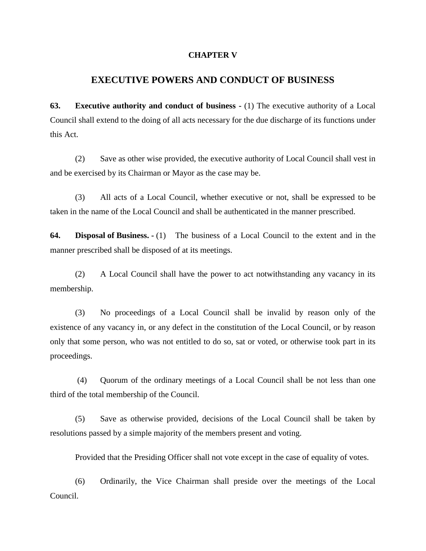#### **CHAPTER V**

## **EXECUTIVE POWERS AND CONDUCT OF BUSINESS**

**63. Executive authority and conduct of business -** (1) The executive authority of a Local Council shall extend to the doing of all acts necessary for the due discharge of its functions under this Act.

(2) Save as other wise provided, the executive authority of Local Council shall vest in and be exercised by its Chairman or Mayor as the case may be.

(3) All acts of a Local Council, whether executive or not, shall be expressed to be taken in the name of the Local Council and shall be authenticated in the manner prescribed.

**64. Disposal of Business. -** (1) The business of a Local Council to the extent and in the manner prescribed shall be disposed of at its meetings.

(2) A Local Council shall have the power to act notwithstanding any vacancy in its membership.

(3) No proceedings of a Local Council shall be invalid by reason only of the existence of any vacancy in, or any defect in the constitution of the Local Council, or by reason only that some person, who was not entitled to do so, sat or voted, or otherwise took part in its proceedings.

(4) Quorum of the ordinary meetings of a Local Council shall be not less than one third of the total membership of the Council.

(5) Save as otherwise provided, decisions of the Local Council shall be taken by resolutions passed by a simple majority of the members present and voting.

Provided that the Presiding Officer shall not vote except in the case of equality of votes.

(6) Ordinarily, the Vice Chairman shall preside over the meetings of the Local Council.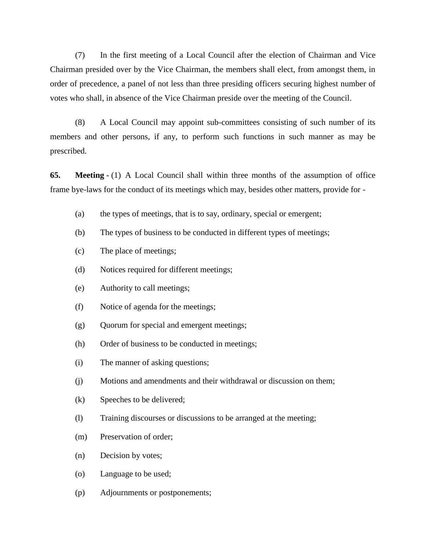(7) In the first meeting of a Local Council after the election of Chairman and Vice Chairman presided over by the Vice Chairman, the members shall elect, from amongst them, in order of precedence, a panel of not less than three presiding officers securing highest number of votes who shall, in absence of the Vice Chairman preside over the meeting of the Council.

(8) A Local Council may appoint sub-committees consisting of such number of its members and other persons, if any, to perform such functions in such manner as may be prescribed.

**65. Meeting -** (1) A Local Council shall within three months of the assumption of office frame bye-laws for the conduct of its meetings which may, besides other matters, provide for -

- (a) the types of meetings, that is to say, ordinary, special or emergent;
- (b) The types of business to be conducted in different types of meetings;
- (c) The place of meetings;
- (d) Notices required for different meetings;
- (e) Authority to call meetings;
- (f) Notice of agenda for the meetings;
- (g) Quorum for special and emergent meetings;
- (h) Order of business to be conducted in meetings;
- (i) The manner of asking questions;
- (j) Motions and amendments and their withdrawal or discussion on them;
- (k) Speeches to be delivered;
- (l) Training discourses or discussions to be arranged at the meeting;
- (m) Preservation of order;
- (n) Decision by votes;
- (o) Language to be used;
- (p) Adjournments or postponements;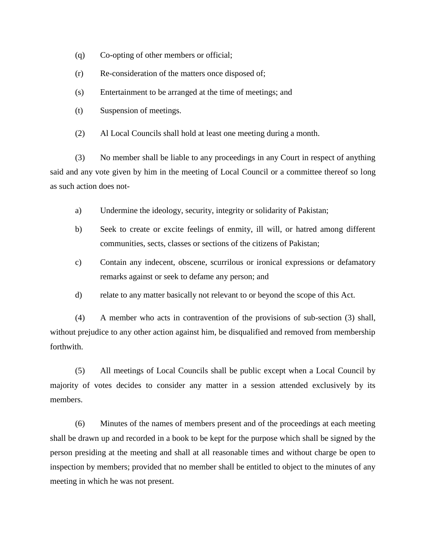- (q) Co-opting of other members or official;
- (r) Re-consideration of the matters once disposed of;
- (s) Entertainment to be arranged at the time of meetings; and
- (t) Suspension of meetings.
- (2) Al Local Councils shall hold at least one meeting during a month.

(3) No member shall be liable to any proceedings in any Court in respect of anything said and any vote given by him in the meeting of Local Council or a committee thereof so long as such action does not-

- a) Undermine the ideology, security, integrity or solidarity of Pakistan;
- b) Seek to create or excite feelings of enmity, ill will, or hatred among different communities, sects, classes or sections of the citizens of Pakistan;
- c) Contain any indecent, obscene, scurrilous or ironical expressions or defamatory remarks against or seek to defame any person; and
- d) relate to any matter basically not relevant to or beyond the scope of this Act.

(4) A member who acts in contravention of the provisions of sub-section (3) shall, without prejudice to any other action against him, be disqualified and removed from membership forthwith.

(5) All meetings of Local Councils shall be public except when a Local Council by majority of votes decides to consider any matter in a session attended exclusively by its members.

(6) Minutes of the names of members present and of the proceedings at each meeting shall be drawn up and recorded in a book to be kept for the purpose which shall be signed by the person presiding at the meeting and shall at all reasonable times and without charge be open to inspection by members; provided that no member shall be entitled to object to the minutes of any meeting in which he was not present.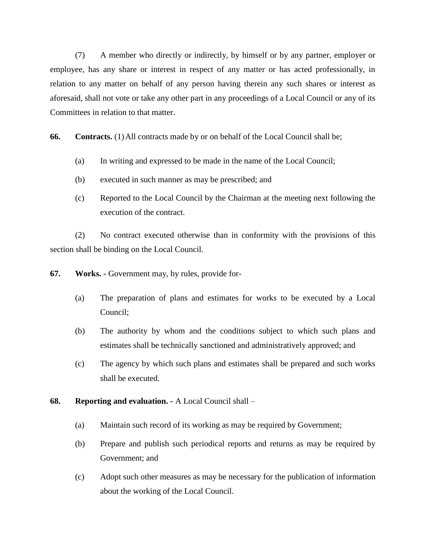(7) A member who directly or indirectly, by himself or by any partner, employer or employee, has any share or interest in respect of any matter or has acted professionally, in relation to any matter on behalf of any person having therein any such shares or interest as aforesaid, shall not vote or take any other part in any proceedings of a Local Council or any of its Committees in relation to that matter.

**66. Contracts.** (1) All contracts made by or on behalf of the Local Council shall be;

- (a) In writing and expressed to be made in the name of the Local Council;
- (b) executed in such manner as may be prescribed; and
- (c) Reported to the Local Council by the Chairman at the meeting next following the execution of the contract.

(2) No contract executed otherwise than in conformity with the provisions of this section shall be binding on the Local Council.

**67. Works. -** Government may, by rules, provide for-

- (a) The preparation of plans and estimates for works to be executed by a Local Council;
- (b) The authority by whom and the conditions subject to which such plans and estimates shall be technically sanctioned and administratively approved; and
- (c) The agency by which such plans and estimates shall be prepared and such works shall be executed.
- **68. Reporting and evaluation. -** A Local Council shall
	- (a) Maintain such record of its working as may be required by Government;
	- (b) Prepare and publish such periodical reports and returns as may be required by Government; and
	- (c) Adopt such other measures as may be necessary for the publication of information about the working of the Local Council.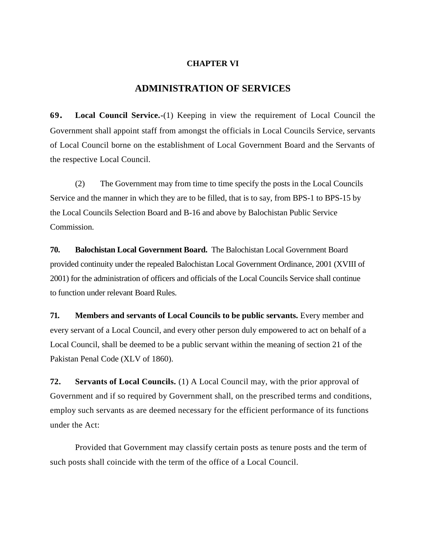## **CHAPTER VI**

## **ADMINISTRATION OF SERVICES**

**69. Local Council Service.-**(1) Keeping in view the requirement of Local Council the Government shall appoint staff from amongst the officials in Local Councils Service, servants of Local Council borne on the establishment of Local Government Board and the Servants of the respective Local Council.

(2) The Government may from time to time specify the posts in the Local Councils Service and the manner in which they are to be filled, that is to say, from BPS-1 to BPS-15 by the Local Councils Selection Board and B-16 and above by Balochistan Public Service Commission.

**70. Balochistan Local Government Board.** The Balochistan Local Government Board provided continuity under the repealed Balochistan Local Government Ordinance, 2001 (XVIII of 2001) for the administration of officers and officials of the Local Councils Service shall continue to function under relevant Board Rules.

**71. Members and servants of Local Councils to be public servants.** Every member and every servant of a Local Council, and every other person duly empowered to act on behalf of a Local Council, shall be deemed to be a public servant within the meaning of section 21 of the Pakistan Penal Code (XLV of 1860).

**72. Servants of Local Councils.** (1) A Local Council may, with the prior approval of Government and if so required by Government shall, on the prescribed terms and conditions, employ such servants as are deemed necessary for the efficient performance of its functions under the Act:

Provided that Government may classify certain posts as tenure posts and the term of such posts shall coincide with the term of the office of a Local Council.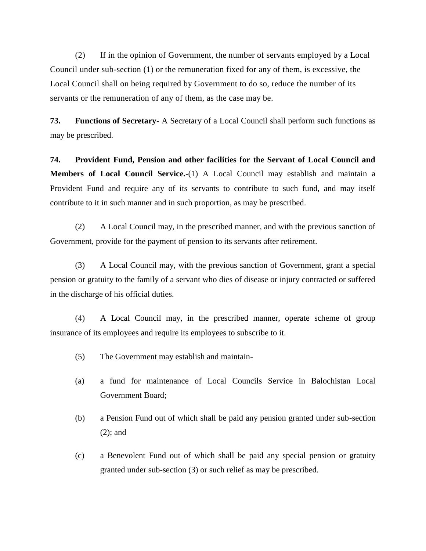(2) If in the opinion of Government, the number of servants employed by a Local Council under sub-section (1) or the remuneration fixed for any of them, is excessive, the Local Council shall on being required by Government to do so, reduce the number of its servants or the remuneration of any of them, as the case may be.

**73. Functions of Secretary-** A Secretary of a Local Council shall perform such functions as may be prescribed.

**74. Provident Fund, Pension and other facilities for the Servant of Local Council and Members of Local Council Service.-**(1) A Local Council may establish and maintain a Provident Fund and require any of its servants to contribute to such fund, and may itself contribute to it in such manner and in such proportion, as may be prescribed.

(2) A Local Council may, in the prescribed manner, and with the previous sanction of Government, provide for the payment of pension to its servants after retirement.

(3) A Local Council may, with the previous sanction of Government, grant a special pension or gratuity to the family of a servant who dies of disease or injury contracted or suffered in the discharge of his official duties.

(4) A Local Council may, in the prescribed manner, operate scheme of group insurance of its employees and require its employees to subscribe to it.

- (5) The Government may establish and maintain-
- (a) a fund for maintenance of Local Councils Service in Balochistan Local Government Board;
- (b) a Pension Fund out of which shall be paid any pension granted under sub-section (2); and
- (c) a Benevolent Fund out of which shall be paid any special pension or gratuity granted under sub-section (3) or such relief as may be prescribed.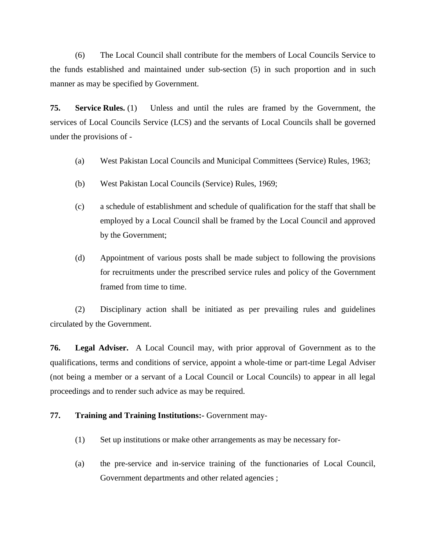(6) The Local Council shall contribute for the members of Local Councils Service to the funds established and maintained under sub-section (5) in such proportion and in such manner as may be specified by Government.

**75. Service Rules.** (1) Unless and until the rules are framed by the Government, the services of Local Councils Service (LCS) and the servants of Local Councils shall be governed under the provisions of -

- (a) West Pakistan Local Councils and Municipal Committees (Service) Rules, 1963;
- (b) West Pakistan Local Councils (Service) Rules, 1969;
- (c) a schedule of establishment and schedule of qualification for the staff that shall be employed by a Local Council shall be framed by the Local Council and approved by the Government;
- (d) Appointment of various posts shall be made subject to following the provisions for recruitments under the prescribed service rules and policy of the Government framed from time to time.

(2) Disciplinary action shall be initiated as per prevailing rules and guidelines circulated by the Government.

**76. Legal Adviser.** A Local Council may, with prior approval of Government as to the qualifications, terms and conditions of service, appoint a whole-time or part-time Legal Adviser (not being a member or a servant of a Local Council or Local Councils) to appear in all legal proceedings and to render such advice as may be required.

# **77. Training and Training Institutions:-** Government may-

- (1) Set up institutions or make other arrangements as may be necessary for-
- (a) the pre-service and in-service training of the functionaries of Local Council, Government departments and other related agencies ;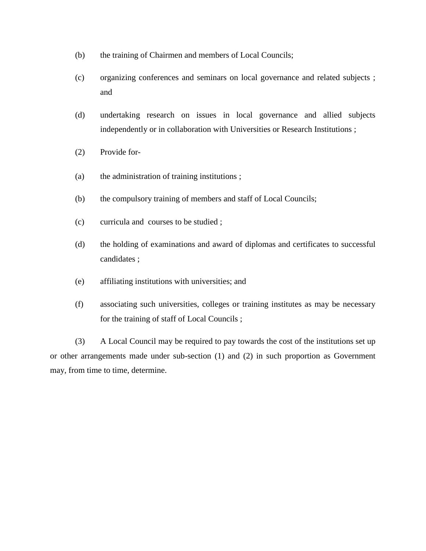- (b) the training of Chairmen and members of Local Councils;
- (c) organizing conferences and seminars on local governance and related subjects ; and
- (d) undertaking research on issues in local governance and allied subjects independently or in collaboration with Universities or Research Institutions ;
- (2) Provide for-
- (a) the administration of training institutions ;
- (b) the compulsory training of members and staff of Local Councils;
- (c) curricula and courses to be studied ;
- (d) the holding of examinations and award of diplomas and certificates to successful candidates ;
- (e) affiliating institutions with universities; and
- (f) associating such universities, colleges or training institutes as may be necessary for the training of staff of Local Councils ;

(3) A Local Council may be required to pay towards the cost of the institutions set up or other arrangements made under sub-section (1) and (2) in such proportion as Government may, from time to time, determine.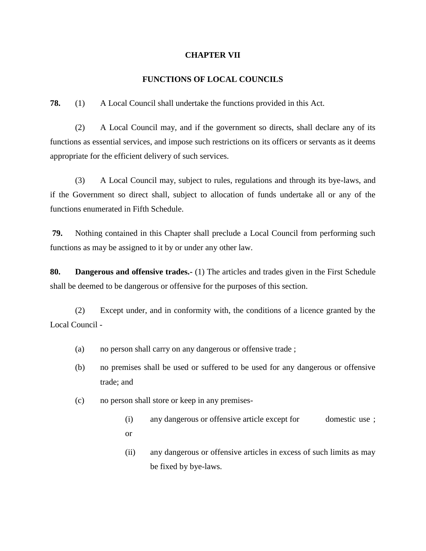### **CHAPTER VII**

### **FUNCTIONS OF LOCAL COUNCILS**

**78.** (1) A Local Council shall undertake the functions provided in this Act.

(2) A Local Council may, and if the government so directs, shall declare any of its functions as essential services, and impose such restrictions on its officers or servants as it deems appropriate for the efficient delivery of such services.

(3) A Local Council may, subject to rules, regulations and through its bye-laws, and if the Government so direct shall, subject to allocation of funds undertake all or any of the functions enumerated in Fifth Schedule.

**79.** Nothing contained in this Chapter shall preclude a Local Council from performing such functions as may be assigned to it by or under any other law.

**80. Dangerous and offensive trades.-** (1) The articles and trades given in the First Schedule shall be deemed to be dangerous or offensive for the purposes of this section.

(2) Except under, and in conformity with, the conditions of a licence granted by the Local Council -

- (a) no person shall carry on any dangerous or offensive trade ;
- (b) no premises shall be used or suffered to be used for any dangerous or offensive trade; and
- (c) no person shall store or keep in any premises-
	- (i) any dangerous or offensive article except for domestic use ; or
	- (ii) any dangerous or offensive articles in excess of such limits as may be fixed by bye-laws.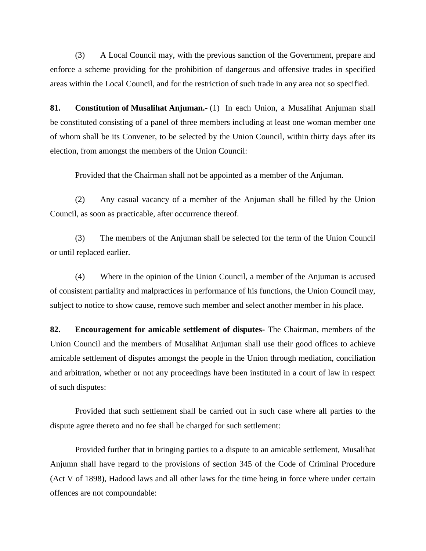(3) A Local Council may, with the previous sanction of the Government, prepare and enforce a scheme providing for the prohibition of dangerous and offensive trades in specified areas within the Local Council, and for the restriction of such trade in any area not so specified.

**81. Constitution of Musalihat Anjuman.-** (1) In each Union, a Musalihat Anjuman shall be constituted consisting of a panel of three members including at least one woman member one of whom shall be its Convener, to be selected by the Union Council, within thirty days after its election, from amongst the members of the Union Council:

Provided that the Chairman shall not be appointed as a member of the Anjuman.

(2) Any casual vacancy of a member of the Anjuman shall be filled by the Union Council, as soon as practicable, after occurrence thereof.

(3) The members of the Anjuman shall be selected for the term of the Union Council or until replaced earlier.

(4) Where in the opinion of the Union Council, a member of the Anjuman is accused of consistent partiality and malpractices in performance of his functions, the Union Council may, subject to notice to show cause, remove such member and select another member in his place.

**82. Encouragement for amicable settlement of disputes-** The Chairman, members of the Union Council and the members of Musalihat Anjuman shall use their good offices to achieve amicable settlement of disputes amongst the people in the Union through mediation, conciliation and arbitration, whether or not any proceedings have been instituted in a court of law in respect of such disputes:

Provided that such settlement shall be carried out in such case where all parties to the dispute agree thereto and no fee shall be charged for such settlement:

Provided further that in bringing parties to a dispute to an amicable settlement, Musalihat Anjumn shall have regard to the provisions of section 345 of the Code of Criminal Procedure (Act V of 1898), Hadood laws and all other laws for the time being in force where under certain offences are not compoundable: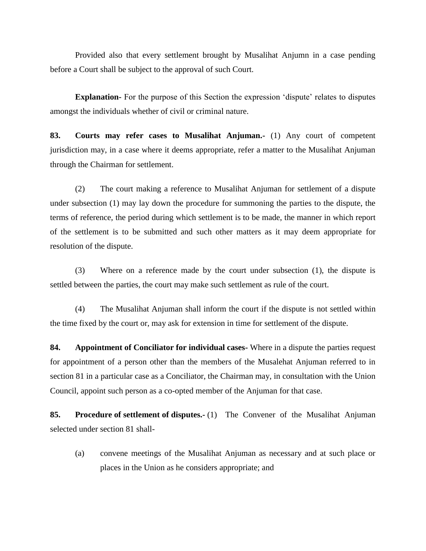Provided also that every settlement brought by Musalihat Anjumn in a case pending before a Court shall be subject to the approval of such Court.

**Explanation-** For the purpose of this Section the expression 'dispute' relates to disputes amongst the individuals whether of civil or criminal nature.

**83. Courts may refer cases to Musalihat Anjuman.-** (1) Any court of competent jurisdiction may, in a case where it deems appropriate, refer a matter to the Musalihat Anjuman through the Chairman for settlement.

(2) The court making a reference to Musalihat Anjuman for settlement of a dispute under subsection (1) may lay down the procedure for summoning the parties to the dispute, the terms of reference, the period during which settlement is to be made, the manner in which report of the settlement is to be submitted and such other matters as it may deem appropriate for resolution of the dispute.

(3) Where on a reference made by the court under subsection (1), the dispute is settled between the parties, the court may make such settlement as rule of the court.

(4) The Musalihat Anjuman shall inform the court if the dispute is not settled within the time fixed by the court or, may ask for extension in time for settlement of the dispute.

**84. Appointment of Conciliator for individual cases-** Where in a dispute the parties request for appointment of a person other than the members of the Musalehat Anjuman referred to in section 81 in a particular case as a Conciliator, the Chairman may, in consultation with the Union Council, appoint such person as a co-opted member of the Anjuman for that case.

**85. Procedure of settlement of disputes.-** (1) The Convener of the Musalihat Anjuman selected under section 81 shall-

(a) convene meetings of the Musalihat Anjuman as necessary and at such place or places in the Union as he considers appropriate; and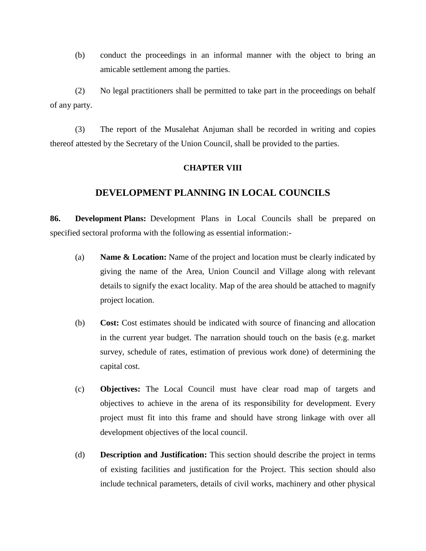(b) conduct the proceedings in an informal manner with the object to bring an amicable settlement among the parties.

(2) No legal practitioners shall be permitted to take part in the proceedings on behalf of any party.

(3) The report of the Musalehat Anjuman shall be recorded in writing and copies thereof attested by the Secretary of the Union Council, shall be provided to the parties.

#### **CHAPTER VIII**

# **DEVELOPMENT PLANNING IN LOCAL COUNCILS**

**86. Development Plans:** Development Plans in Local Councils shall be prepared on specified sectoral proforma with the following as essential information:-

- (a) **Name & Location:** Name of the project and location must be clearly indicated by giving the name of the Area, Union Council and Village along with relevant details to signify the exact locality. Map of the area should be attached to magnify project location.
- (b) **Cost:** Cost estimates should be indicated with source of financing and allocation in the current year budget. The narration should touch on the basis (e.g. market survey, schedule of rates, estimation of previous work done) of determining the capital cost.
- (c) **Objectives:** The Local Council must have clear road map of targets and objectives to achieve in the arena of its responsibility for development. Every project must fit into this frame and should have strong linkage with over all development objectives of the local council.
- (d) **Description and Justification:** This section should describe the project in terms of existing facilities and justification for the Project. This section should also include technical parameters, details of civil works, machinery and other physical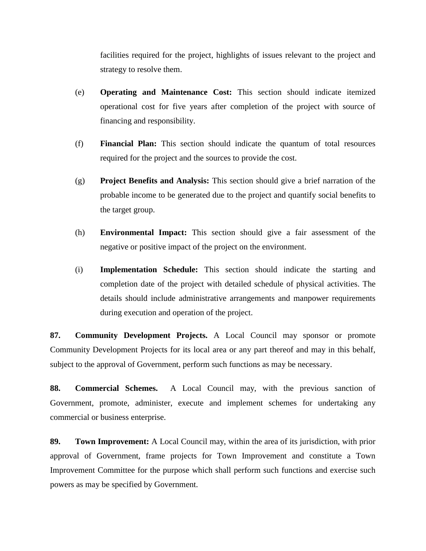facilities required for the project, highlights of issues relevant to the project and strategy to resolve them.

- (e) **Operating and Maintenance Cost:** This section should indicate itemized operational cost for five years after completion of the project with source of financing and responsibility.
- (f) **Financial Plan:** This section should indicate the quantum of total resources required for the project and the sources to provide the cost.
- (g) **Project Benefits and Analysis:** This section should give a brief narration of the probable income to be generated due to the project and quantify social benefits to the target group.
- (h) **Environmental Impact:** This section should give a fair assessment of the negative or positive impact of the project on the environment.
- (i) **Implementation Schedule:** This section should indicate the starting and completion date of the project with detailed schedule of physical activities. The details should include administrative arrangements and manpower requirements during execution and operation of the project.

**87. Community Development Projects.** A Local Council may sponsor or promote Community Development Projects for its local area or any part thereof and may in this behalf, subject to the approval of Government, perform such functions as may be necessary.

**88. Commercial Schemes.** A Local Council may, with the previous sanction of Government, promote, administer, execute and implement schemes for undertaking any commercial or business enterprise.

**89. Town Improvement:** A Local Council may, within the area of its jurisdiction, with prior approval of Government, frame projects for Town Improvement and constitute a Town Improvement Committee for the purpose which shall perform such functions and exercise such powers as may be specified by Government.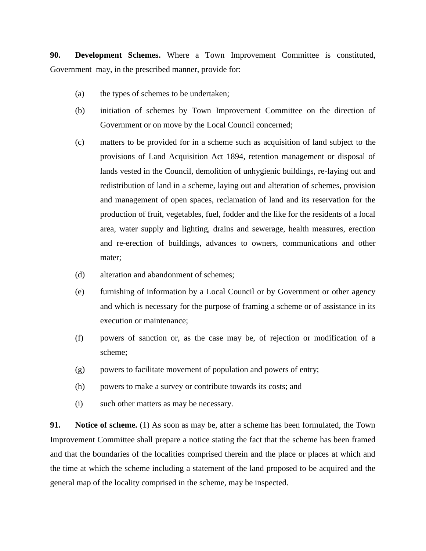**90. Development Schemes.** Where a Town Improvement Committee is constituted, Government may, in the prescribed manner, provide for:

- (a) the types of schemes to be undertaken;
- (b) initiation of schemes by Town Improvement Committee on the direction of Government or on move by the Local Council concerned;
- (c) matters to be provided for in a scheme such as acquisition of land subject to the provisions of Land Acquisition Act 1894, retention management or disposal of lands vested in the Council, demolition of unhygienic buildings, re-laying out and redistribution of land in a scheme, laying out and alteration of schemes, provision and management of open spaces, reclamation of land and its reservation for the production of fruit, vegetables, fuel, fodder and the like for the residents of a local area, water supply and lighting, drains and sewerage, health measures, erection and re-erection of buildings, advances to owners, communications and other mater;
- (d) alteration and abandonment of schemes;
- (e) furnishing of information by a Local Council or by Government or other agency and which is necessary for the purpose of framing a scheme or of assistance in its execution or maintenance;
- (f) powers of sanction or, as the case may be, of rejection or modification of a scheme;
- (g) powers to facilitate movement of population and powers of entry;
- (h) powers to make a survey or contribute towards its costs; and
- (i) such other matters as may be necessary.

**91. Notice of scheme.** (1) As soon as may be, after a scheme has been formulated, the Town Improvement Committee shall prepare a notice stating the fact that the scheme has been framed and that the boundaries of the localities comprised therein and the place or places at which and the time at which the scheme including a statement of the land proposed to be acquired and the general map of the locality comprised in the scheme, may be inspected.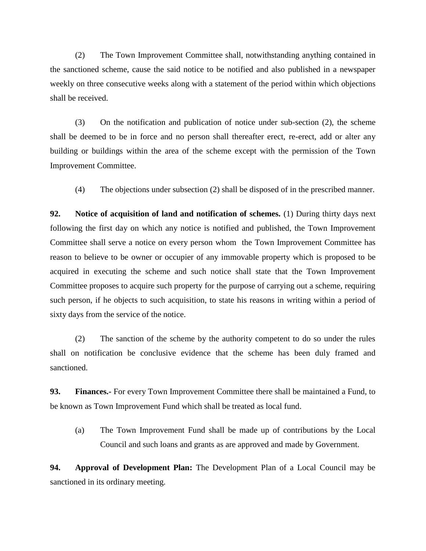(2) The Town Improvement Committee shall, notwithstanding anything contained in the sanctioned scheme, cause the said notice to be notified and also published in a newspaper weekly on three consecutive weeks along with a statement of the period within which objections shall be received.

(3) On the notification and publication of notice under sub-section (2), the scheme shall be deemed to be in force and no person shall thereafter erect, re-erect, add or alter any building or buildings within the area of the scheme except with the permission of the Town Improvement Committee.

(4) The objections under subsection (2) shall be disposed of in the prescribed manner.

**92. Notice of acquisition of land and notification of schemes.** (1) During thirty days next following the first day on which any notice is notified and published, the Town Improvement Committee shall serve a notice on every person whom the Town Improvement Committee has reason to believe to be owner or occupier of any immovable property which is proposed to be acquired in executing the scheme and such notice shall state that the Town Improvement Committee proposes to acquire such property for the purpose of carrying out a scheme, requiring such person, if he objects to such acquisition, to state his reasons in writing within a period of sixty days from the service of the notice.

(2) The sanction of the scheme by the authority competent to do so under the rules shall on notification be conclusive evidence that the scheme has been duly framed and sanctioned.

**93. Finances.-** For every Town Improvement Committee there shall be maintained a Fund, to be known as Town Improvement Fund which shall be treated as local fund.

(a) The Town Improvement Fund shall be made up of contributions by the Local Council and such loans and grants as are approved and made by Government.

**94. Approval of Development Plan:** The Development Plan of a Local Council may be sanctioned in its ordinary meeting.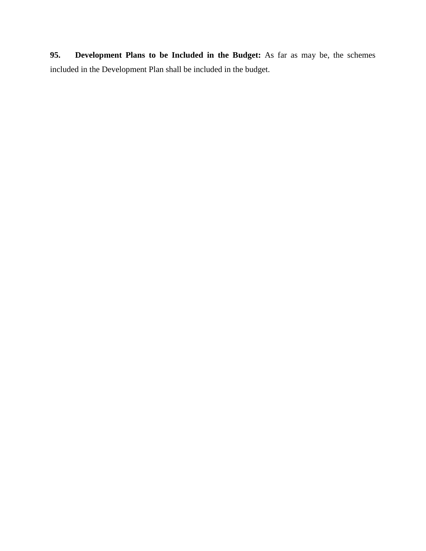**95. Development Plans to be Included in the Budget:** As far as may be, the schemes included in the Development Plan shall be included in the budget.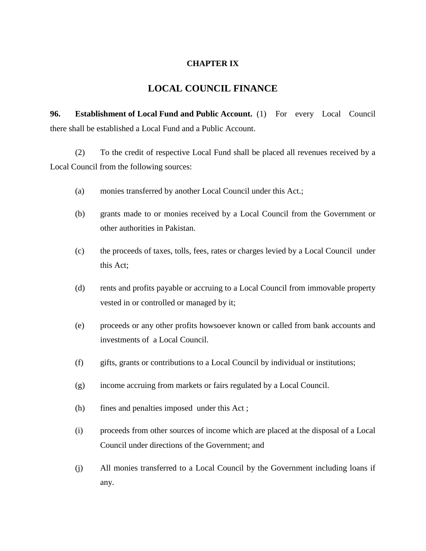## **CHAPTER IX**

# **LOCAL COUNCIL FINANCE**

**96. Establishment of Local Fund and Public Account.** (1) For every Local Council there shall be established a Local Fund and a Public Account.

(2) To the credit of respective Local Fund shall be placed all revenues received by a Local Council from the following sources:

- (a) monies transferred by another Local Council under this Act.;
- (b) grants made to or monies received by a Local Council from the Government or other authorities in Pakistan.
- (c) the proceeds of taxes, tolls, fees, rates or charges levied by a Local Council under this Act;
- (d) rents and profits payable or accruing to a Local Council from immovable property vested in or controlled or managed by it;
- (e) proceeds or any other profits howsoever known or called from bank accounts and investments of a Local Council.
- (f) gifts, grants or contributions to a Local Council by individual or institutions;
- (g) income accruing from markets or fairs regulated by a Local Council.
- (h) fines and penalties imposed under this Act ;
- (i) proceeds from other sources of income which are placed at the disposal of a Local Council under directions of the Government; and
- (j) All monies transferred to a Local Council by the Government including loans if any.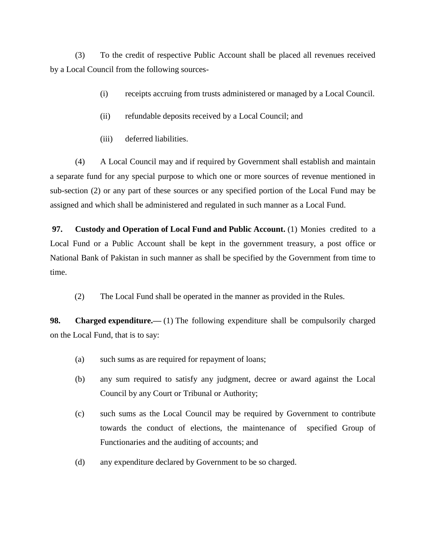(3) To the credit of respective Public Account shall be placed all revenues received by a Local Council from the following sources-

- (i) receipts accruing from trusts administered or managed by a Local Council.
- (ii) refundable deposits received by a Local Council; and
- (iii) deferred liabilities.

(4) A Local Council may and if required by Government shall establish and maintain a separate fund for any special purpose to which one or more sources of revenue mentioned in sub-section (2) or any part of these sources or any specified portion of the Local Fund may be assigned and which shall be administered and regulated in such manner as a Local Fund.

**97. Custody and Operation of Local Fund and Public Account.** (1) Monies credited to a Local Fund or a Public Account shall be kept in the government treasury, a post office or National Bank of Pakistan in such manner as shall be specified by the Government from time to time.

(2) The Local Fund shall be operated in the manner as provided in the Rules.

**98. Charged expenditure.**—(1) The following expenditure shall be compulsorily charged on the Local Fund, that is to say:

- (a) such sums as are required for repayment of loans;
- (b) any sum required to satisfy any judgment, decree or award against the Local Council by any Court or Tribunal or Authority;
- (c) such sums as the Local Council may be required by Government to contribute towards the conduct of elections, the maintenance of specified Group of Functionaries and the auditing of accounts; and
- (d) any expenditure declared by Government to be so charged.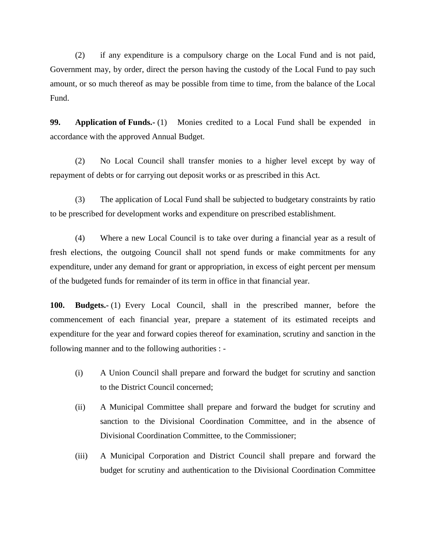(2) if any expenditure is a compulsory charge on the Local Fund and is not paid, Government may, by order, direct the person having the custody of the Local Fund to pay such amount, or so much thereof as may be possible from time to time, from the balance of the Local Fund.

**99. Application of Funds.-** (1) Monies credited to a Local Fund shall be expended in accordance with the approved Annual Budget.

(2) No Local Council shall transfer monies to a higher level except by way of repayment of debts or for carrying out deposit works or as prescribed in this Act.

(3) The application of Local Fund shall be subjected to budgetary constraints by ratio to be prescribed for development works and expenditure on prescribed establishment.

(4) Where a new Local Council is to take over during a financial year as a result of fresh elections, the outgoing Council shall not spend funds or make commitments for any expenditure, under any demand for grant or appropriation, in excess of eight percent per mensum of the budgeted funds for remainder of its term in office in that financial year.

**100. Budgets.-** (1) Every Local Council, shall in the prescribed manner, before the commencement of each financial year, prepare a statement of its estimated receipts and expenditure for the year and forward copies thereof for examination, scrutiny and sanction in the following manner and to the following authorities : -

- (i) A Union Council shall prepare and forward the budget for scrutiny and sanction to the District Council concerned;
- (ii) A Municipal Committee shall prepare and forward the budget for scrutiny and sanction to the Divisional Coordination Committee, and in the absence of Divisional Coordination Committee, to the Commissioner;
- (iii) A Municipal Corporation and District Council shall prepare and forward the budget for scrutiny and authentication to the Divisional Coordination Committee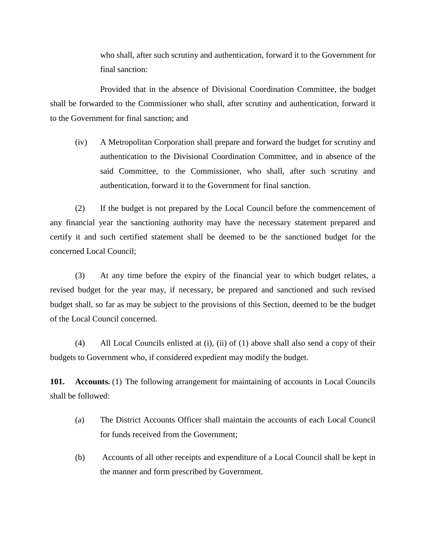who shall, after such scrutiny and authentication, forward it to the Government for final sanction:

Provided that in the absence of Divisional Coordination Committee, the budget shall be forwarded to the Commissioner who shall, after scrutiny and authentication, forward it to the Government for final sanction; and

(iv) A Metropolitan Corporation shall prepare and forward the budget for scrutiny and authentication to the Divisional Coordination Committee, and in absence of the said Committee, to the Commissioner, who shall, after such scrutiny and authentication, forward it to the Government for final sanction.

(2) If the budget is not prepared by the Local Council before the commencement of any financial year the sanctioning authority may have the necessary statement prepared and certify it and such certified statement shall be deemed to be the sanctioned budget for the concerned Local Council;

(3) At any time before the expiry of the financial year to which budget relates, a revised budget for the year may, if necessary, be prepared and sanctioned and such revised budget shall, so far as may be subject to the provisions of this Section, deemed to be the budget of the Local Council concerned.

(4) All Local Councils enlisted at (i), (ii) of (1) above shall also send a copy of their budgets to Government who, if considered expedient may modify the budget.

**101. Accounts.** (1) The following arrangement for maintaining of accounts in Local Councils shall be followed:

- (a) The District Accounts Officer shall maintain the accounts of each Local Council for funds received from the Government;
- (b) Accounts of all other receipts and expenditure of a Local Council shall be kept in the manner and form prescribed by Government.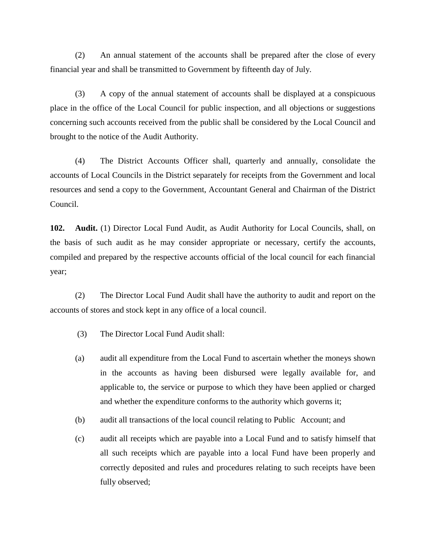(2) An annual statement of the accounts shall be prepared after the close of every financial year and shall be transmitted to Government by fifteenth day of July.

(3) A copy of the annual statement of accounts shall be displayed at a conspicuous place in the office of the Local Council for public inspection, and all objections or suggestions concerning such accounts received from the public shall be considered by the Local Council and brought to the notice of the Audit Authority.

(4) The District Accounts Officer shall, quarterly and annually, consolidate the accounts of Local Councils in the District separately for receipts from the Government and local resources and send a copy to the Government, Accountant General and Chairman of the District Council.

**102. Audit.** (1) Director Local Fund Audit, as Audit Authority for Local Councils, shall, on the basis of such audit as he may consider appropriate or necessary, certify the accounts, compiled and prepared by the respective accounts official of the local council for each financial year;

(2) The Director Local Fund Audit shall have the authority to audit and report on the accounts of stores and stock kept in any office of a local council.

- (3) The Director Local Fund Audit shall:
- (a) audit all expenditure from the Local Fund to ascertain whether the moneys shown in the accounts as having been disbursed were legally available for, and applicable to, the service or purpose to which they have been applied or charged and whether the expenditure conforms to the authority which governs it;
- (b) audit all transactions of the local council relating to Public Account; and
- (c) audit all receipts which are payable into a Local Fund and to satisfy himself that all such receipts which are payable into a local Fund have been properly and correctly deposited and rules and procedures relating to such receipts have been fully observed;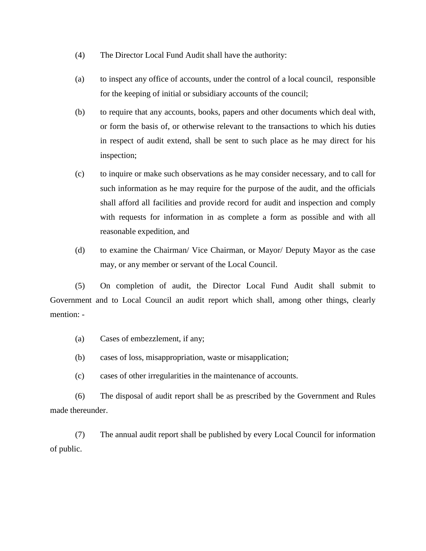- (4) The Director Local Fund Audit shall have the authority:
- (a) to inspect any office of accounts, under the control of a local council, responsible for the keeping of initial or subsidiary accounts of the council;
- (b) to require that any accounts, books, papers and other documents which deal with, or form the basis of, or otherwise relevant to the transactions to which his duties in respect of audit extend, shall be sent to such place as he may direct for his inspection;
- (c) to inquire or make such observations as he may consider necessary, and to call for such information as he may require for the purpose of the audit, and the officials shall afford all facilities and provide record for audit and inspection and comply with requests for information in as complete a form as possible and with all reasonable expedition, and
- (d) to examine the Chairman/ Vice Chairman, or Mayor/ Deputy Mayor as the case may, or any member or servant of the Local Council.

(5) On completion of audit, the Director Local Fund Audit shall submit to Government and to Local Council an audit report which shall, among other things, clearly mention: -

- (a) Cases of embezzlement, if any;
- (b) cases of loss, misappropriation, waste or misapplication;
- (c) cases of other irregularities in the maintenance of accounts.

(6) The disposal of audit report shall be as prescribed by the Government and Rules made thereunder.

(7) The annual audit report shall be published by every Local Council for information of public.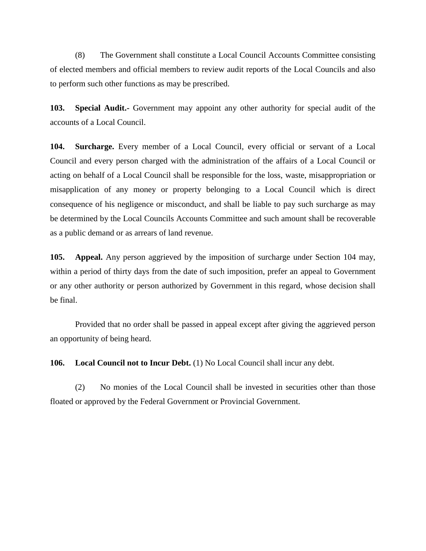(8) The Government shall constitute a Local Council Accounts Committee consisting of elected members and official members to review audit reports of the Local Councils and also to perform such other functions as may be prescribed.

**103. Special Audit.-** Government may appoint any other authority for special audit of the accounts of a Local Council.

**104. Surcharge.** Every member of a Local Council, every official or servant of a Local Council and every person charged with the administration of the affairs of a Local Council or acting on behalf of a Local Council shall be responsible for the loss, waste, misappropriation or misapplication of any money or property belonging to a Local Council which is direct consequence of his negligence or misconduct, and shall be liable to pay such surcharge as may be determined by the Local Councils Accounts Committee and such amount shall be recoverable as a public demand or as arrears of land revenue.

**105. Appeal.** Any person aggrieved by the imposition of surcharge under Section 104 may, within a period of thirty days from the date of such imposition, prefer an appeal to Government or any other authority or person authorized by Government in this regard, whose decision shall be final.

Provided that no order shall be passed in appeal except after giving the aggrieved person an opportunity of being heard.

**106. Local Council not to Incur Debt.** (1) No Local Council shall incur any debt.

(2) No monies of the Local Council shall be invested in securities other than those floated or approved by the Federal Government or Provincial Government.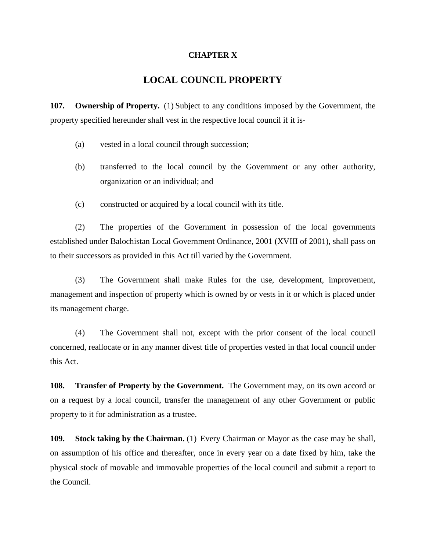## **CHAPTER X**

# **LOCAL COUNCIL PROPERTY**

**107. Ownership of Property.** (1) Subject to any conditions imposed by the Government, the property specified hereunder shall vest in the respective local council if it is-

- (a) vested in a local council through succession;
- (b) transferred to the local council by the Government or any other authority, organization or an individual; and
- (c) constructed or acquired by a local council with its title.

(2) The properties of the Government in possession of the local governments established under Balochistan Local Government Ordinance, 2001 (XVIII of 2001), shall pass on to their successors as provided in this Act till varied by the Government.

(3) The Government shall make Rules for the use, development, improvement, management and inspection of property which is owned by or vests in it or which is placed under its management charge.

(4) The Government shall not, except with the prior consent of the local council concerned, reallocate or in any manner divest title of properties vested in that local council under this Act.

**108. Transfer of Property by the Government.** The Government may, on its own accord or on a request by a local council, transfer the management of any other Government or public property to it for administration as a trustee.

**109. Stock taking by the Chairman.** (1) Every Chairman or Mayor as the case may be shall, on assumption of his office and thereafter, once in every year on a date fixed by him, take the physical stock of movable and immovable properties of the local council and submit a report to the Council.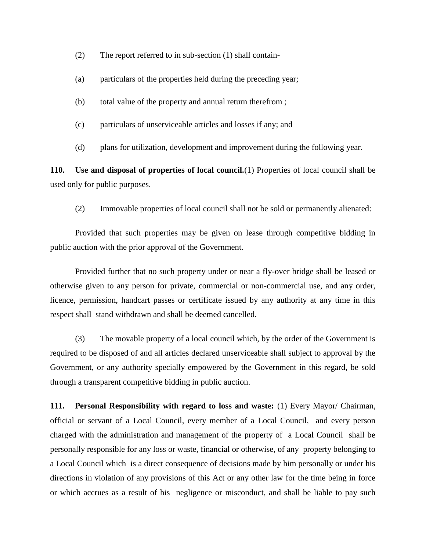- (2) The report referred to in sub-section (1) shall contain-
- (a) particulars of the properties held during the preceding year;
- (b) total value of the property and annual return therefrom ;
- (c) particulars of unserviceable articles and losses if any; and
- (d) plans for utilization, development and improvement during the following year.

**110. Use and disposal of properties of local council.**(1) Properties of local council shall be used only for public purposes.

(2) Immovable properties of local council shall not be sold or permanently alienated:

Provided that such properties may be given on lease through competitive bidding in public auction with the prior approval of the Government.

Provided further that no such property under or near a fly-over bridge shall be leased or otherwise given to any person for private, commercial or non-commercial use, and any order, licence, permission, handcart passes or certificate issued by any authority at any time in this respect shall stand withdrawn and shall be deemed cancelled.

(3) The movable property of a local council which, by the order of the Government is required to be disposed of and all articles declared unserviceable shall subject to approval by the Government, or any authority specially empowered by the Government in this regard, be sold through a transparent competitive bidding in public auction.

**111. Personal Responsibility with regard to loss and waste:** (1) Every Mayor/ Chairman, official or servant of a Local Council, every member of a Local Council, and every person charged with the administration and management of the property of a Local Council shall be personally responsible for any loss or waste, financial or otherwise, of any property belonging to a Local Council which is a direct consequence of decisions made by him personally or under his directions in violation of any provisions of this Act or any other law for the time being in force or which accrues as a result of his negligence or misconduct, and shall be liable to pay such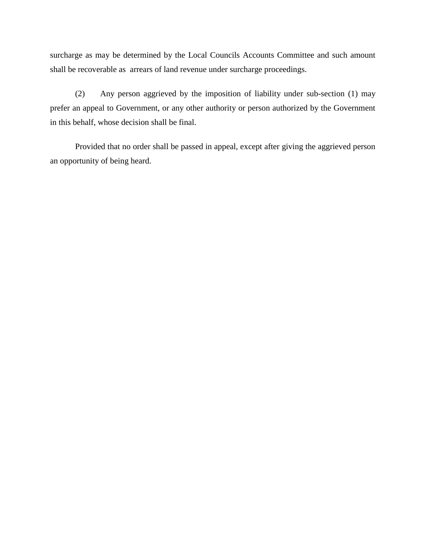surcharge as may be determined by the Local Councils Accounts Committee and such amount shall be recoverable as arrears of land revenue under surcharge proceedings.

(2) Any person aggrieved by the imposition of liability under sub-section (1) may prefer an appeal to Government, or any other authority or person authorized by the Government in this behalf, whose decision shall be final.

Provided that no order shall be passed in appeal, except after giving the aggrieved person an opportunity of being heard.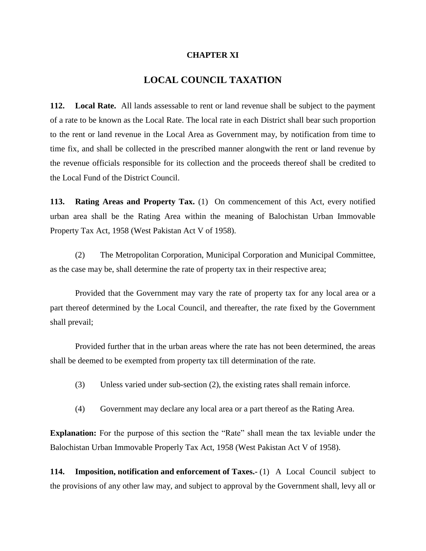#### **CHAPTER XI**

# **LOCAL COUNCIL TAXATION**

**112. Local Rate.** All lands assessable to rent or land revenue shall be subject to the payment of a rate to be known as the Local Rate. The local rate in each District shall bear such proportion to the rent or land revenue in the Local Area as Government may, by notification from time to time fix, and shall be collected in the prescribed manner alongwith the rent or land revenue by the revenue officials responsible for its collection and the proceeds thereof shall be credited to the Local Fund of the District Council.

**113. Rating Areas and Property Tax.** (1) On commencement of this Act, every notified urban area shall be the Rating Area within the meaning of Balochistan Urban Immovable Property Tax Act, 1958 (West Pakistan Act V of 1958).

(2) The Metropolitan Corporation, Municipal Corporation and Municipal Committee, as the case may be, shall determine the rate of property tax in their respective area;

Provided that the Government may vary the rate of property tax for any local area or a part thereof determined by the Local Council, and thereafter, the rate fixed by the Government shall prevail;

Provided further that in the urban areas where the rate has not been determined, the areas shall be deemed to be exempted from property tax till determination of the rate.

- (3) Unless varied under sub-section (2), the existing rates shall remain inforce.
- (4) Government may declare any local area or a part thereof as the Rating Area.

**Explanation:** For the purpose of this section the "Rate" shall mean the tax leviable under the Balochistan Urban Immovable Properly Tax Act, 1958 (West Pakistan Act V of 1958).

**114. Imposition, notification and enforcement of Taxes.-** (1) A Local Council subject to the provisions of any other law may, and subject to approval by the Government shall, levy all or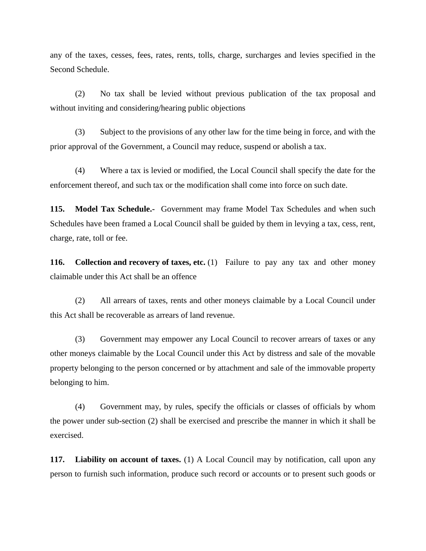any of the taxes, cesses, fees, rates, rents, tolls, charge, surcharges and levies specified in the Second Schedule.

(2) No tax shall be levied without previous publication of the tax proposal and without inviting and considering/hearing public objections

(3) Subject to the provisions of any other law for the time being in force, and with the prior approval of the Government, a Council may reduce, suspend or abolish a tax.

(4) Where a tax is levied or modified, the Local Council shall specify the date for the enforcement thereof, and such tax or the modification shall come into force on such date.

**115. Model Tax Schedule.-** Government may frame Model Tax Schedules and when such Schedules have been framed a Local Council shall be guided by them in levying a tax, cess, rent, charge, rate, toll or fee.

**116. Collection and recovery of taxes, etc.** (1) Failure to pay any tax and other money claimable under this Act shall be an offence

(2) All arrears of taxes, rents and other moneys claimable by a Local Council under this Act shall be recoverable as arrears of land revenue.

(3) Government may empower any Local Council to recover arrears of taxes or any other moneys claimable by the Local Council under this Act by distress and sale of the movable property belonging to the person concerned or by attachment and sale of the immovable property belonging to him.

(4) Government may, by rules, specify the officials or classes of officials by whom the power under sub-section (2) shall be exercised and prescribe the manner in which it shall be exercised.

**117. Liability on account of taxes.** (1) A Local Council may by notification, call upon any person to furnish such information, produce such record or accounts or to present such goods or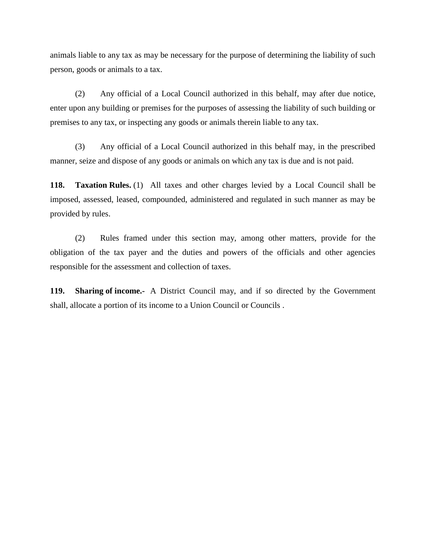animals liable to any tax as may be necessary for the purpose of determining the liability of such person, goods or animals to a tax.

(2) Any official of a Local Council authorized in this behalf, may after due notice, enter upon any building or premises for the purposes of assessing the liability of such building or premises to any tax, or inspecting any goods or animals therein liable to any tax.

(3) Any official of a Local Council authorized in this behalf may, in the prescribed manner, seize and dispose of any goods or animals on which any tax is due and is not paid.

**118. Taxation Rules.** (1) All taxes and other charges levied by a Local Council shall be imposed, assessed, leased, compounded, administered and regulated in such manner as may be provided by rules.

(2) Rules framed under this section may, among other matters, provide for the obligation of the tax payer and the duties and powers of the officials and other agencies responsible for the assessment and collection of taxes.

**119. Sharing of income.-** A District Council may, and if so directed by the Government shall, allocate a portion of its income to a Union Council or Councils.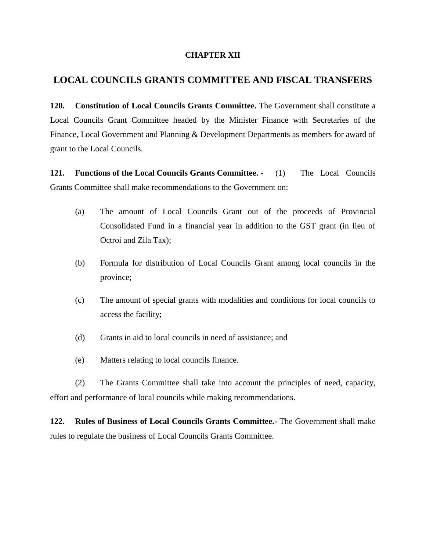## **CHAPTER XII**

# **LOCAL COUNCILS GRANTS COMMITTEE AND FISCAL TRANSFERS**

**120. Constitution of Local Councils Grants Committee.** The Government shall constitute a Local Councils Grant Committee headed by the Minister Finance with Secretaries of the Finance, Local Government and Planning & Development Departments as members for award of grant to the Local Councils.

**121. Functions of the Local Councils Grants Committee. -** (1) The Local Councils Grants Committee shall make recommendations to the Government on:

- (a) The amount of Local Councils Grant out of the proceeds of Provincial Consolidated Fund in a financial year in addition to the GST grant (in lieu of Octroi and Zila Tax);
- (b) Formula for distribution of Local Councils Grant among local councils in the province;
- (c) The amount of special grants with modalities and conditions for local councils to access the facility;
- (d) Grants in aid to local councils in need of assistance; and
- (e) Matters relating to local councils finance.

(2) The Grants Committee shall take into account the principles of need, capacity, effort and performance of local councils while making recommendations.

**122. Rules of Business of Local Councils Grants Committee.-** The Government shall make rules to regulate the business of Local Councils Grants Committee.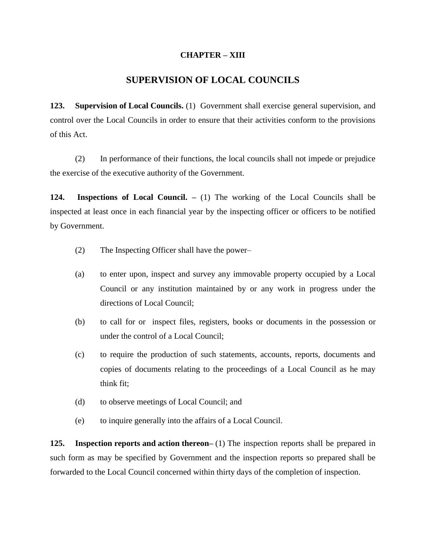## **CHAPTER – XIII**

# **SUPERVISION OF LOCAL COUNCILS**

**123. Supervision of Local Councils.** (1) Government shall exercise general supervision, and control over the Local Councils in order to ensure that their activities conform to the provisions of this Act.

(2) In performance of their functions, the local councils shall not impede or prejudice the exercise of the executive authority of the Government.

**124. Inspections of Local Council. –** (1) The working of the Local Councils shall be inspected at least once in each financial year by the inspecting officer or officers to be notified by Government.

- (2) The Inspecting Officer shall have the power–
- (a) to enter upon, inspect and survey any immovable property occupied by a Local Council or any institution maintained by or any work in progress under the directions of Local Council;
- (b) to call for or inspect files, registers, books or documents in the possession or under the control of a Local Council;
- (c) to require the production of such statements, accounts, reports, documents and copies of documents relating to the proceedings of a Local Council as he may think fit;
- (d) to observe meetings of Local Council; and
- (e) to inquire generally into the affairs of a Local Council.

**125. Inspection reports and action thereon–** (1) The inspection reports shall be prepared in such form as may be specified by Government and the inspection reports so prepared shall be forwarded to the Local Council concerned within thirty days of the completion of inspection.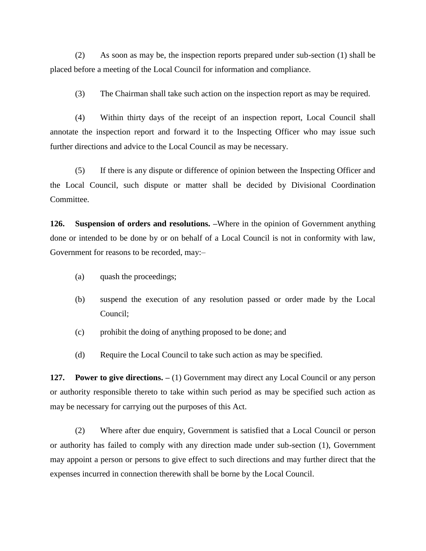(2) As soon as may be, the inspection reports prepared under sub-section (1) shall be placed before a meeting of the Local Council for information and compliance.

(3) The Chairman shall take such action on the inspection report as may be required.

(4) Within thirty days of the receipt of an inspection report, Local Council shall annotate the inspection report and forward it to the Inspecting Officer who may issue such further directions and advice to the Local Council as may be necessary.

(5) If there is any dispute or difference of opinion between the Inspecting Officer and the Local Council, such dispute or matter shall be decided by Divisional Coordination Committee.

**126. Suspension of orders and resolutions. –**Where in the opinion of Government anything done or intended to be done by or on behalf of a Local Council is not in conformity with law, Government for reasons to be recorded, may:–

- (a) quash the proceedings;
- (b) suspend the execution of any resolution passed or order made by the Local Council;
- (c) prohibit the doing of anything proposed to be done; and
- (d) Require the Local Council to take such action as may be specified.

**127. Power to give directions. –** (1) Government may direct any Local Council or any person or authority responsible thereto to take within such period as may be specified such action as may be necessary for carrying out the purposes of this Act.

(2) Where after due enquiry, Government is satisfied that a Local Council or person or authority has failed to comply with any direction made under sub-section (1), Government may appoint a person or persons to give effect to such directions and may further direct that the expenses incurred in connection therewith shall be borne by the Local Council.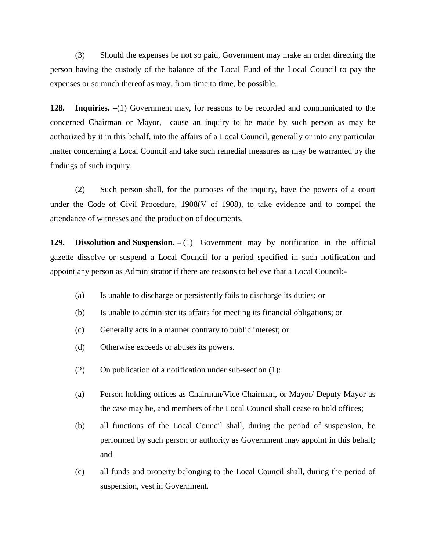(3) Should the expenses be not so paid, Government may make an order directing the person having the custody of the balance of the Local Fund of the Local Council to pay the expenses or so much thereof as may, from time to time, be possible.

**128. Inquiries. –**(1) Government may, for reasons to be recorded and communicated to the concerned Chairman or Mayor, cause an inquiry to be made by such person as may be authorized by it in this behalf, into the affairs of a Local Council, generally or into any particular matter concerning a Local Council and take such remedial measures as may be warranted by the findings of such inquiry.

(2) Such person shall, for the purposes of the inquiry, have the powers of a court under the Code of Civil Procedure, 1908(V of 1908), to take evidence and to compel the attendance of witnesses and the production of documents.

**129. Dissolution and Suspension. –** (1) Government may by notification in the official gazette dissolve or suspend a Local Council for a period specified in such notification and appoint any person as Administrator if there are reasons to believe that a Local Council:-

- (a) Is unable to discharge or persistently fails to discharge its duties; or
- (b) Is unable to administer its affairs for meeting its financial obligations; or
- (c) Generally acts in a manner contrary to public interest; or
- (d) Otherwise exceeds or abuses its powers.
- (2) On publication of a notification under sub-section (1):
- (a) Person holding offices as Chairman/Vice Chairman, or Mayor/ Deputy Mayor as the case may be, and members of the Local Council shall cease to hold offices;
- (b) all functions of the Local Council shall, during the period of suspension, be performed by such person or authority as Government may appoint in this behalf; and
- (c) all funds and property belonging to the Local Council shall, during the period of suspension, vest in Government.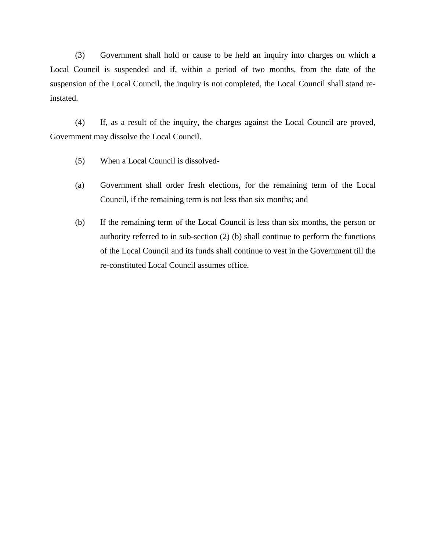(3) Government shall hold or cause to be held an inquiry into charges on which a Local Council is suspended and if, within a period of two months, from the date of the suspension of the Local Council, the inquiry is not completed, the Local Council shall stand reinstated.

(4) If, as a result of the inquiry, the charges against the Local Council are proved, Government may dissolve the Local Council.

- (5) When a Local Council is dissolved-
- (a) Government shall order fresh elections, for the remaining term of the Local Council, if the remaining term is not less than six months; and
- (b) If the remaining term of the Local Council is less than six months, the person or authority referred to in sub-section (2) (b) shall continue to perform the functions of the Local Council and its funds shall continue to vest in the Government till the re-constituted Local Council assumes office.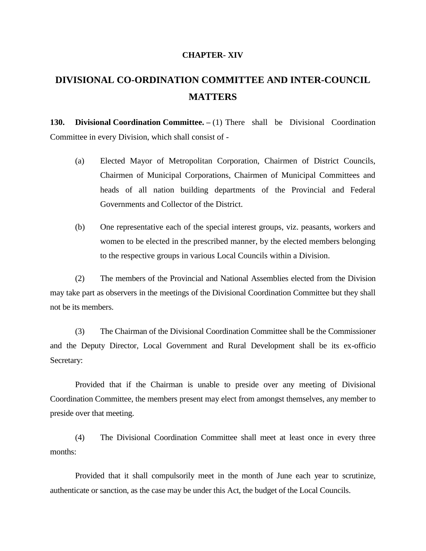#### **CHAPTER- XIV**

# **DIVISIONAL CO-ORDINATION COMMITTEE AND INTER-COUNCIL MATTERS**

**130. Divisional Coordination Committee. –** (1) There shall be Divisional Coordination Committee in every Division, which shall consist of -

- (a) Elected Mayor of Metropolitan Corporation, Chairmen of District Councils, Chairmen of Municipal Corporations, Chairmen of Municipal Committees and heads of all nation building departments of the Provincial and Federal Governments and Collector of the District.
- (b) One representative each of the special interest groups, viz. peasants, workers and women to be elected in the prescribed manner, by the elected members belonging to the respective groups in various Local Councils within a Division.

(2) The members of the Provincial and National Assemblies elected from the Division may take part as observers in the meetings of the Divisional Coordination Committee but they shall not be its members.

(3) The Chairman of the Divisional Coordination Committee shall be the Commissioner and the Deputy Director, Local Government and Rural Development shall be its ex-officio Secretary:

Provided that if the Chairman is unable to preside over any meeting of Divisional Coordination Committee, the members present may elect from amongst themselves, any member to preside over that meeting.

(4) The Divisional Coordination Committee shall meet at least once in every three months:

Provided that it shall compulsorily meet in the month of June each year to scrutinize, authenticate or sanction, as the case may be under this Act, the budget of the Local Councils.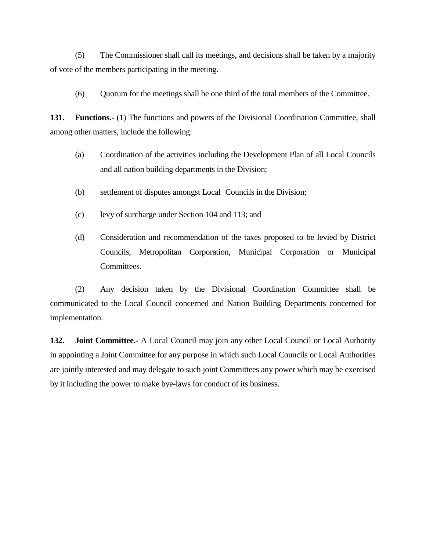(5) The Commissioner shall call its meetings, and decisions shall be taken by a majority of vote of the members participating in the meeting.

(6) Quorum for the meetings shall be one third of the total members of the Committee.

**131. Functions.-** (1) The functions and powers of the Divisional Coordination Committee, shall among other matters, include the following:

- (a) Coordination of the activities including the Development Plan of all Local Councils and all nation building departments in the Division;
- (b) settlement of disputes amongst Local Councils in the Division;
- (c) levy of surcharge under Section 104 and 113; and
- (d) Consideration and recommendation of the taxes proposed to be levied by District Councils, Metropolitan Corporation, Municipal Corporation or Municipal Committees.

(2) Any decision taken by the Divisional Coordination Committee shall be communicated to the Local Council concerned and Nation Building Departments concerned for implementation.

**132. Joint Committee.-** A Local Council may join any other Local Council or Local Authority in appointing a Joint Committee for any purpose in which such Local Councils or Local Authorities are jointly interested and may delegate to such joint Committees any power which may be exercised by it including the power to make bye-laws for conduct of its business.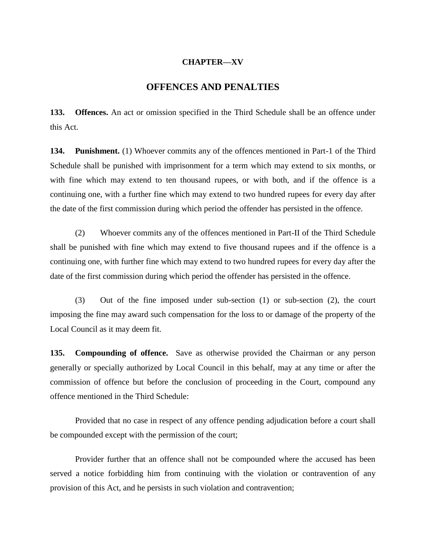#### **CHAPTER—XV**

#### **OFFENCES AND PENALTIES**

**133. Offences.** An act or omission specified in the Third Schedule shall be an offence under this Act.

**134. Punishment.** (1) Whoever commits any of the offences mentioned in Part-1 of the Third Schedule shall be punished with imprisonment for a term which may extend to six months, or with fine which may extend to ten thousand rupees, or with both, and if the offence is a continuing one, with a further fine which may extend to two hundred rupees for every day after the date of the first commission during which period the offender has persisted in the offence.

(2) Whoever commits any of the offences mentioned in Part-II of the Third Schedule shall be punished with fine which may extend to five thousand rupees and if the offence is a continuing one, with further fine which may extend to two hundred rupees for every day after the date of the first commission during which period the offender has persisted in the offence.

(3) Out of the fine imposed under sub-section (1) or sub-section (2), the court imposing the fine may award such compensation for the loss to or damage of the property of the Local Council as it may deem fit.

**135. Compounding of offence.** Save as otherwise provided the Chairman or any person generally or specially authorized by Local Council in this behalf, may at any time or after the commission of offence but before the conclusion of proceeding in the Court, compound any offence mentioned in the Third Schedule:

Provided that no case in respect of any offence pending adjudication before a court shall be compounded except with the permission of the court;

Provider further that an offence shall not be compounded where the accused has been served a notice forbidding him from continuing with the violation or contravention of any provision of this Act, and he persists in such violation and contravention;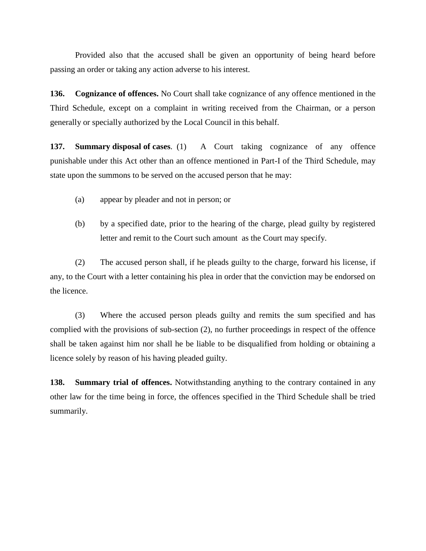Provided also that the accused shall be given an opportunity of being heard before passing an order or taking any action adverse to his interest.

**136. Cognizance of offences.** No Court shall take cognizance of any offence mentioned in the Third Schedule, except on a complaint in writing received from the Chairman, or a person generally or specially authorized by the Local Council in this behalf.

**137. Summary disposal of cases**. (1) A Court taking cognizance of any offence punishable under this Act other than an offence mentioned in Part-I of the Third Schedule, may state upon the summons to be served on the accused person that he may:

- (a) appear by pleader and not in person; or
- (b) by a specified date, prior to the hearing of the charge, plead guilty by registered letter and remit to the Court such amount as the Court may specify.

(2) The accused person shall, if he pleads guilty to the charge, forward his license, if any, to the Court with a letter containing his plea in order that the conviction may be endorsed on the licence.

(3) Where the accused person pleads guilty and remits the sum specified and has complied with the provisions of sub-section (2), no further proceedings in respect of the offence shall be taken against him nor shall he be liable to be disqualified from holding or obtaining a licence solely by reason of his having pleaded guilty.

**138. Summary trial of offences.** Notwithstanding anything to the contrary contained in any other law for the time being in force, the offences specified in the Third Schedule shall be tried summarily.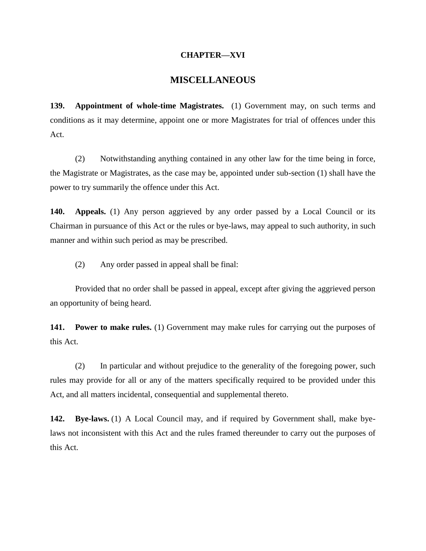#### **CHAPTER—XVI**

## **MISCELLANEOUS**

**139. Appointment of whole-time Magistrates.** (1) Government may, on such terms and conditions as it may determine, appoint one or more Magistrates for trial of offences under this Act.

(2) Notwithstanding anything contained in any other law for the time being in force, the Magistrate or Magistrates, as the case may be, appointed under sub-section (1) shall have the power to try summarily the offence under this Act.

**140. Appeals.** (1) Any person aggrieved by any order passed by a Local Council or its Chairman in pursuance of this Act or the rules or bye-laws, may appeal to such authority, in such manner and within such period as may be prescribed.

(2) Any order passed in appeal shall be final:

Provided that no order shall be passed in appeal, except after giving the aggrieved person an opportunity of being heard.

**141. Power to make rules.** (1) Government may make rules for carrying out the purposes of this Act.

(2) In particular and without prejudice to the generality of the foregoing power, such rules may provide for all or any of the matters specifically required to be provided under this Act, and all matters incidental, consequential and supplemental thereto.

**142. Bye-laws.** (1) A Local Council may, and if required by Government shall, make byelaws not inconsistent with this Act and the rules framed thereunder to carry out the purposes of this Act.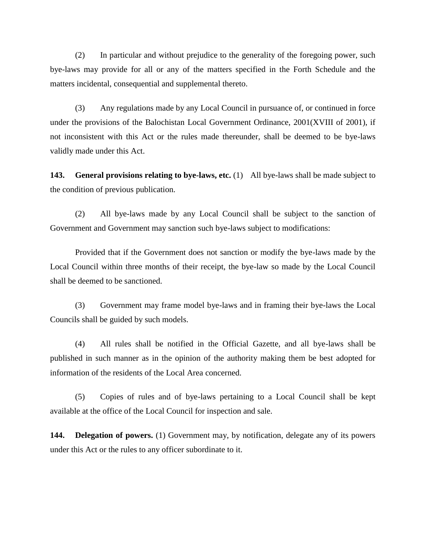(2) In particular and without prejudice to the generality of the foregoing power, such bye-laws may provide for all or any of the matters specified in the Forth Schedule and the matters incidental, consequential and supplemental thereto.

(3) Any regulations made by any Local Council in pursuance of, or continued in force under the provisions of the Balochistan Local Government Ordinance, 2001(XVIII of 2001), if not inconsistent with this Act or the rules made thereunder, shall be deemed to be bye-laws validly made under this Act.

**143. General provisions relating to bye-laws, etc.** (1) All bye-laws shall be made subject to the condition of previous publication.

(2) All bye-laws made by any Local Council shall be subject to the sanction of Government and Government may sanction such bye-laws subject to modifications:

Provided that if the Government does not sanction or modify the bye-laws made by the Local Council within three months of their receipt, the bye-law so made by the Local Council shall be deemed to be sanctioned.

(3) Government may frame model bye-laws and in framing their bye-laws the Local Councils shall be guided by such models.

(4) All rules shall be notified in the Official Gazette, and all bye-laws shall be published in such manner as in the opinion of the authority making them be best adopted for information of the residents of the Local Area concerned.

(5) Copies of rules and of bye-laws pertaining to a Local Council shall be kept available at the office of the Local Council for inspection and sale.

**144. Delegation of powers.** (1) Government may, by notification, delegate any of its powers under this Act or the rules to any officer subordinate to it.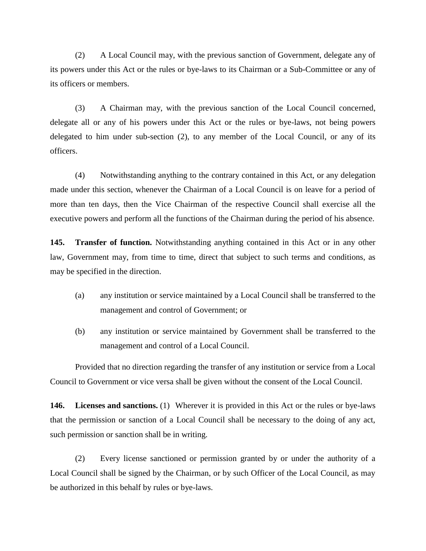(2) A Local Council may, with the previous sanction of Government, delegate any of its powers under this Act or the rules or bye-laws to its Chairman or a Sub-Committee or any of its officers or members.

(3) A Chairman may, with the previous sanction of the Local Council concerned, delegate all or any of his powers under this Act or the rules or bye-laws, not being powers delegated to him under sub-section (2), to any member of the Local Council, or any of its officers.

(4) Notwithstanding anything to the contrary contained in this Act, or any delegation made under this section, whenever the Chairman of a Local Council is on leave for a period of more than ten days, then the Vice Chairman of the respective Council shall exercise all the executive powers and perform all the functions of the Chairman during the period of his absence.

**145. Transfer of function.** Notwithstanding anything contained in this Act or in any other law, Government may, from time to time, direct that subject to such terms and conditions, as may be specified in the direction.

- (a) any institution or service maintained by a Local Council shall be transferred to the management and control of Government; or
- (b) any institution or service maintained by Government shall be transferred to the management and control of a Local Council.

Provided that no direction regarding the transfer of any institution or service from a Local Council to Government or vice versa shall be given without the consent of the Local Council.

**146. Licenses and sanctions.** (1) Wherever it is provided in this Act or the rules or bye-laws that the permission or sanction of a Local Council shall be necessary to the doing of any act, such permission or sanction shall be in writing.

(2) Every license sanctioned or permission granted by or under the authority of a Local Council shall be signed by the Chairman, or by such Officer of the Local Council, as may be authorized in this behalf by rules or bye-laws.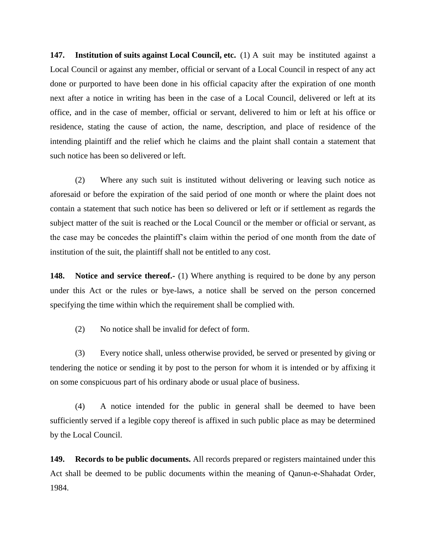**147. Institution of suits against Local Council, etc.** (1) A suit may be instituted against a Local Council or against any member, official or servant of a Local Council in respect of any act done or purported to have been done in his official capacity after the expiration of one month next after a notice in writing has been in the case of a Local Council, delivered or left at its office, and in the case of member, official or servant, delivered to him or left at his office or residence, stating the cause of action, the name, description, and place of residence of the intending plaintiff and the relief which he claims and the plaint shall contain a statement that such notice has been so delivered or left.

(2) Where any such suit is instituted without delivering or leaving such notice as aforesaid or before the expiration of the said period of one month or where the plaint does not contain a statement that such notice has been so delivered or left or if settlement as regards the subject matter of the suit is reached or the Local Council or the member or official or servant, as the case may be concedes the plaintiff's claim within the period of one month from the date of institution of the suit, the plaintiff shall not be entitled to any cost.

**148. Notice and service thereof.-** (1) Where anything is required to be done by any person under this Act or the rules or bye-laws, a notice shall be served on the person concerned specifying the time within which the requirement shall be complied with.

(2) No notice shall be invalid for defect of form.

(3) Every notice shall, unless otherwise provided, be served or presented by giving or tendering the notice or sending it by post to the person for whom it is intended or by affixing it on some conspicuous part of his ordinary abode or usual place of business.

(4) A notice intended for the public in general shall be deemed to have been sufficiently served if a legible copy thereof is affixed in such public place as may be determined by the Local Council.

**149. Records to be public documents.** All records prepared or registers maintained under this Act shall be deemed to be public documents within the meaning of Qanun-e-Shahadat Order, 1984.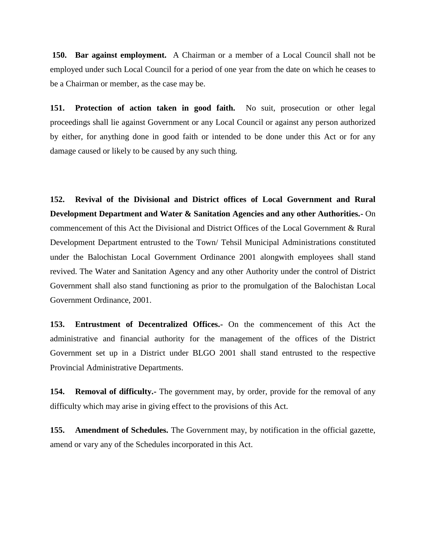**150. Bar against employment.** A Chairman or a member of a Local Council shall not be employed under such Local Council for a period of one year from the date on which he ceases to be a Chairman or member, as the case may be.

**151. Protection of action taken in good faith.** No suit, prosecution or other legal proceedings shall lie against Government or any Local Council or against any person authorized by either, for anything done in good faith or intended to be done under this Act or for any damage caused or likely to be caused by any such thing.

**152. Revival of the Divisional and District offices of Local Government and Rural Development Department and Water & Sanitation Agencies and any other Authorities.-** On commencement of this Act the Divisional and District Offices of the Local Government & Rural Development Department entrusted to the Town/ Tehsil Municipal Administrations constituted under the Balochistan Local Government Ordinance 2001 alongwith employees shall stand revived. The Water and Sanitation Agency and any other Authority under the control of District Government shall also stand functioning as prior to the promulgation of the Balochistan Local Government Ordinance, 2001.

**153. Entrustment of Decentralized Offices.-** On the commencement of this Act the administrative and financial authority for the management of the offices of the District Government set up in a District under BLGO 2001 shall stand entrusted to the respective Provincial Administrative Departments.

**154. Removal of difficulty.-** The government may, by order, provide for the removal of any difficulty which may arise in giving effect to the provisions of this Act.

**155. Amendment of Schedules.** The Government may, by notification in the official gazette, amend or vary any of the Schedules incorporated in this Act.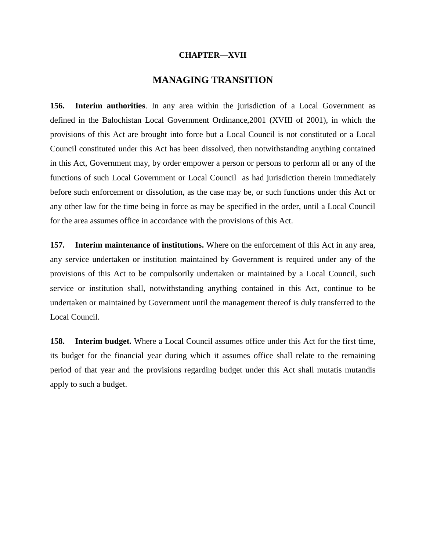#### **CHAPTER—XVII**

# **MANAGING TRANSITION**

**156. Interim authorities**. In any area within the jurisdiction of a Local Government as defined in the Balochistan Local Government Ordinance,2001 (XVIII of 2001), in which the provisions of this Act are brought into force but a Local Council is not constituted or a Local Council constituted under this Act has been dissolved, then notwithstanding anything contained in this Act, Government may, by order empower a person or persons to perform all or any of the functions of such Local Government or Local Council as had jurisdiction therein immediately before such enforcement or dissolution, as the case may be, or such functions under this Act or any other law for the time being in force as may be specified in the order, until a Local Council for the area assumes office in accordance with the provisions of this Act.

**157. Interim maintenance of institutions.** Where on the enforcement of this Act in any area, any service undertaken or institution maintained by Government is required under any of the provisions of this Act to be compulsorily undertaken or maintained by a Local Council, such service or institution shall, notwithstanding anything contained in this Act, continue to be undertaken or maintained by Government until the management thereof is duly transferred to the Local Council.

**158. Interim budget.** Where a Local Council assumes office under this Act for the first time, its budget for the financial year during which it assumes office shall relate to the remaining period of that year and the provisions regarding budget under this Act shall mutatis mutandis apply to such a budget.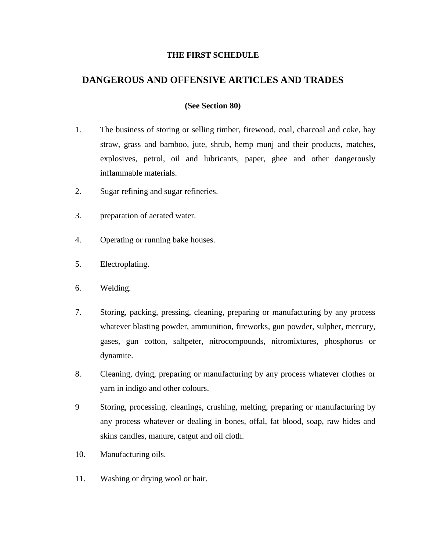#### **THE FIRST SCHEDULE**

# **DANGEROUS AND OFFENSIVE ARTICLES AND TRADES**

## **(See Section 80)**

- 1. The business of storing or selling timber, firewood, coal, charcoal and coke, hay straw, grass and bamboo, jute, shrub, hemp munj and their products, matches, explosives, petrol, oil and lubricants, paper, ghee and other dangerously inflammable materials.
- 2. Sugar refining and sugar refineries.
- 3. preparation of aerated water.
- 4. Operating or running bake houses.
- 5. Electroplating.
- 6. Welding.
- 7. Storing, packing, pressing, cleaning, preparing or manufacturing by any process whatever blasting powder, ammunition, fireworks, gun powder, sulpher, mercury, gases, gun cotton, saltpeter, nitrocompounds, nitromixtures, phosphorus or dynamite.
- 8. Cleaning, dying, preparing or manufacturing by any process whatever clothes or yarn in indigo and other colours.
- 9 Storing, processing, cleanings, crushing, melting, preparing or manufacturing by any process whatever or dealing in bones, offal, fat blood, soap, raw hides and skins candles, manure, catgut and oil cloth.
- 10. Manufacturing oils.
- 11. Washing or drying wool or hair.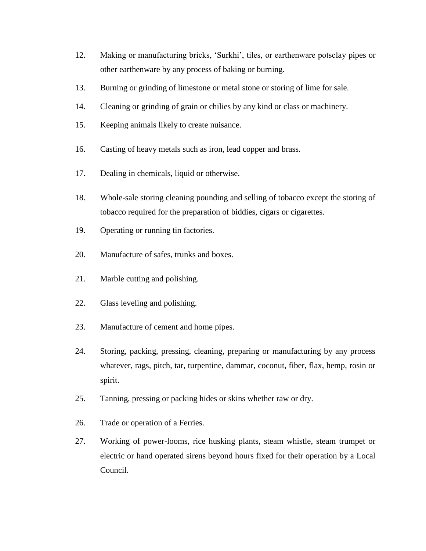- 12. Making or manufacturing bricks, 'Surkhi', tiles, or earthenware potsclay pipes or other earthenware by any process of baking or burning.
- 13. Burning or grinding of limestone or metal stone or storing of lime for sale.
- 14. Cleaning or grinding of grain or chilies by any kind or class or machinery.
- 15. Keeping animals likely to create nuisance.
- 16. Casting of heavy metals such as iron, lead copper and brass.
- 17. Dealing in chemicals, liquid or otherwise.
- 18. Whole-sale storing cleaning pounding and selling of tobacco except the storing of tobacco required for the preparation of biddies, cigars or cigarettes.
- 19. Operating or running tin factories.
- 20. Manufacture of safes, trunks and boxes.
- 21. Marble cutting and polishing.
- 22. Glass leveling and polishing.
- 23. Manufacture of cement and home pipes.
- 24. Storing, packing, pressing, cleaning, preparing or manufacturing by any process whatever, rags, pitch, tar, turpentine, dammar, coconut, fiber, flax, hemp, rosin or spirit.
- 25. Tanning, pressing or packing hides or skins whether raw or dry.
- 26. Trade or operation of a Ferries.
- 27. Working of power-looms, rice husking plants, steam whistle, steam trumpet or electric or hand operated sirens beyond hours fixed for their operation by a Local Council.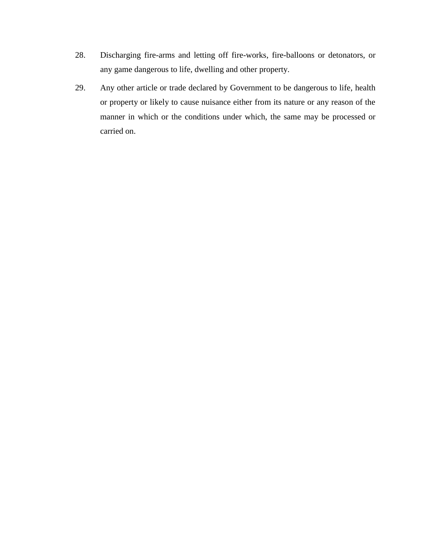- 28. Discharging fire-arms and letting off fire-works, fire-balloons or detonators, or any game dangerous to life, dwelling and other property.
- 29. Any other article or trade declared by Government to be dangerous to life, health or property or likely to cause nuisance either from its nature or any reason of the manner in which or the conditions under which, the same may be processed or carried on.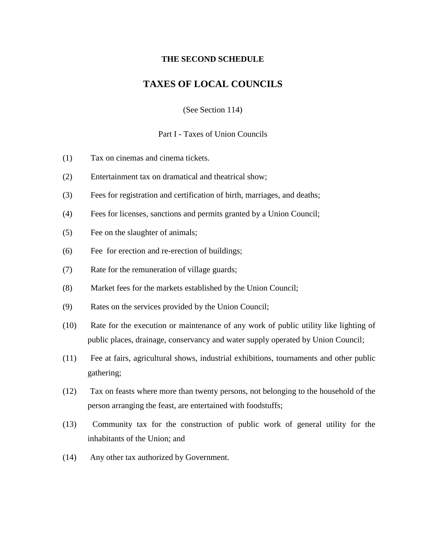#### **THE SECOND SCHEDULE**

#### **TAXES OF LOCAL COUNCILS**

(See Section 114)

Part I - Taxes of Union Councils

- (1) Tax on cinemas and cinema tickets.
- (2) Entertainment tax on dramatical and theatrical show;
- (3) Fees for registration and certification of birth, marriages, and deaths;
- (4) Fees for licenses, sanctions and permits granted by a Union Council;
- (5) Fee on the slaughter of animals;
- (6) Fee for erection and re-erection of buildings;
- (7) Rate for the remuneration of village guards;
- (8) Market fees for the markets established by the Union Council;
- (9) Rates on the services provided by the Union Council;
- (10) Rate for the execution or maintenance of any work of public utility like lighting of public places, drainage, conservancy and water supply operated by Union Council;
- (11) Fee at fairs, agricultural shows, industrial exhibitions, tournaments and other public gathering;
- (12) Tax on feasts where more than twenty persons, not belonging to the household of the person arranging the feast, are entertained with foodstuffs;
- (13) Community tax for the construction of public work of general utility for the inhabitants of the Union; and
- (14) Any other tax authorized by Government.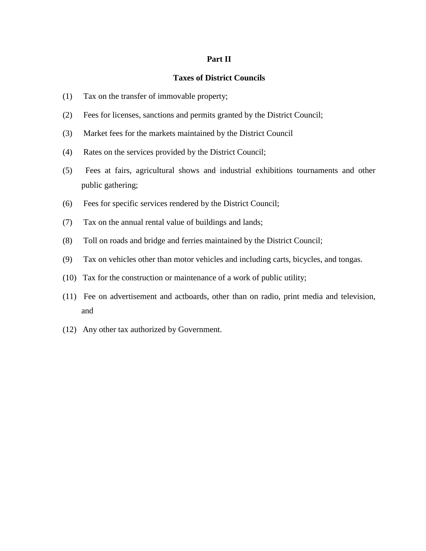#### **Part II**

#### **Taxes of District Councils**

- (1) Tax on the transfer of immovable property;
- (2) Fees for licenses, sanctions and permits granted by the District Council;
- (3) Market fees for the markets maintained by the District Council
- (4) Rates on the services provided by the District Council;
- (5) Fees at fairs, agricultural shows and industrial exhibitions tournaments and other public gathering;
- (6) Fees for specific services rendered by the District Council;
- (7) Tax on the annual rental value of buildings and lands;
- (8) Toll on roads and bridge and ferries maintained by the District Council;
- (9) Tax on vehicles other than motor vehicles and including carts, bicycles, and tongas.
- (10) Tax for the construction or maintenance of a work of public utility;
- (11) Fee on advertisement and actboards, other than on radio, print media and television, and
- (12) Any other tax authorized by Government.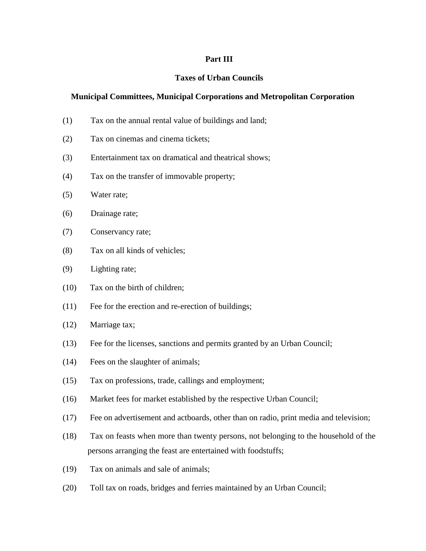#### **Part III**

#### **Taxes of Urban Councils**

#### **Municipal Committees, Municipal Corporations and Metropolitan Corporation**

- (1) Tax on the annual rental value of buildings and land;
- (2) Tax on cinemas and cinema tickets;
- (3) Entertainment tax on dramatical and theatrical shows;
- (4) Tax on the transfer of immovable property;
- (5) Water rate;
- (6) Drainage rate;
- (7) Conservancy rate;
- (8) Tax on all kinds of vehicles;
- (9) Lighting rate;
- (10) Tax on the birth of children;
- (11) Fee for the erection and re-erection of buildings;
- (12) Marriage tax;
- (13) Fee for the licenses, sanctions and permits granted by an Urban Council;
- (14) Fees on the slaughter of animals;
- (15) Tax on professions, trade, callings and employment;
- (16) Market fees for market established by the respective Urban Council;
- (17) Fee on advertisement and actboards, other than on radio, print media and television;
- (18) Tax on feasts when more than twenty persons, not belonging to the household of the persons arranging the feast are entertained with foodstuffs;
- (19) Tax on animals and sale of animals;
- (20) Toll tax on roads, bridges and ferries maintained by an Urban Council;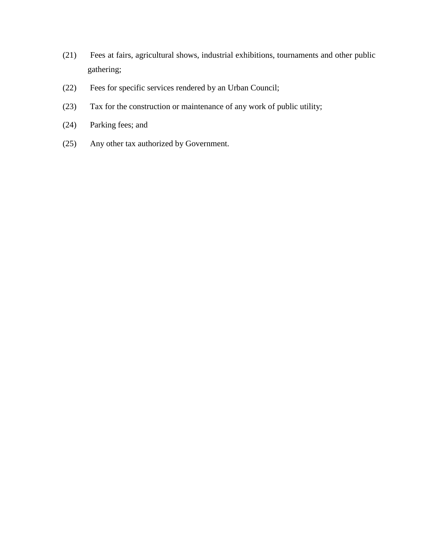- (21) Fees at fairs, agricultural shows, industrial exhibitions, tournaments and other public gathering;
- (22) Fees for specific services rendered by an Urban Council;
- (23) Tax for the construction or maintenance of any work of public utility;
- (24) Parking fees; and
- (25) Any other tax authorized by Government.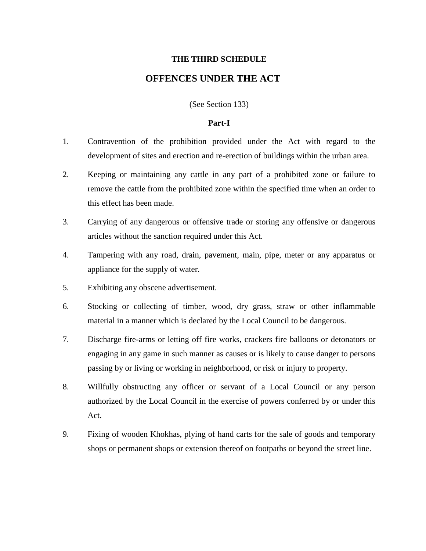# **THE THIRD SCHEDULE OFFENCES UNDER THE ACT**

#### (See Section 133)

#### **Part-I**

- 1. Contravention of the prohibition provided under the Act with regard to the development of sites and erection and re-erection of buildings within the urban area.
- 2. Keeping or maintaining any cattle in any part of a prohibited zone or failure to remove the cattle from the prohibited zone within the specified time when an order to this effect has been made.
- 3. Carrying of any dangerous or offensive trade or storing any offensive or dangerous articles without the sanction required under this Act.
- 4. Tampering with any road, drain, pavement, main, pipe, meter or any apparatus or appliance for the supply of water.
- 5. Exhibiting any obscene advertisement.
- 6. Stocking or collecting of timber, wood, dry grass, straw or other inflammable material in a manner which is declared by the Local Council to be dangerous.
- 7. Discharge fire-arms or letting off fire works, crackers fire balloons or detonators or engaging in any game in such manner as causes or is likely to cause danger to persons passing by or living or working in neighborhood, or risk or injury to property.
- 8. Willfully obstructing any officer or servant of a Local Council or any person authorized by the Local Council in the exercise of powers conferred by or under this Act.
- 9. Fixing of wooden Khokhas, plying of hand carts for the sale of goods and temporary shops or permanent shops or extension thereof on footpaths or beyond the street line.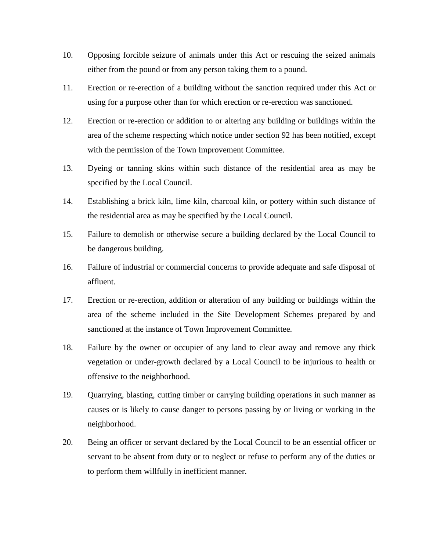- 10. Opposing forcible seizure of animals under this Act or rescuing the seized animals either from the pound or from any person taking them to a pound.
- 11. Erection or re-erection of a building without the sanction required under this Act or using for a purpose other than for which erection or re-erection was sanctioned.
- 12. Erection or re-erection or addition to or altering any building or buildings within the area of the scheme respecting which notice under section 92 has been notified, except with the permission of the Town Improvement Committee.
- 13. Dyeing or tanning skins within such distance of the residential area as may be specified by the Local Council.
- 14. Establishing a brick kiln, lime kiln, charcoal kiln, or pottery within such distance of the residential area as may be specified by the Local Council.
- 15. Failure to demolish or otherwise secure a building declared by the Local Council to be dangerous building.
- 16. Failure of industrial or commercial concerns to provide adequate and safe disposal of affluent.
- 17. Erection or re-erection, addition or alteration of any building or buildings within the area of the scheme included in the Site Development Schemes prepared by and sanctioned at the instance of Town Improvement Committee.
- 18. Failure by the owner or occupier of any land to clear away and remove any thick vegetation or under-growth declared by a Local Council to be injurious to health or offensive to the neighborhood.
- 19. Quarrying, blasting, cutting timber or carrying building operations in such manner as causes or is likely to cause danger to persons passing by or living or working in the neighborhood.
- 20. Being an officer or servant declared by the Local Council to be an essential officer or servant to be absent from duty or to neglect or refuse to perform any of the duties or to perform them willfully in inefficient manner.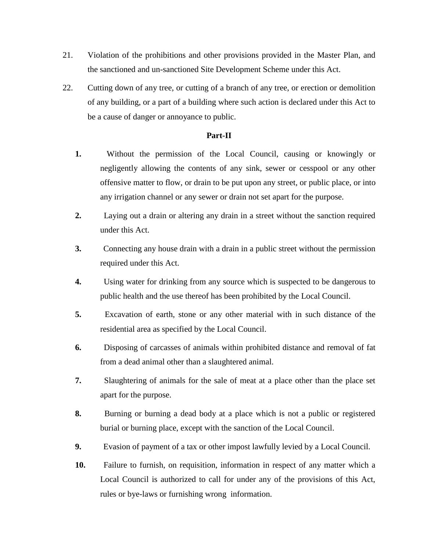- 21. Violation of the prohibitions and other provisions provided in the Master Plan, and the sanctioned and un-sanctioned Site Development Scheme under this Act.
- 22. Cutting down of any tree, or cutting of a branch of any tree, or erection or demolition of any building, or a part of a building where such action is declared under this Act to be a cause of danger or annoyance to public.

#### **Part-II**

- **1.** Without the permission of the Local Council, causing or knowingly or negligently allowing the contents of any sink, sewer or cesspool or any other offensive matter to flow, or drain to be put upon any street, or public place, or into any irrigation channel or any sewer or drain not set apart for the purpose.
- **2.** Laying out a drain or altering any drain in a street without the sanction required under this Act.
- **3.** Connecting any house drain with a drain in a public street without the permission required under this Act.
- **4.** Using water for drinking from any source which is suspected to be dangerous to public health and the use thereof has been prohibited by the Local Council.
- **5.** Excavation of earth, stone or any other material with in such distance of the residential area as specified by the Local Council.
- **6.** Disposing of carcasses of animals within prohibited distance and removal of fat from a dead animal other than a slaughtered animal.
- **7.** Slaughtering of animals for the sale of meat at a place other than the place set apart for the purpose.
- **8.** Burning or burning a dead body at a place which is not a public or registered burial or burning place, except with the sanction of the Local Council.
- **9.** Evasion of payment of a tax or other impost lawfully levied by a Local Council.
- **10.** Failure to furnish, on requisition, information in respect of any matter which a Local Council is authorized to call for under any of the provisions of this Act, rules or bye-laws or furnishing wrong information.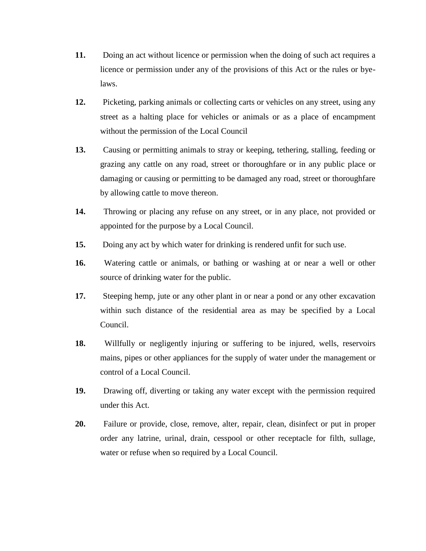- **11.** Doing an act without licence or permission when the doing of such act requires a licence or permission under any of the provisions of this Act or the rules or byelaws.
- **12.** Picketing, parking animals or collecting carts or vehicles on any street, using any street as a halting place for vehicles or animals or as a place of encampment without the permission of the Local Council
- **13.** Causing or permitting animals to stray or keeping, tethering, stalling, feeding or grazing any cattle on any road, street or thoroughfare or in any public place or damaging or causing or permitting to be damaged any road, street or thoroughfare by allowing cattle to move thereon.
- **14.** Throwing or placing any refuse on any street, or in any place, not provided or appointed for the purpose by a Local Council.
- **15.** Doing any act by which water for drinking is rendered unfit for such use.
- **16.** Watering cattle or animals, or bathing or washing at or near a well or other source of drinking water for the public.
- **17.** Steeping hemp, jute or any other plant in or near a pond or any other excavation within such distance of the residential area as may be specified by a Local Council.
- **18.** Willfully or negligently injuring or suffering to be injured, wells, reservoirs mains, pipes or other appliances for the supply of water under the management or control of a Local Council.
- **19.** Drawing off, diverting or taking any water except with the permission required under this Act.
- **20.** Failure or provide, close, remove, alter, repair, clean, disinfect or put in proper order any latrine, urinal, drain, cesspool or other receptacle for filth, sullage, water or refuse when so required by a Local Council.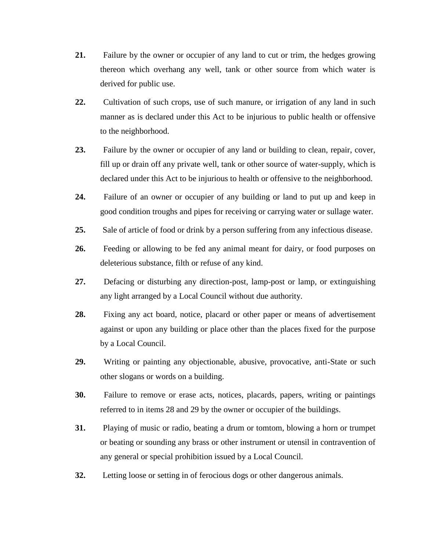- **21.** Failure by the owner or occupier of any land to cut or trim, the hedges growing thereon which overhang any well, tank or other source from which water is derived for public use.
- **22.** Cultivation of such crops, use of such manure, or irrigation of any land in such manner as is declared under this Act to be injurious to public health or offensive to the neighborhood.
- **23.** Failure by the owner or occupier of any land or building to clean, repair, cover, fill up or drain off any private well, tank or other source of water-supply, which is declared under this Act to be injurious to health or offensive to the neighborhood.
- **24.** Failure of an owner or occupier of any building or land to put up and keep in good condition troughs and pipes for receiving or carrying water or sullage water.
- **25.** Sale of article of food or drink by a person suffering from any infectious disease.
- **26.** Feeding or allowing to be fed any animal meant for dairy, or food purposes on deleterious substance, filth or refuse of any kind.
- **27.** Defacing or disturbing any direction-post, lamp-post or lamp, or extinguishing any light arranged by a Local Council without due authority.
- **28.** Fixing any act board, notice, placard or other paper or means of advertisement against or upon any building or place other than the places fixed for the purpose by a Local Council.
- **29.** Writing or painting any objectionable, abusive, provocative, anti-State or such other slogans or words on a building.
- **30.** Failure to remove or erase acts, notices, placards, papers, writing or paintings referred to in items 28 and 29 by the owner or occupier of the buildings.
- **31.** Playing of music or radio, beating a drum or tomtom, blowing a horn or trumpet or beating or sounding any brass or other instrument or utensil in contravention of any general or special prohibition issued by a Local Council.
- **32.** Letting loose or setting in of ferocious dogs or other dangerous animals.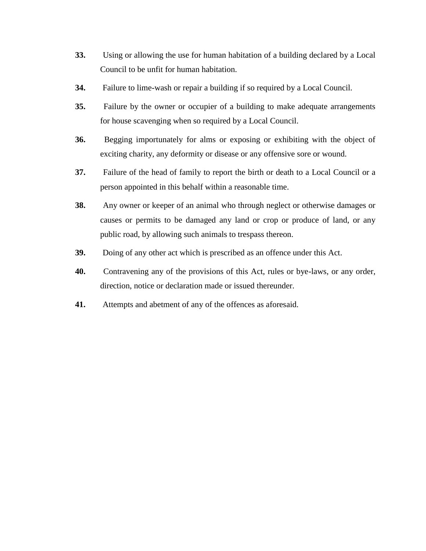- **33.** Using or allowing the use for human habitation of a building declared by a Local Council to be unfit for human habitation.
- **34.** Failure to lime-wash or repair a building if so required by a Local Council.
- **35.** Failure by the owner or occupier of a building to make adequate arrangements for house scavenging when so required by a Local Council.
- **36.** Begging importunately for alms or exposing or exhibiting with the object of exciting charity, any deformity or disease or any offensive sore or wound.
- **37.** Failure of the head of family to report the birth or death to a Local Council or a person appointed in this behalf within a reasonable time.
- **38.** Any owner or keeper of an animal who through neglect or otherwise damages or causes or permits to be damaged any land or crop or produce of land, or any public road, by allowing such animals to trespass thereon.
- **39.** Doing of any other act which is prescribed as an offence under this Act.
- **40.** Contravening any of the provisions of this Act, rules or bye-laws, or any order, direction, notice or declaration made or issued thereunder.
- **41.** Attempts and abetment of any of the offences as aforesaid.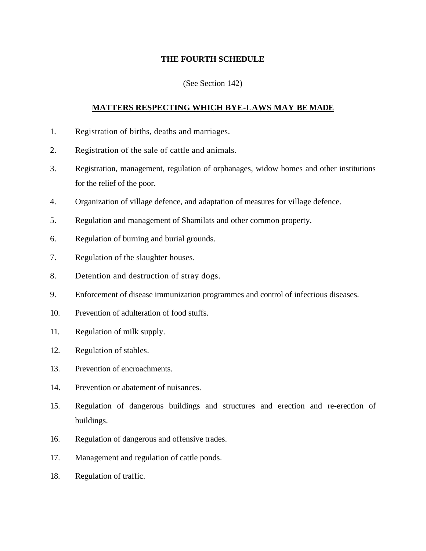#### **THE FOURTH SCHEDULE**

#### (See Section 142)

#### **MATTERS RESPECTING WHICH BYE-LAWS MAY BE MADE**

- 1. Registration of births, deaths and marriages.
- 2. Registration of the sale of cattle and animals.
- 3. Registration, management, regulation of orphanages, widow homes and other institutions for the relief of the poor.
- 4. Organization of village defence, and adaptation of measures for village defence.
- 5. Regulation and management of Shamilats and other common property.
- 6. Regulation of burning and burial grounds.
- 7. Regulation of the slaughter houses.
- 8. Detention and destruction of stray dogs.
- 9. Enforcement of disease immunization programmes and control of infectious diseases.
- 10. Prevention of adulteration of food stuffs.
- 11. Regulation of milk supply.
- 12. Regulation of stables.
- 13. Prevention of encroachments.
- 14. Prevention or abatement of nuisances.
- 15. Regulation of dangerous buildings and structures and erection and re-erection of buildings.
- 16. Regulation of dangerous and offensive trades.
- 17. Management and regulation of cattle ponds.
- 18. Regulation of traffic.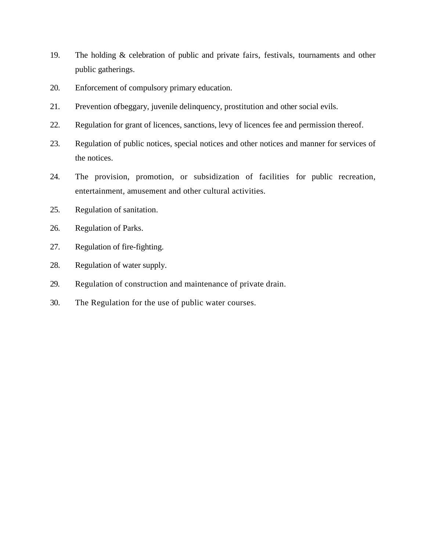- 19. The holding & celebration of public and private fairs, festivals, tournaments and other public gatherings.
- 20. Enforcement of compulsory primary education.
- 21. Prevention of beggary, juvenile delinquency, prostitution and other social evils.
- 22. Regulation for grant of licences, sanctions, levy of licences fee and permission thereof.
- 23. Regulation of public notices, special notices and other notices and manner for services of the notices.
- 24. The provision, promotion, or subsidization of facilities for public recreation, entertainment, amusement and other cultural activities.
- 25. Regulation of sanitation.
- 26. Regulation of Parks.
- 27. Regulation of fire-fighting.
- 28. Regulation of water supply.
- 29. Regulation of construction and maintenance of private drain.
- 30. The Regulation for the use of public water courses.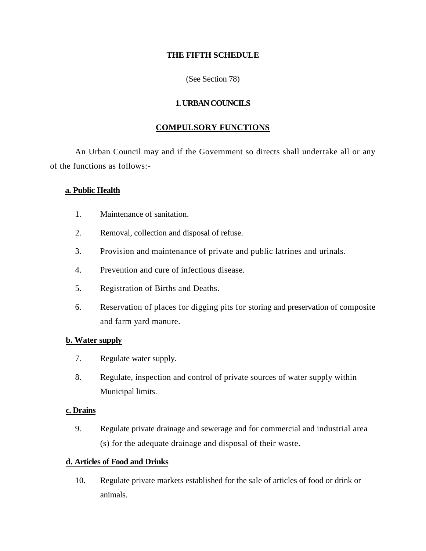#### **THE FIFTH SCHEDULE**

(See Section 78)

## **1. URBAN COUNCILS**

## **COMPULSORY FUNCTIONS**

An Urban Council may and if the Government so directs shall undertake all or any of the functions as follows:-

#### **a. Public Health**

- 1. Maintenance of sanitation.
- 2. Removal, collection and disposal of refuse.
- 3. Provision and maintenance of private and public latrines and urinals.
- 4. Prevention and cure of infectious disease.
- 5. Registration of Births and Deaths.
- 6. Reservation of places for digging pits for storing and preservation of composite and farm yard manure.

#### **b. Water supply**

- 7. Regulate water supply.
- 8. Regulate, inspection and control of private sources of water supply within Municipal limits.

#### **c. Drains**

9. Regulate private drainage and sewerage and for commercial and industrial area (s) for the adequate drainage and disposal of their waste.

#### **d. Articles of Food and Drinks**

10. Regulate private markets established for the sale of articles of food or drink or animals.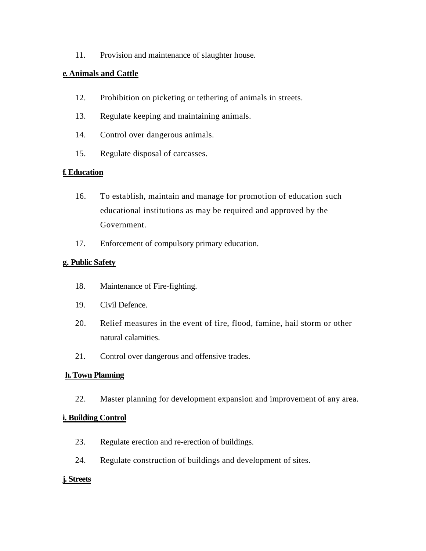11. Provision and maintenance of slaughter house.

# **e. Animals and Cattle**

- 12. Prohibition on picketing or tethering of animals in streets.
- 13. Regulate keeping and maintaining animals.
- 14. Control over dangerous animals.
- 15. Regulate disposal of carcasses.

# **f. Education**

- 16. To establish, maintain and manage for promotion of education such educational institutions as may be required and approved by the Government.
- 17. Enforcement of compulsory primary education.

# **g. Public Safety**

- 18. Maintenance of Fire-fighting.
- 19. Civil Defence.
- 20. Relief measures in the event of fire, flood, famine, hail storm or other natural calamities.
- 21. Control over dangerous and offensive trades.

# **h. Town Planning**

22. Master planning for development expansion and improvement of any area.

# **i. Building Control**

- 23. Regulate erection and re-erection of buildings.
- 24. Regulate construction of buildings and development of sites.

# **j. Streets**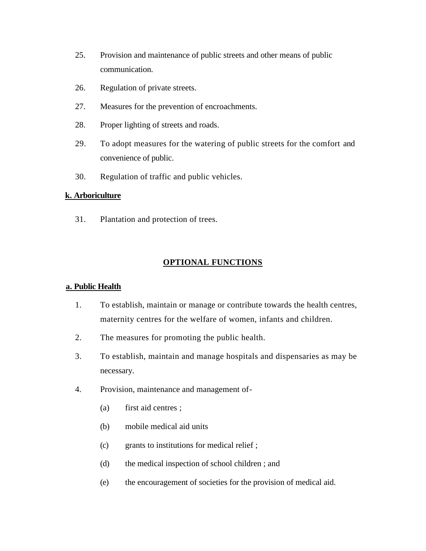- 25. Provision and maintenance of public streets and other means of public communication.
- 26. Regulation of private streets.
- 27. Measures for the prevention of encroachments.
- 28. Proper lighting of streets and roads.
- 29. To adopt measures for the watering of public streets for the comfort and convenience of public.
- 30. Regulation of traffic and public vehicles.

#### **k. Arboriculture**

31. Plantation and protection of trees.

#### **OPTIONAL FUNCTIONS**

#### **a. Public Health**

- 1. To establish, maintain or manage or contribute towards the health centres, maternity centres for the welfare of women, infants and children.
- 2. The measures for promoting the public health.
- 3. To establish, maintain and manage hospitals and dispensaries as may be necessary.
- 4. Provision, maintenance and management of-
	- (a) first aid centres ;
	- (b) mobile medical aid units
	- (c) grants to institutions for medical relief ;
	- (d) the medical inspection of school children ; and
	- (e) the encouragement of societies for the provision of medical aid.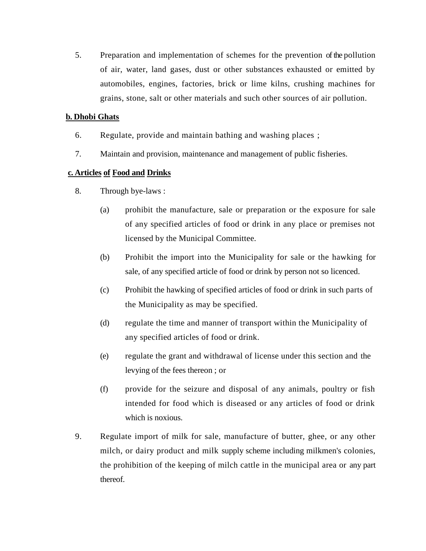5. Preparation and implementation of schemes for the prevention of the pollution of air, water, land gases, dust or other substances exhausted or emitted by automobiles, engines, factories, brick or lime kilns, crushing machines for grains, stone, salt or other materials and such other sources of air pollution.

## **b. Dhobi Ghats**

- 6. Regulate, provide and maintain bathing and washing places ;
- 7. Maintain and provision, maintenance and management of public fisheries.

# **c. Articles of Food and Drinks**

- 8. Through bye-laws :
	- (a) prohibit the manufacture, sale or preparation or the exposure for sale of any specified articles of food or drink in any place or premises not licensed by the Municipal Committee.
	- (b) Prohibit the import into the Municipality for sale or the hawking for sale, of any specified article of food or drink by person not so licenced.
	- (c) Prohibit the hawking of specified articles of food or drink in such parts of the Municipality as may be specified.
	- (d) regulate the time and manner of transport within the Municipality of any specified articles of food or drink.
	- (e) regulate the grant and withdrawal of license under this section and the levying of the fees thereon ; or
	- (f) provide for the seizure and disposal of any animals, poultry or fish intended for food which is diseased or any articles of food or drink which is noxious.
- 9. Regulate import of milk for sale, manufacture of butter, ghee, or any other milch, or dairy product and milk supply scheme including milkmen's colonies, the prohibition of the keeping of milch cattle in the municipal area or any part thereof.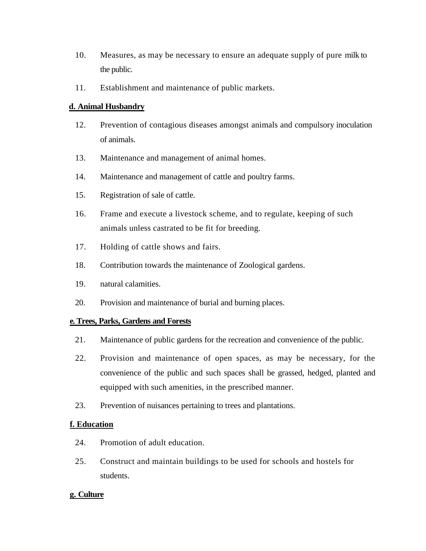- 10. Measures, as may be necessary to ensure an adequate supply of pure milk to the public.
- 11. Establishment and maintenance of public markets.

# **d. Animal Husbandry**

- 12. Prevention of contagious diseases amongst animals and compulsory inoculation of animals.
- 13. Maintenance and management of animal homes.
- 14. Maintenance and management of cattle and poultry farms.
- 15. Registration of sale of cattle.
- 16. Frame and execute a livestock scheme, and to regulate, keeping of such animals unless castrated to be fit for breeding.
- 17. Holding of cattle shows and fairs.
- 18. Contribution towards the maintenance of Zoological gardens.
- 19. natural calamities.
- 20. Provision and maintenance of burial and burning places.

#### **e. Trees, Parks, Gardens and Forests**

- 21. Maintenance of public gardens for the recreation and convenience of the public.
- 22. Provision and maintenance of open spaces, as may be necessary, for the convenience of the public and such spaces shall be grassed, hedged, planted and equipped with such amenities, in the prescribed manner.
- 23. Prevention of nuisances pertaining to trees and plantations.

# **f. Education**

- 24. Promotion of adult education.
- 25. Construct and maintain buildings to be used for schools and hostels for students.

#### **g. Culture**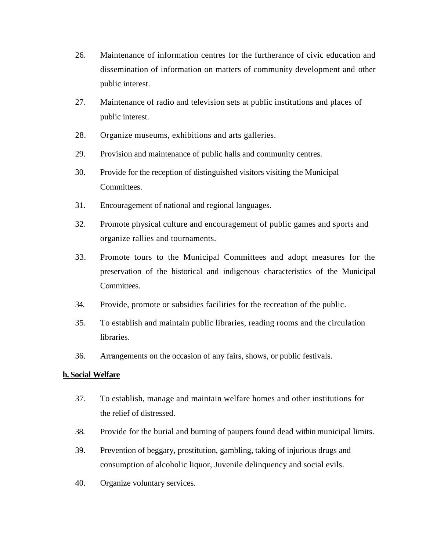- 26. Maintenance of information centres for the furtherance of civic education and dissemination of information on matters of community development and other public interest.
- 27. Maintenance of radio and television sets at public institutions and places of public interest.
- 28. Organize museums, exhibitions and arts galleries.
- 29. Provision and maintenance of public halls and community centres.
- 30. Provide for the reception of distinguished visitors visiting the Municipal Committees.
- 31. Encouragement of national and regional languages.
- 32. Promote physical culture and encouragement of public games and sports and organize rallies and tournaments.
- 33. Promote tours to the Municipal Committees and adopt measures for the preservation of the historical and indigenous characteristics of the Municipal Committees.
- 34. Provide, promote or subsidies facilities for the recreation of the public.
- 35. To establish and maintain public libraries, reading rooms and the circulation libraries.
- 36. Arrangements on the occasion of any fairs, shows, or public festivals.

#### **h. Social Welfare**

- 37. To establish, manage and maintain welfare homes and other institutions for the relief of distressed.
- 38. Provide for the burial and burning of paupers found dead within municipal limits.
- 39. Prevention of beggary, prostitution, gambling, taking of injurious drugs and consumption of alcoholic liquor, Juvenile delinquency and social evils.
- 40. Organize voluntary services.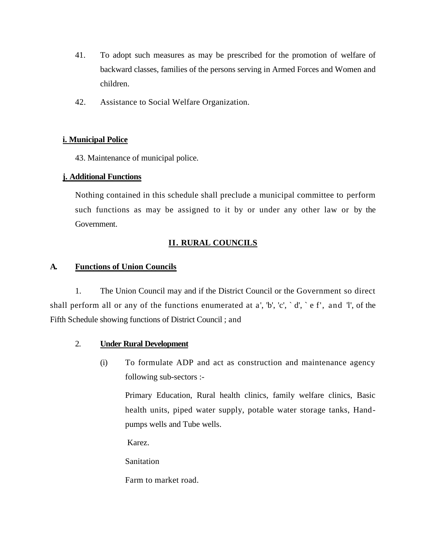- 41. To adopt such measures as may be prescribed for the promotion of welfare of backward classes, families of the persons serving in Armed Forces and Women and children.
- 42. Assistance to Social Welfare Organization.

# **i. Municipal Police**

43. Maintenance of municipal police.

# **j. Additional Functions**

Nothing contained in this schedule shall preclude a municipal committee to perform such functions as may be assigned to it by or under any other law or by the Government.

# **II. RURAL COUNCILS**

# **A. Functions of Union Councils**

1. The Union Council may and if the District Council or the Government so direct shall perform all or any of the functions enumerated at a', 'b', 'c', ` d', ` e f', and 'l', of the Fifth Schedule showing functions of District Council ; and

# 2. **Under Rural Development**

(i) To formulate ADP and act as construction and maintenance agency following sub-sectors :-

Primary Education, Rural health clinics, family welfare clinics, Basic health units, piped water supply, potable water storage tanks, Handpumps wells and Tube wells.

Karez.

**Sanitation** 

Farm to market road.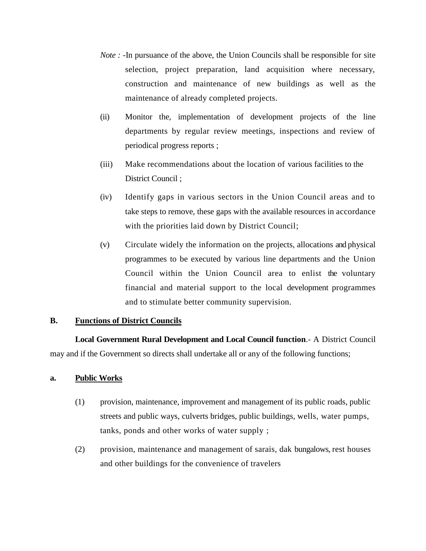- *Note* : -In pursuance of the above, the Union Councils shall be responsible for site selection, project preparation, land acquisition where necessary, construction and maintenance of new buildings as well as the maintenance of already completed projects.
- (ii) Monitor the, implementation of development projects of the line departments by regular review meetings, inspections and review of periodical progress reports ;
- (iii) Make recommendations about the location of various facilities to the District Council ;
- (iv) Identify gaps in various sectors in the Union Council areas and to take steps to remove, these gaps with the available resources in accordance with the priorities laid down by District Council;
- (v) Circulate widely the information on the projects, allocations and physical programmes to be executed by various line departments and the Union Council within the Union Council area to enlist the voluntary financial and material support to the local development programmes and to stimulate better community supervision.

# **B. Functions of District Councils**

**Local Government Rural Development and Local Council function**.- A District Council may and if the Government so directs shall undertake all or any of the following functions;

# **a. Public Works**

- (1) provision, maintenance, improvement and management of its public roads, public streets and public ways, culverts bridges, public buildings, wells, water pumps, tanks, ponds and other works of water supply ;
- (2) provision, maintenance and management of sarais, dak bungalows, rest houses and other buildings for the convenience of travelers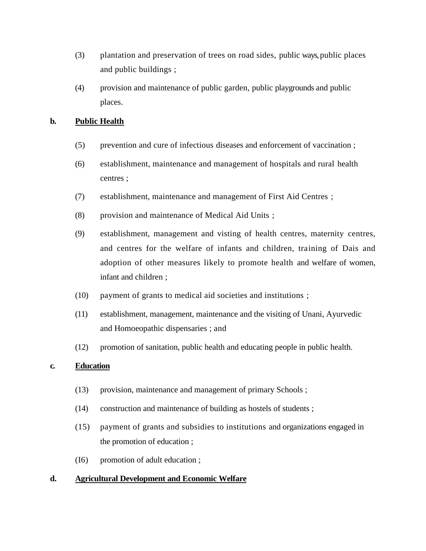- (3) plantation and preservation of trees on road sides, public ways, public places and public buildings ;
- (4) provision and maintenance of public garden, public playgrounds and public places.

## **b. Public Health**

- (5) prevention and cure of infectious diseases and enforcement of vaccination ;
- (6) establishment, maintenance and management of hospitals and rural health centres ;
- (7) establishment, maintenance and management of First Aid Centres ;
- (8) provision and maintenance of Medical Aid Units ;
- (9) establishment, management and visting of health centres, maternity centres, and centres for the welfare of infants and children, training of Dais and adoption of other measures likely to promote health and welfare of women, infant and children ;
- (10) payment of grants to medical aid societies and institutions ;
- (11) establishment, management, maintenance and the visiting of Unani, Ayurvedic and Homoeopathic dispensaries ; and
- (12) promotion of sanitation, public health and educating people in public health.

#### **c. Education**

- (13) provision, maintenance and management of primary Schools ;
- (14) construction and maintenance of building as hostels of students ;
- (15) payment of grants and subsidies to institutions and organizations engaged in the promotion of education ;
- (I6) promotion of adult education ;

# **d. Agricultural Development and Economic Welfare**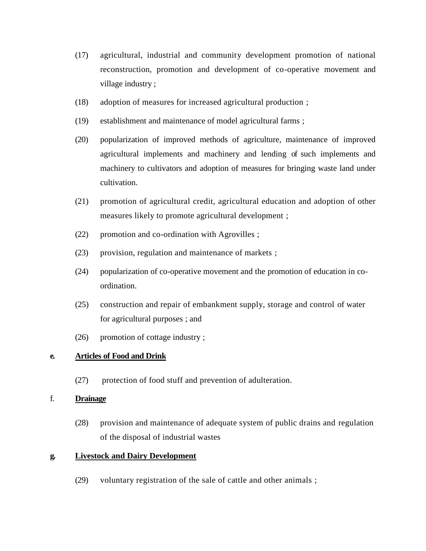- (17) agricultural, industrial and community development promotion of national reconstruction, promotion and development of co-operative movement and village industry ;
- (18) adoption of measures for increased agricultural production ;
- (19) establishment and maintenance of model agricultural farms ;
- (20) popularization of improved methods of agriculture, maintenance of improved agricultural implements and machinery and lending of such implements and machinery to cultivators and adoption of measures for bringing waste land under cultivation.
- (21) promotion of agricultural credit, agricultural education and adoption of other measures likely to promote agricultural development ;
- (22) promotion and co-ordination with Agrovilles ;
- (23) provision, regulation and maintenance of markets ;
- (24) popularization of co-operative movement and the promotion of education in coordination.
- (25) construction and repair of embankment supply, storage and control of water for agricultural purposes ; and
- (26) promotion of cottage industry ;

# **e. Articles of Food and Drink**

(27) protection of food stuff and prevention of adulteration.

#### f. **Drainage**

(28) provision and maintenance of adequate system of public drains and regulation of the disposal of industrial wastes

# **g. Livestock and Dairy Development**

(29) voluntary registration of the sale of cattle and other animals ;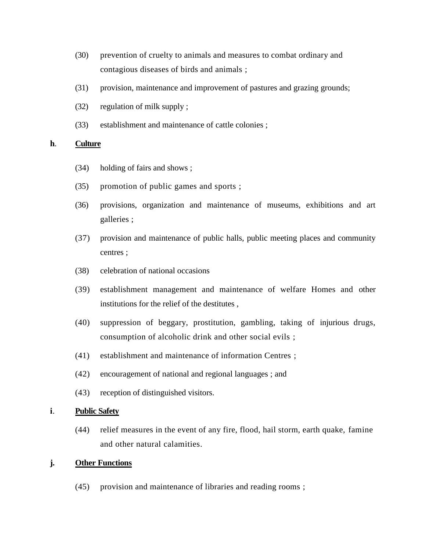- (30) prevention of cruelty to animals and measures to combat ordinary and contagious diseases of birds and animals ;
- (31) provision, maintenance and improvement of pastures and grazing grounds;
- (32) regulation of milk supply ;
- (33) establishment and maintenance of cattle colonies ;

#### **h**. **Culture**

- (34) holding of fairs and shows ;
- (35) promotion of public games and sports ;
- (36) provisions, organization and maintenance of museums, exhibitions and art galleries ;
- (37) provision and maintenance of public halls, public meeting places and community centres ;
- (38) celebration of national occasions
- (39) establishment management and maintenance of welfare Homes and other institutions for the relief of the destitutes ,
- (40) suppression of beggary, prostitution, gambling, taking of injurious drugs, consumption of alcoholic drink and other social evils ;
- (41) establishment and maintenance of information Centres ;
- (42) encouragement of national and regional languages ; and
- (43) reception of distinguished visitors.

#### **i**. **Public Safety**

(44) relief measures in the event of any fire, flood, hail storm, earth quake, famine and other natural calamities.

#### **j. Other Functions**

(45) provision and maintenance of libraries and reading rooms ;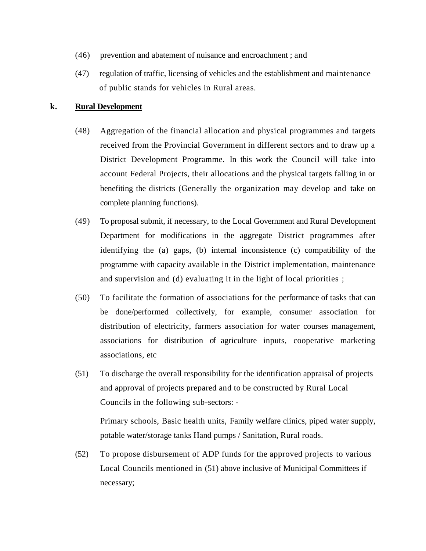- (46) prevention and abatement of nuisance and encroachment ; and
- (47) regulation of traffic, licensing of vehicles and the establishment and maintenance of public stands for vehicles in Rural areas.

#### **k. Rural Development**

- (48) Aggregation of the financial allocation and physical programmes and targets received from the Provincial Government in different sectors and to draw up a District Development Programme. In this work the Council will take into account Federal Projects, their allocations and the physical targets falling in or benefiting the districts (Generally the organization may develop and take on complete planning functions).
- (49) To proposal submit, if necessary, to the Local Government and Rural Development Department for modifications in the aggregate District programmes after identifying the (a) gaps, (b) internal inconsistence (c) compatibility of the programme with capacity available in the District implementation, maintenance and supervision and (d) evaluating it in the light of local priorities ;
- (50) To facilitate the formation of associations for the performance of tasks that can be done/performed collectively, for example, consumer association for distribution of electricity, farmers association for water courses management, associations for distribution of agriculture inputs, cooperative marketing associations, etc
- (51) To discharge the overall responsibility for the identification appraisal of projects and approval of projects prepared and to be constructed by Rural Local Councils in the following sub-sectors: -

Primary schools, Basic health units, Family welfare clinics, piped water supply, potable water/storage tanks Hand pumps / Sanitation, Rural roads.

(52) To propose disbursement of ADP funds for the approved projects to various Local Councils mentioned in (51) above inclusive of Municipal Committees if necessary;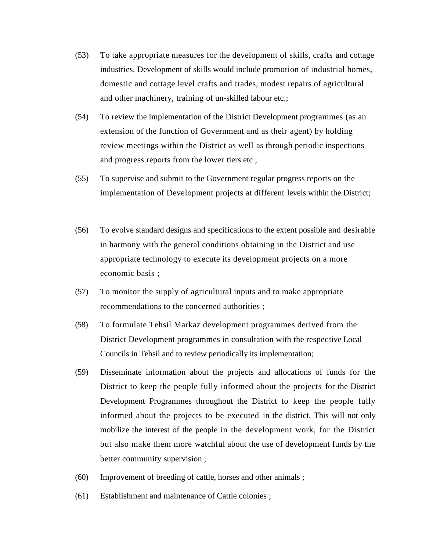- (53) To take appropriate measures for the development of skills, crafts and cottage industries. Development of skills would include promotion of industrial homes, domestic and cottage level crafts and trades, modest repairs of agricultural and other machinery, training of un-skilled labour etc.;
- (54) To review the implementation of the District Development programmes (as an extension of the function of Government and as their agent) by holding review meetings within the District as well as through periodic inspections and progress reports from the lower tiers etc ;
- (55) To supervise and submit to the Government regular progress reports on the implementation of Development projects at different levels within the District;
- (56) To evolve standard designs and specifications to the extent possible and desirable in harmony with the general conditions obtaining in the District and use appropriate technology to execute its development projects on a more economic basis ;
- (57) To monitor the supply of agricultural inputs and to make appropriate recommendations to the concerned authorities ;
- (58) To formulate Tehsil Markaz development programmes derived from the District Development programmes in consultation with the respective Local Councils in Tehsil and to review periodically its implementation;
- (59) Disseminate information about the projects and allocations of funds for the District to keep the people fully informed about the projects for the District Development Programmes throughout the District to keep the people fully informed about the projects to be executed in the district. This will not only mobilize the interest of the people in the development work, for the District but also make them more watchful about the use of development funds by the better community supervision ;
- (60) Improvement of breeding of cattle, horses and other animals ;
- (61) Establishment and maintenance of Cattle colonies ;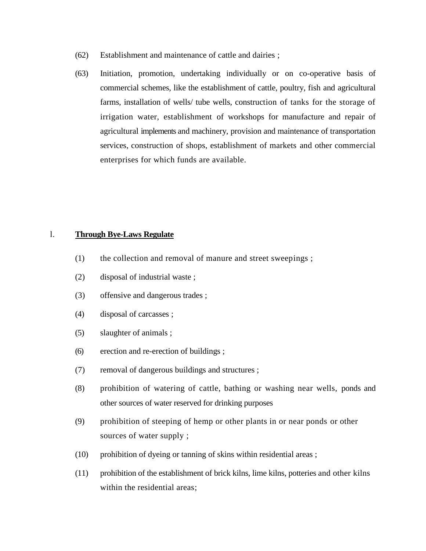- (62) Establishment and maintenance of cattle and dairies ;
- (63) Initiation, promotion, undertaking individually or on co-operative basis of commercial schemes, like the establishment of cattle, poultry, fish and agricultural farms, installation of wells/ tube wells, construction of tanks for the storage of irrigation water, establishment of workshops for manufacture and repair of agricultural implements and machinery, provision and maintenance of transportation services, construction of shops, establishment of markets and other commercial enterprises for which funds are available.

#### l. **Through Bye-Laws Regulate**

- (1) the collection and removal of manure and street sweepings ;
- (2) disposal of industrial waste ;
- (3) offensive and dangerous trades ;
- (4) disposal of carcasses ;
- (5) slaughter of animals ;
- (6) erection and re-erection of buildings ;
- (7) removal of dangerous buildings and structures ;
- (8) prohibition of watering of cattle, bathing or washing near wells, ponds and other sources of water reserved for drinking purposes
- (9) prohibition of steeping of hemp or other plants in or near ponds or other sources of water supply ;
- (10) prohibition of dyeing or tanning of skins within residential areas ;
- (11) prohibition of the establishment of brick kilns, lime kilns, potteries and other kilns within the residential areas;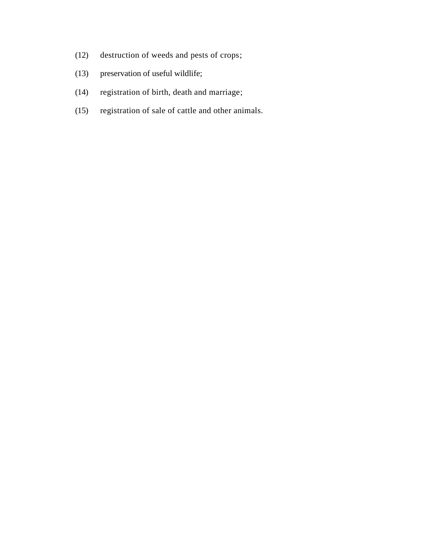- (12) destruction of weeds and pests of crops;
- (13) preservation of useful wildlife;
- (14) registration of birth, death and marriage;
- (15) registration of sale of cattle and other animals.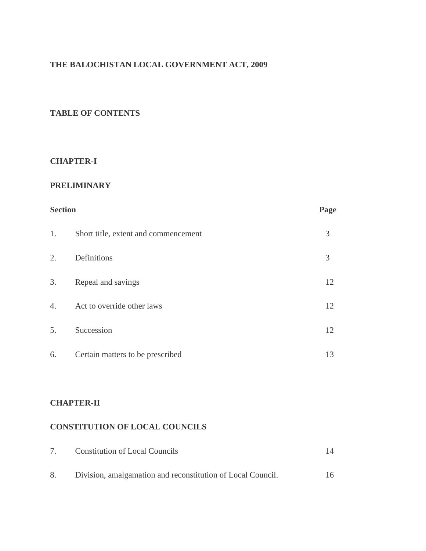### **THE BALOCHISTAN LOCAL GOVERNMENT ACT, 2009**

#### **TABLE OF CONTENTS**

#### **CHAPTER-I**

#### **PRELIMINARY**

| <b>Section</b>   |                                      | Page |
|------------------|--------------------------------------|------|
| 1.               | Short title, extent and commencement | 3    |
| 2.               | Definitions                          | 3    |
| 3.               | Repeal and savings                   | 12   |
| $\overline{4}$ . | Act to override other laws           | 12   |
| 5.               | Succession                           | 12   |
| 6.               | Certain matters to be prescribed     | 13   |

### **CHAPTER-II**

#### **CONSTITUTION OF LOCAL COUNCILS**

| 7 <sup>7</sup> | Constitution of Local Councils                              |    |
|----------------|-------------------------------------------------------------|----|
| 8.             | Division, amalgamation and reconstitution of Local Council. | 16 |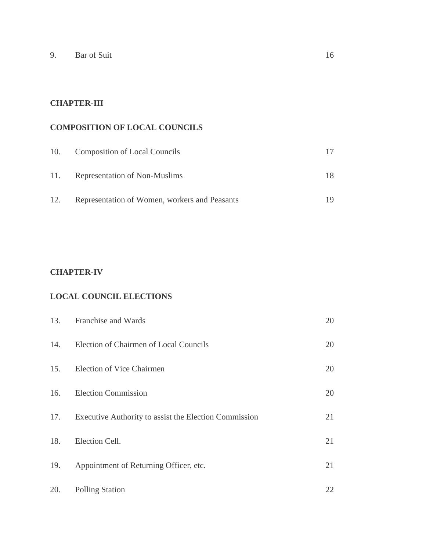9. Bar of Suit 16

## **CHAPTER-III**

## **COMPOSITION OF LOCAL COUNCILS**

|     | 10. Composition of Local Councils             |    |
|-----|-----------------------------------------------|----|
| 11. | <b>Representation of Non-Muslims</b>          | 18 |
| 12. | Representation of Women, workers and Peasants | 19 |

### **CHAPTER-IV**

#### **LOCAL COUNCIL ELECTIONS**

| 13. | <b>Franchise and Wards</b>                            | 20 |
|-----|-------------------------------------------------------|----|
| 14. | Election of Chairmen of Local Councils                | 20 |
| 15. | Election of Vice Chairmen                             | 20 |
| 16. | <b>Election Commission</b>                            | 20 |
| 17. | Executive Authority to assist the Election Commission | 21 |
| 18. | Election Cell.                                        | 21 |
| 19. | Appointment of Returning Officer, etc.                | 21 |
| 20. | <b>Polling Station</b>                                | 22 |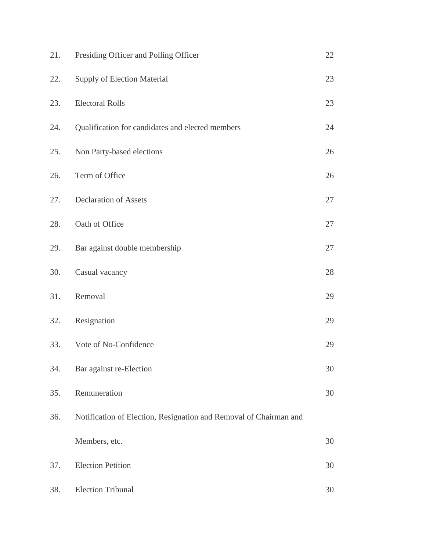| 21. | Presiding Officer and Polling Officer                             | 22 |
|-----|-------------------------------------------------------------------|----|
| 22. | <b>Supply of Election Material</b>                                | 23 |
| 23. | <b>Electoral Rolls</b>                                            | 23 |
| 24. | Qualification for candidates and elected members                  | 24 |
| 25. | Non Party-based elections                                         | 26 |
| 26. | Term of Office                                                    | 26 |
| 27. | <b>Declaration of Assets</b>                                      | 27 |
| 28. | Oath of Office                                                    | 27 |
| 29. | Bar against double membership                                     | 27 |
| 30. | Casual vacancy                                                    | 28 |
| 31. | Removal                                                           | 29 |
| 32. | Resignation                                                       | 29 |
| 33. | Vote of No-Confidence                                             | 29 |
| 34. | Bar against re-Election                                           | 30 |
| 35. | Remuneration                                                      | 30 |
| 36. | Notification of Election, Resignation and Removal of Chairman and |    |
|     | Members, etc.                                                     | 30 |
| 37. | <b>Election Petition</b>                                          | 30 |
| 38. | <b>Election Tribunal</b>                                          | 30 |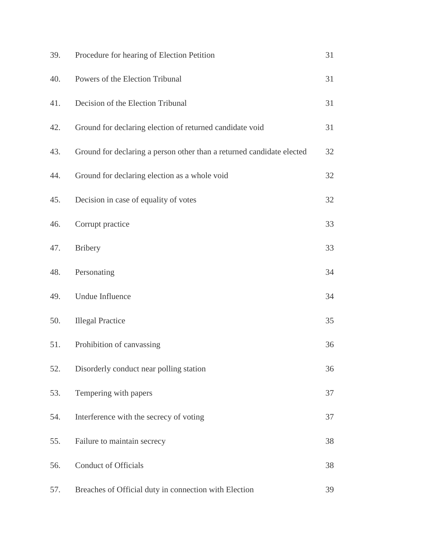| 39. | Procedure for hearing of Election Petition                            | 31 |
|-----|-----------------------------------------------------------------------|----|
| 40. | Powers of the Election Tribunal                                       | 31 |
| 41. | Decision of the Election Tribunal                                     | 31 |
| 42. | Ground for declaring election of returned candidate void              | 31 |
| 43. | Ground for declaring a person other than a returned candidate elected | 32 |
| 44. | Ground for declaring election as a whole void                         | 32 |
| 45. | Decision in case of equality of votes                                 | 32 |
| 46. | Corrupt practice                                                      | 33 |
| 47. | <b>Bribery</b>                                                        | 33 |
| 48. | Personating                                                           | 34 |
| 49. | Undue Influence                                                       | 34 |
| 50. | <b>Illegal Practice</b>                                               | 35 |
| 51. | Prohibition of canvassing                                             | 36 |
| 52. | Disorderly conduct near polling station                               | 36 |
| 53. | Tempering with papers                                                 | 37 |
| 54. | Interference with the secrecy of voting                               | 37 |
| 55. | Failure to maintain secrecy                                           | 38 |
| 56. | <b>Conduct of Officials</b>                                           | 38 |
| 57. | Breaches of Official duty in connection with Election                 | 39 |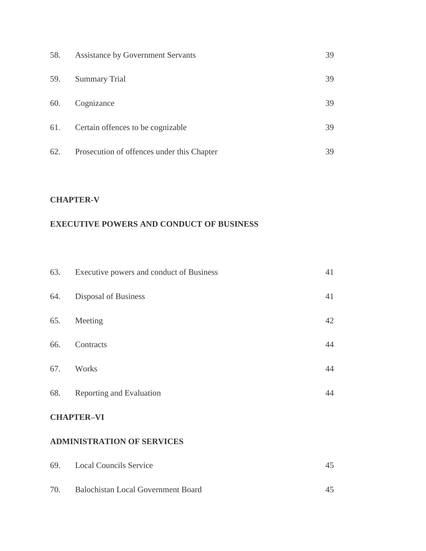| 58. | <b>Assistance by Government Servants</b>   | 39 |
|-----|--------------------------------------------|----|
| 59. | <b>Summary Trial</b>                       | 39 |
| 60. | Cognizance                                 | 39 |
|     | 61. Certain offences to be cognizable      | 39 |
| 62. | Prosecution of offences under this Chapter | 39 |

### **CHAPTER-V**

## **EXECUTIVE POWERS AND CONDUCT OF BUSINESS**

| <b>ADMINISTRATION OF SERVICES</b> |                                          |    |
|-----------------------------------|------------------------------------------|----|
| <b>CHAPTER-VI</b>                 |                                          |    |
| 68.                               | Reporting and Evaluation                 | 44 |
| 67.                               | Works                                    | 44 |
| 66.                               | Contracts                                | 44 |
| 65.                               | Meeting                                  | 42 |
| 64.                               | Disposal of Business                     | 41 |
| 63.                               | Executive powers and conduct of Business | 41 |

|     | 69. Local Councils Service                |  |
|-----|-------------------------------------------|--|
| 70. | <b>Balochistan Local Government Board</b> |  |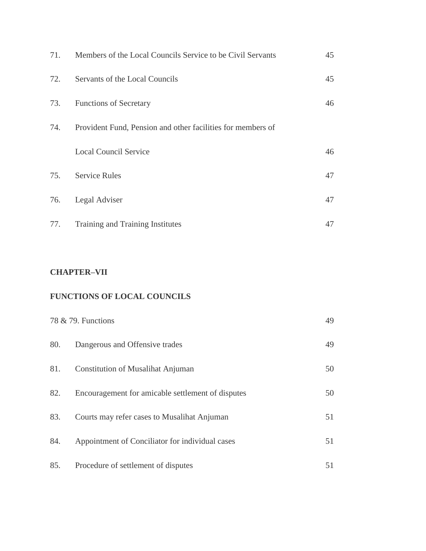| 71. | Members of the Local Councils Service to be Civil Servants  | 45 |
|-----|-------------------------------------------------------------|----|
| 72. | Servants of the Local Councils                              | 45 |
| 73. | <b>Functions of Secretary</b>                               | 46 |
| 74. | Provident Fund, Pension and other facilities for members of |    |
|     | <b>Local Council Service</b>                                | 46 |
| 75. | <b>Service Rules</b>                                        | 47 |
| 76. | Legal Adviser                                               | 47 |
| 77. | Training and Training Institutes                            | 47 |

#### **CHAPTER–VII**

## **FUNCTIONS OF LOCAL COUNCILS**

| 78 & 79. Functions |                                                   | 49 |
|--------------------|---------------------------------------------------|----|
| 80.                | Dangerous and Offensive trades                    | 49 |
| 81.                | <b>Constitution of Musalihat Anjuman</b>          | 50 |
| 82.                | Encouragement for amicable settlement of disputes | 50 |
| 83.                | Courts may refer cases to Musalihat Anjuman       | 51 |
| 84.                | Appointment of Conciliator for individual cases   | 51 |
| 85.                | Procedure of settlement of disputes               | 51 |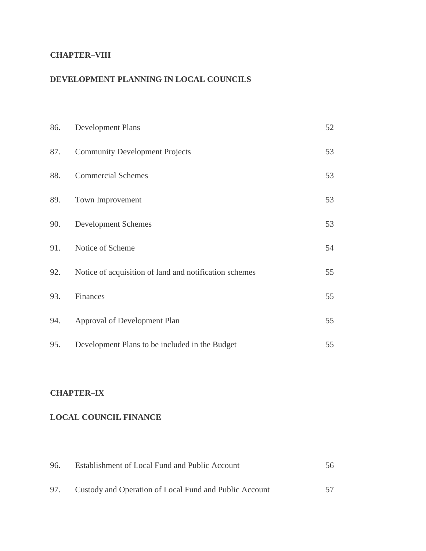## **CHAPTER–VIII**

#### **DEVELOPMENT PLANNING IN LOCAL COUNCILS**

| 86. | <b>Development Plans</b>                               | 52 |
|-----|--------------------------------------------------------|----|
| 87. | <b>Community Development Projects</b>                  | 53 |
| 88. | <b>Commercial Schemes</b>                              | 53 |
| 89. | Town Improvement                                       | 53 |
| 90. | Development Schemes                                    | 53 |
| 91. | Notice of Scheme                                       | 54 |
| 92. | Notice of acquisition of land and notification schemes | 55 |
| 93. | Finances                                               | 55 |
| 94. | Approval of Development Plan                           | 55 |
| 95. | Development Plans to be included in the Budget         | 55 |

## **CHAPTER–IX**

## **LOCAL COUNCIL FINANCE**

| 96. | Establishment of Local Fund and Public Account             | 56 |  |
|-----|------------------------------------------------------------|----|--|
|     | 97. Custody and Operation of Local Fund and Public Account | 57 |  |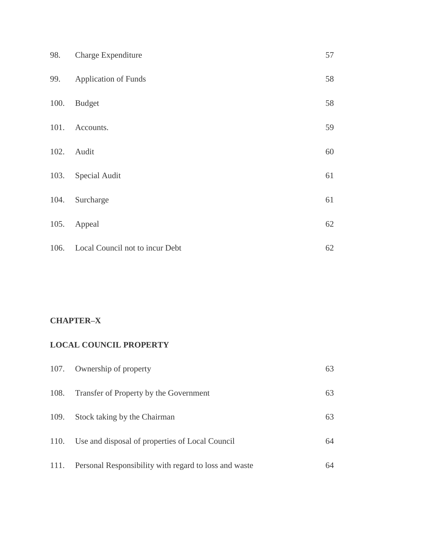| 98.  | Charge Expenditure                   | 57 |
|------|--------------------------------------|----|
| 99.  | <b>Application of Funds</b>          | 58 |
| 100. | <b>Budget</b>                        | 58 |
| 101. | Accounts.                            | 59 |
| 102. | Audit                                | 60 |
| 103. | Special Audit                        | 61 |
| 104. | Surcharge                            | 61 |
| 105. | Appeal                               | 62 |
|      | 106. Local Council not to incur Debt | 62 |

### **CHAPTER–X**

#### **LOCAL COUNCIL PROPERTY**

|      | 107. Ownership of property                            | 63 |
|------|-------------------------------------------------------|----|
| 108. | Transfer of Property by the Government                | 63 |
| 109. | Stock taking by the Chairman                          | 63 |
| 110. | Use and disposal of properties of Local Council       | 64 |
| 111. | Personal Responsibility with regard to loss and waste | 64 |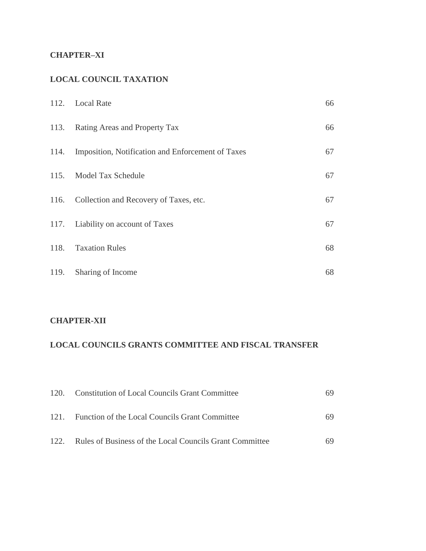## **CHAPTER–XI**

## **LOCAL COUNCIL TAXATION**

|      | 112. Local Rate                                   | 66 |
|------|---------------------------------------------------|----|
| 113. | Rating Areas and Property Tax                     | 66 |
| 114. | Imposition, Notification and Enforcement of Taxes | 67 |
|      | 115. Model Tax Schedule                           | 67 |
|      | 116. Collection and Recovery of Taxes, etc.       | 67 |
|      | 117. Liability on account of Taxes                | 67 |
|      | 118. Taxation Rules                               | 68 |
| 119. | Sharing of Income                                 | 68 |

#### **CHAPTER-XII**

### **LOCAL COUNCILS GRANTS COMMITTEE AND FISCAL TRANSFER**

| 120. Constitution of Local Councils Grant Committee          | 69 |
|--------------------------------------------------------------|----|
| 121. Function of the Local Councils Grant Committee          | 69 |
| 122. Rules of Business of the Local Councils Grant Committee | 69 |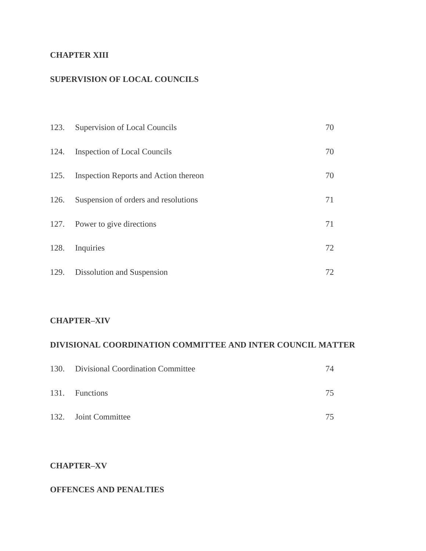## **CHAPTER XIII**

### **SUPERVISION OF LOCAL COUNCILS**

| 123. | Supervision of Local Councils         | 70 |
|------|---------------------------------------|----|
| 124. | <b>Inspection of Local Councils</b>   | 70 |
| 125. | Inspection Reports and Action thereon | 70 |
| 126. | Suspension of orders and resolutions  | 71 |
|      | 127. Power to give directions         | 71 |
| 128. | Inquiries                             | 72 |
|      | 129. Dissolution and Suspension       | 72 |

#### **CHAPTER–XIV**

#### **DIVISIONAL COORDINATION COMMITTEE AND INTER COUNCIL MATTER**

| 130. Divisional Coordination Committee | 74  |
|----------------------------------------|-----|
| 131. Functions                         | 75  |
| 132. Joint Committee                   | 75. |

#### **CHAPTER–XV**

### **OFFENCES AND PENALTIES**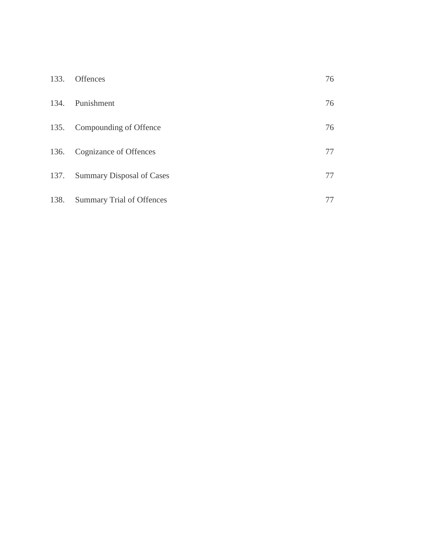| 133. | <b>Offences</b>                | 76 |
|------|--------------------------------|----|
| 134. | Punishment                     | 76 |
| 135. | Compounding of Offence         | 76 |
| 136. | Cognizance of Offences         | 77 |
|      | 137. Summary Disposal of Cases | 77 |
|      | 138. Summary Trial of Offences | 77 |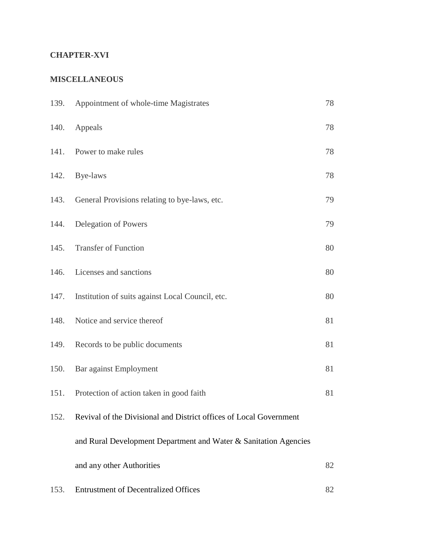## **CHAPTER-XVI**

#### **MISCELLANEOUS**

| 139. | Appointment of whole-time Magistrates                              | 78 |
|------|--------------------------------------------------------------------|----|
| 140. | Appeals                                                            | 78 |
|      | 141. Power to make rules                                           | 78 |
| 142. | Bye-laws                                                           | 78 |
| 143. | General Provisions relating to bye-laws, etc.                      | 79 |
| 144. | Delegation of Powers                                               | 79 |
| 145. | <b>Transfer of Function</b>                                        | 80 |
| 146. | Licenses and sanctions                                             | 80 |
| 147. | Institution of suits against Local Council, etc.                   | 80 |
| 148. | Notice and service thereof                                         | 81 |
| 149. | Records to be public documents                                     | 81 |
| 150. | Bar against Employment                                             | 81 |
| 151. | Protection of action taken in good faith                           | 81 |
| 152. | Revival of the Divisional and District offices of Local Government |    |
|      | and Rural Development Department and Water & Sanitation Agencies   |    |
|      | and any other Authorities                                          | 82 |
| 153. | <b>Entrustment of Decentralized Offices</b>                        | 82 |